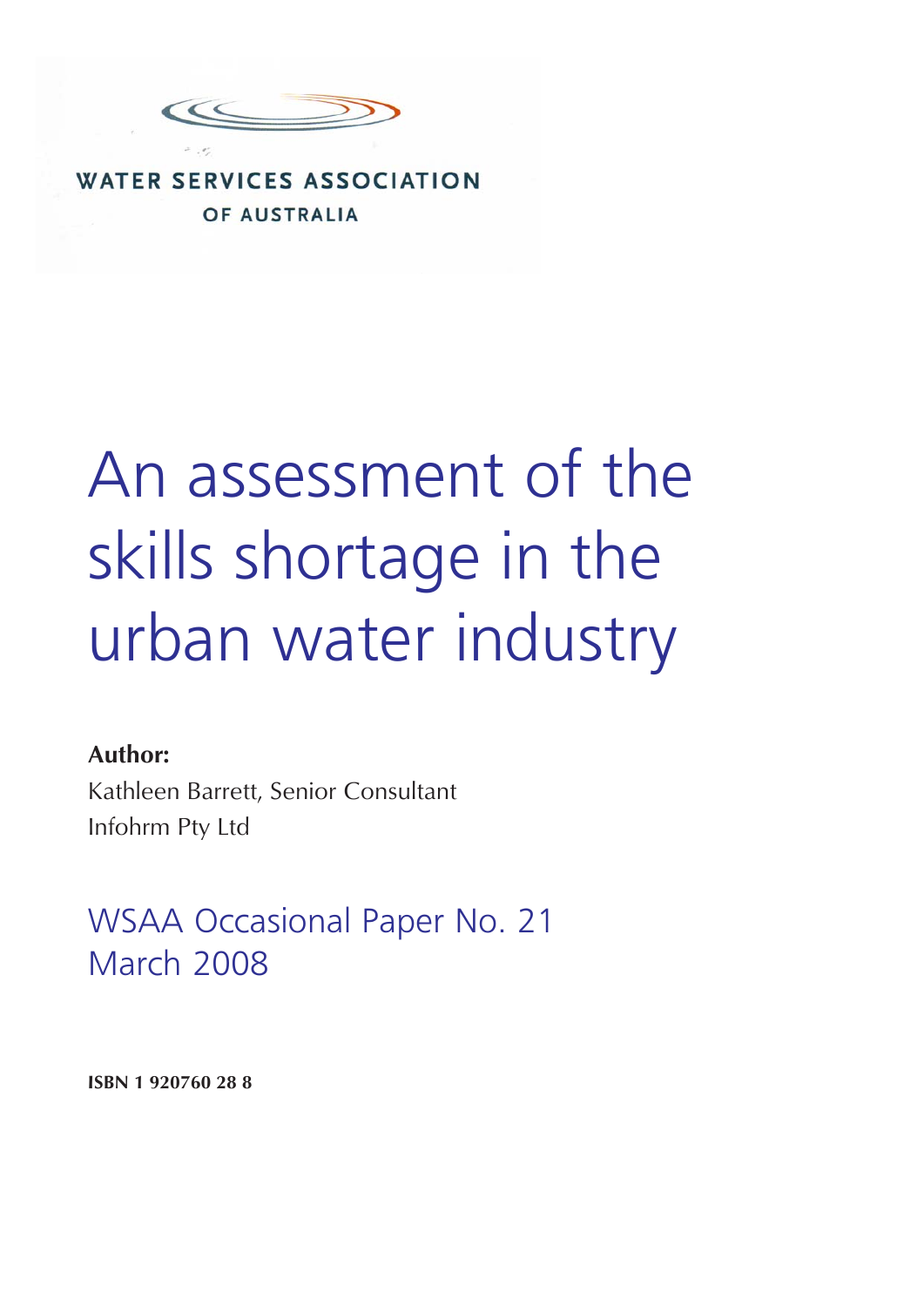

### **WATER SERVICES ASSOCIATION** OF AUSTRALIA

# An assessment of the skills shortage in the urban water industry

### **Author:**

Kathleen Barrett, Senior Consultant Infohrm Pty Ltd

WSAA Occasional Paper No. 21 March 2008

**ISBN 1 920760 28 8**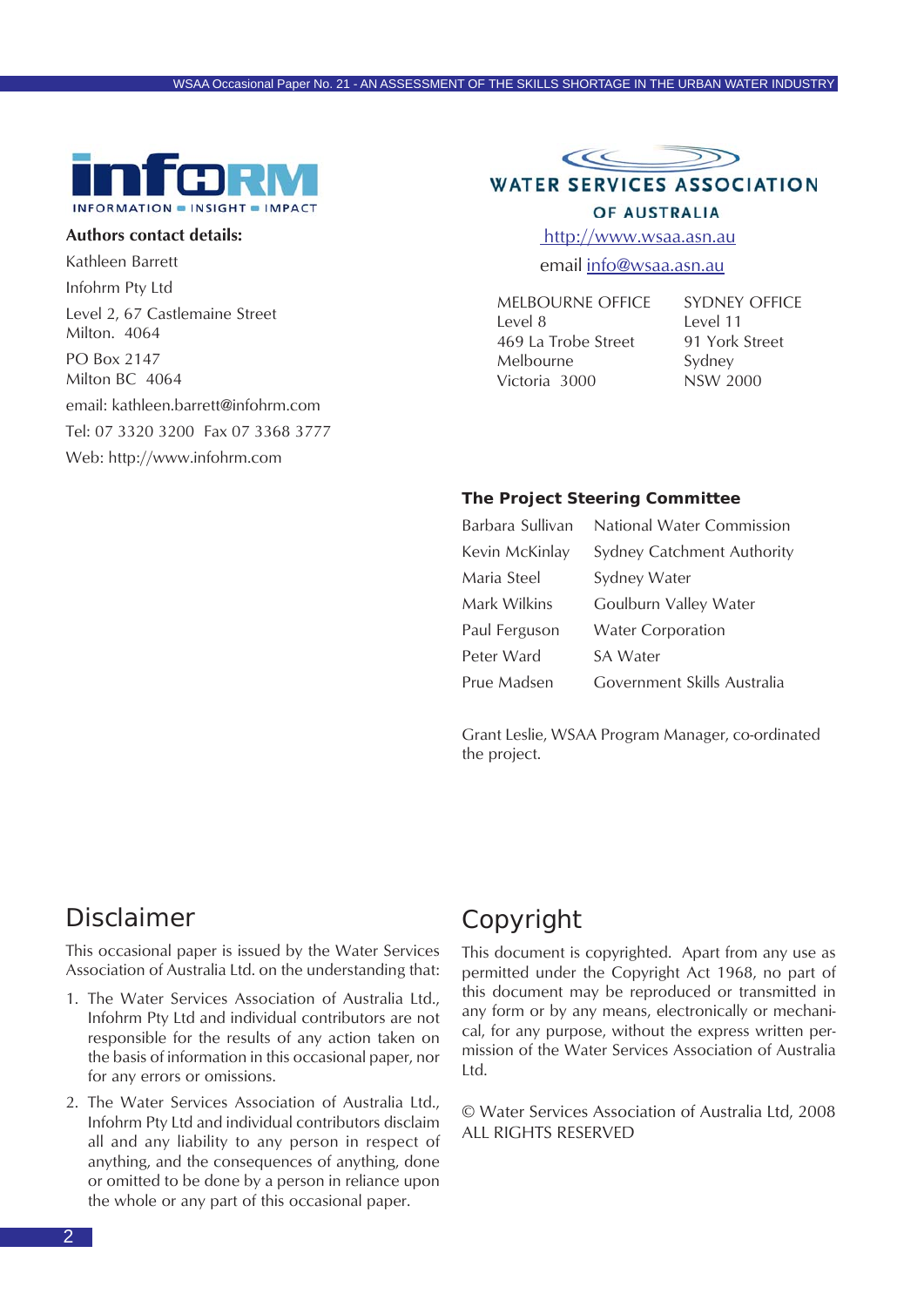

#### **Authors contact details:**

Kathleen Barrett Infohrm Pty Ltd Level 2, 67 Castlemaine Street Milton. 4064 PO Box 2147 Milton BC 4064 email: kathleen.barrett@infohrm.com Tel: 07 3320 3200 Fax 07 3368 3777

Web: http://www.infohrm.com



### OF AUSTRALIA

http://www.wsaa.asn.au

email info@wsaa.asn.au

MELBOURNE OFFICE Level 8 469 La Trobe Street Melbourne Victoria 3000

SYDNEY OFFICE Level 11 91 York Street Sydney NSW 2000

#### **The Project Steering Committee**

| Barbara Sullivan | National Water Commission   |
|------------------|-----------------------------|
| Kevin McKinlay   | Sydney Catchment Authority  |
| Maria Steel      | Sydney Water                |
| Mark Wilkins     | Goulburn Valley Water       |
| Paul Ferguson    | <b>Water Corporation</b>    |
| Peter Ward       | SA Water                    |
| Prue Madsen      | Government Skills Australia |

Grant Leslie, WSAA Program Manager, co-ordinated the project.

### Disclaimer

This occasional paper is issued by the Water Services Association of Australia Ltd. on the understanding that:

- 1. The Water Services Association of Australia Ltd., Infohrm Pty Ltd and individual contributors are not responsible for the results of any action taken on the basis of information in this occasional paper, nor for any errors or omissions.
- 2. The Water Services Association of Australia Ltd., Infohrm Pty Ltd and individual contributors disclaim all and any liability to any person in respect of anything, and the consequences of anything, done or omitted to be done by a person in reliance upon the whole or any part of this occasional paper.

### Copyright

This document is copyrighted. Apart from any use as permitted under the Copyright Act 1968, no part of this document may be reproduced or transmitted in any form or by any means, electronically or mechanical, for any purpose, without the express written permission of the Water Services Association of Australia Ltd.

© Water Services Association of Australia Ltd, 2008 ALL RIGHTS RESERVED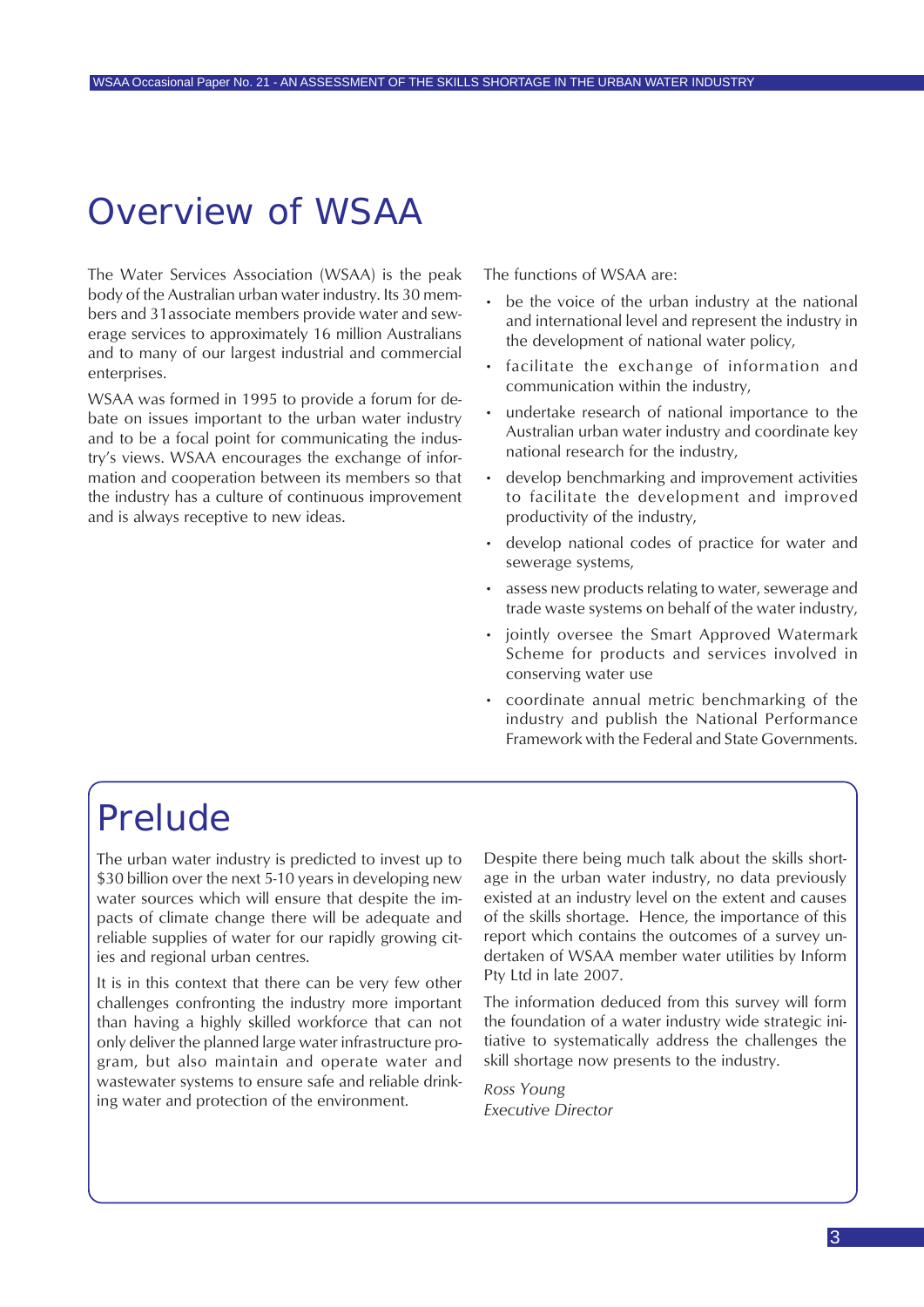## Overview of WSAA

The Water Services Association (WSAA) is the peak body of the Australian urban water industry. Its 30 members and 31associate members provide water and sewerage services to approximately 16 million Australians and to many of our largest industrial and commercial enterprises.

WSAA was formed in 1995 to provide a forum for debate on issues important to the urban water industry and to be a focal point for communicating the industry's views. WSAA encourages the exchange of information and cooperation between its members so that the industry has a culture of continuous improvement and is always receptive to new ideas.

The functions of WSAA are:

- be the voice of the urban industry at the national and international level and represent the industry in the development of national water policy,
- facilitate the exchange of information and communication within the industry,
- undertake research of national importance to the Australian urban water industry and coordinate key national research for the industry,
- develop benchmarking and improvement activities to facilitate the development and improved productivity of the industry,
- develop national codes of practice for water and sewerage systems,
- assess new products relating to water, sewerage and trade waste systems on behalf of the water industry,
- jointly oversee the Smart Approved Watermark Scheme for products and services involved in conserving water use
- coordinate annual metric benchmarking of the industry and publish the National Performance Framework with the Federal and State Governments.

## Prelude

The urban water industry is predicted to invest up to \$30 billion over the next 5-10 years in developing new water sources which will ensure that despite the impacts of climate change there will be adequate and reliable supplies of water for our rapidly growing cities and regional urban centres.

It is in this context that there can be very few other challenges confronting the industry more important than having a highly skilled workforce that can not only deliver the planned large water infrastructure program, but also maintain and operate water and wastewater systems to ensure safe and reliable drinking water and protection of the environment.

Despite there being much talk about the skills shortage in the urban water industry, no data previously existed at an industry level on the extent and causes of the skills shortage. Hence, the importance of this report which contains the outcomes of a survey undertaken of WSAA member water utilities by Inform Pty Ltd in late 2007.

The information deduced from this survey will form the foundation of a water industry wide strategic initiative to systematically address the challenges the skill shortage now presents to the industry.

*Ross Young Executive Director*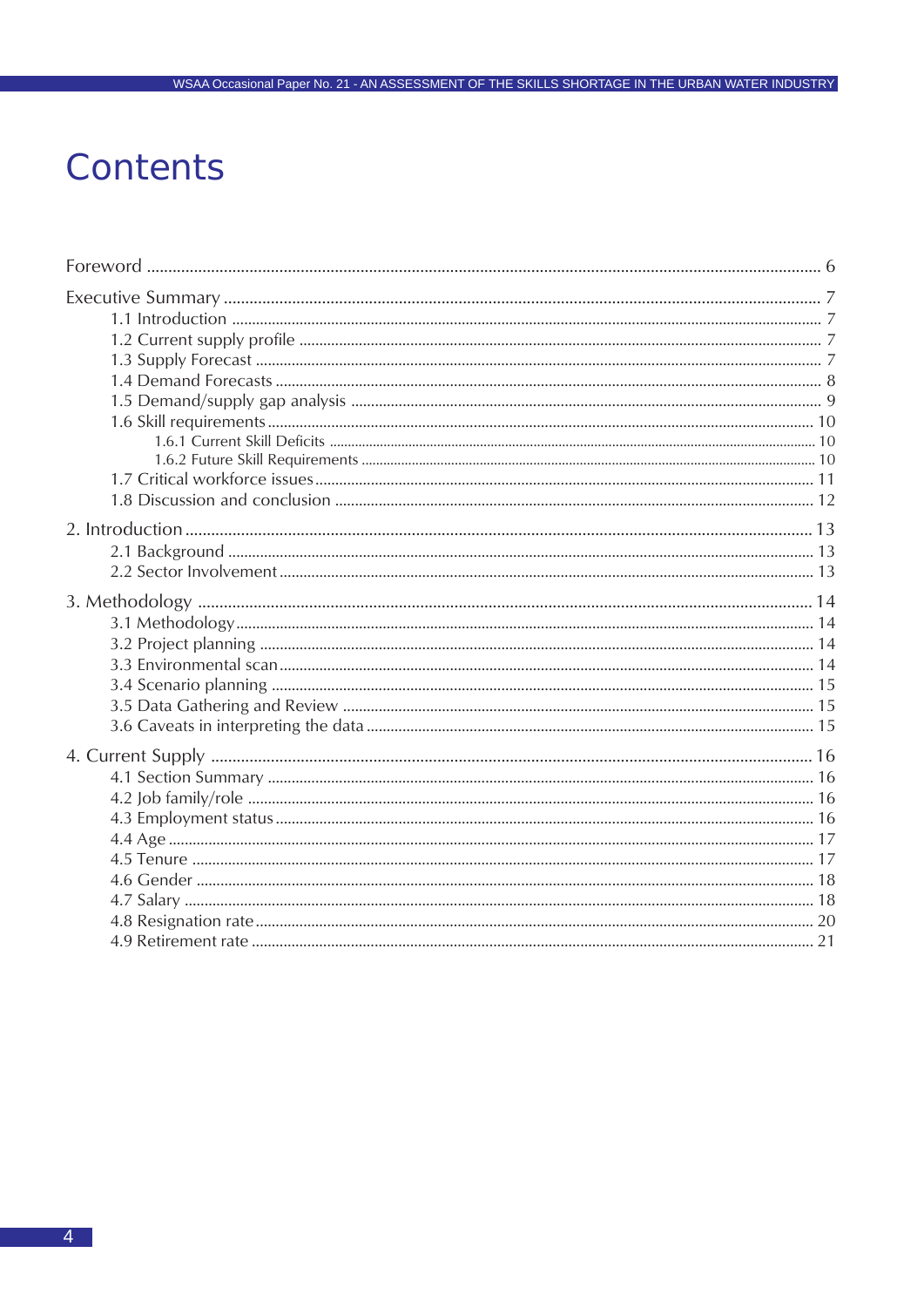## Contents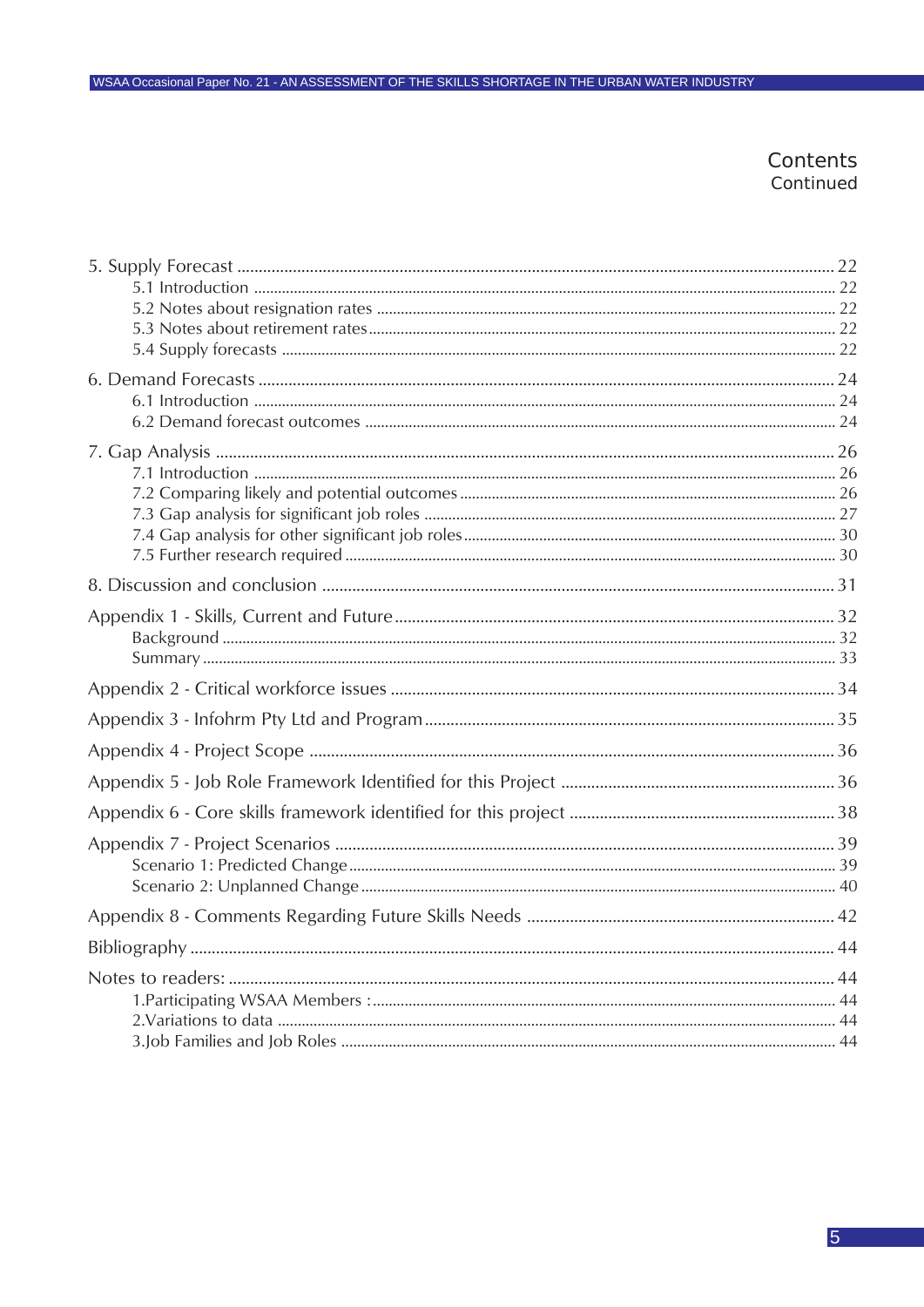### Contents Continued

WSAA Occasional Paper No. 21 - AN ASSESSMENT OF THE SKILLS SHORTAGE IN THE URBAN WATER INDUSTRY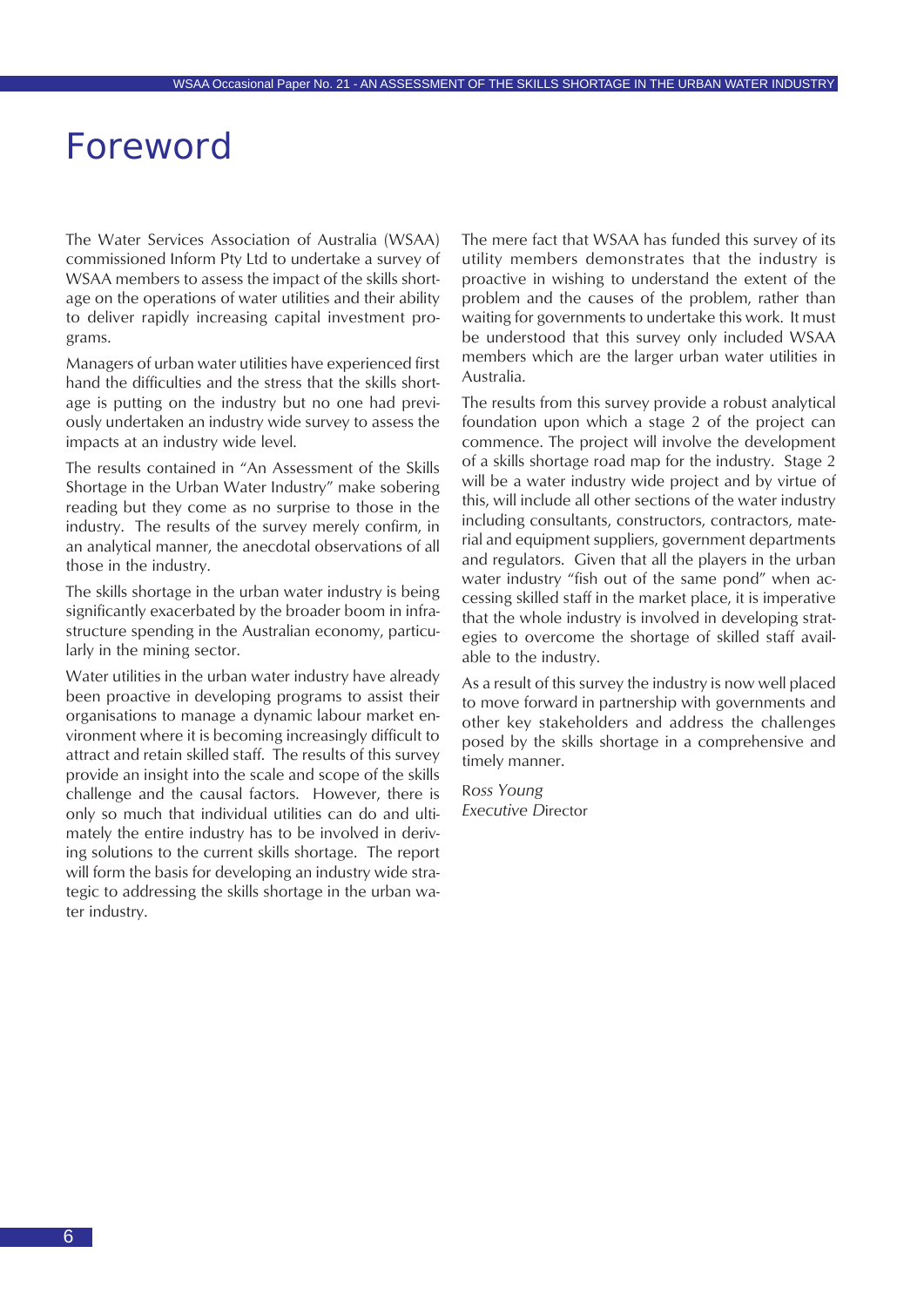## <span id="page-5-0"></span>Foreword

The Water Services Association of Australia (WSAA) commissioned Inform Pty Ltd to undertake a survey of WSAA members to assess the impact of the skills shortage on the operations of water utilities and their ability to deliver rapidly increasing capital investment programs.

Managers of urban water utilities have experienced first hand the difficulties and the stress that the skills shortage is putting on the industry but no one had previously undertaken an industry wide survey to assess the impacts at an industry wide level.

The results contained in "An Assessment of the Skills Shortage in the Urban Water Industry" make sobering reading but they come as no surprise to those in the industry. The results of the survey merely confirm, in an analytical manner, the anecdotal observations of all those in the industry.

The skills shortage in the urban water industry is being significantly exacerbated by the broader boom in infrastructure spending in the Australian economy, particularly in the mining sector.

Water utilities in the urban water industry have already been proactive in developing programs to assist their organisations to manage a dynamic labour market environment where it is becoming increasingly difficult to attract and retain skilled staff. The results of this survey provide an insight into the scale and scope of the skills challenge and the causal factors. However, there is only so much that individual utilities can do and ultimately the entire industry has to be involved in deriving solutions to the current skills shortage. The report will form the basis for developing an industry wide strategic to addressing the skills shortage in the urban water industry.

The mere fact that WSAA has funded this survey of its utility members demonstrates that the industry is proactive in wishing to understand the extent of the problem and the causes of the problem, rather than waiting for governments to undertake this work. It must be understood that this survey only included WSAA members which are the larger urban water utilities in Australia.

The results from this survey provide a robust analytical foundation upon which a stage 2 of the project can commence. The project will involve the development of a skills shortage road map for the industry. Stage 2 will be a water industry wide project and by virtue of this, will include all other sections of the water industry including consultants, constructors, contractors, material and equipment suppliers, government departments and regulators. Given that all the players in the urban water industry "fish out of the same pond" when accessing skilled staff in the market place, it is imperative that the whole industry is involved in developing strategies to overcome the shortage of skilled staff available to the industry.

As a result of this survey the industry is now well placed to move forward in partnership with governments and other key stakeholders and address the challenges posed by the skills shortage in a comprehensive and timely manner.

R*oss Young Executive D*irector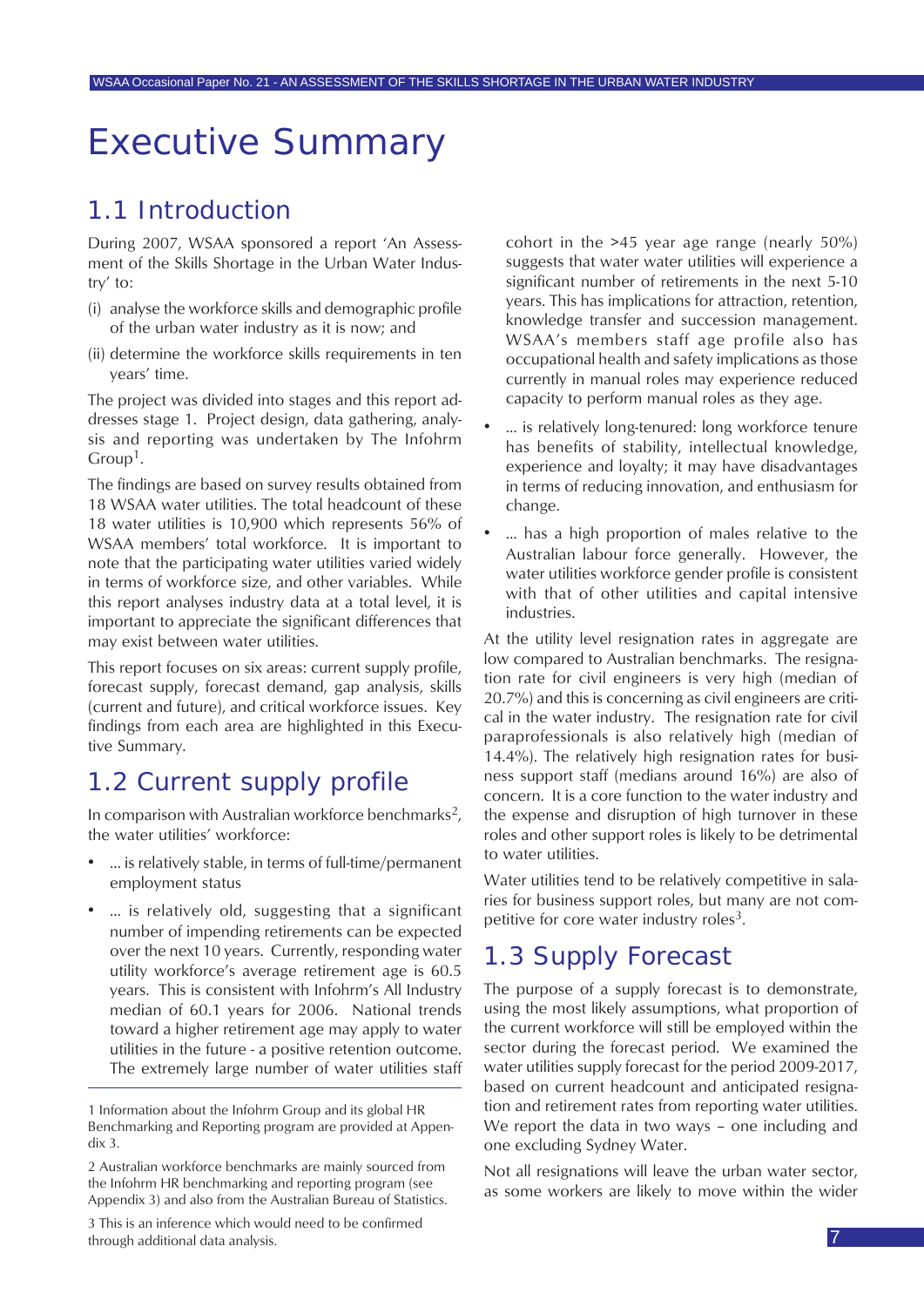## <span id="page-6-0"></span>Executive Summary

### 1.1 Introduction

During 2007, WSAA sponsored a report 'An Assessment of the Skills Shortage in the Urban Water Industry' to:

- (i) analyse the workforce skills and demographic profile of the urban water industry as it is now; and
- (ii) determine the workforce skills requirements in ten years' time.

The project was divided into stages and this report addresses stage 1. Project design, data gathering, analysis and reporting was undertaken by The Infohrm Group<sup>1</sup>.

The findings are based on survey results obtained from 18 WSAA water utilities. The total headcount of these 18 water utilities is 10,900 which represents 56% of WSAA members' total workforce. It is important to note that the participating water utilities varied widely in terms of workforce size, and other variables. While this report analyses industry data at a total level, it is important to appreciate the significant differences that may exist between water utilities.

This report focuses on six areas: current supply profile, forecast supply, forecast demand, gap analysis, skills (current and future), and critical workforce issues. Key findings from each area are highlighted in this Executive Summary.

### 1.2 Current supply profile

In comparison with Australian workforce benchmarks<sup>2</sup>, the water utilities' workforce:

- ... is relatively stable, in terms of full-time/permanent employment status
- … is relatively old, suggesting that a significant number of impending retirements can be expected over the next 10 years. Currently, responding water utility workforce's average retirement age is 60.5 years. This is consistent with Infohrm's All Industry median of 60.1 years for 2006. National trends toward a higher retirement age may apply to water utilities in the future - a positive retention outcome. The extremely large number of water utilities staff

2 Australian workforce benchmarks are mainly sourced from the Infohrm HR benchmarking and reporting program (see Appendix 3) and also from the Australian Bureau of Statistics.

3 This is an inference which would need to be confirmed through additional data analysis.

cohort in the >45 year age range (nearly 50%) suggests that water water utilities will experience a significant number of retirements in the next 5-10 years. This has implications for attraction, retention, knowledge transfer and succession management. WSAA's members staff age profile also has occupational health and safety implications as those currently in manual roles may experience reduced capacity to perform manual roles as they age.

- ... is relatively long-tenured: long workforce tenure has benefits of stability, intellectual knowledge, experience and loyalty; it may have disadvantages in terms of reducing innovation, and enthusiasm for change.
- ... has a high proportion of males relative to the Australian labour force generally. However, the water utilities workforce gender profile is consistent with that of other utilities and capital intensive industries.

At the utility level resignation rates in aggregate are low compared to Australian benchmarks. The resignation rate for civil engineers is very high (median of 20.7%) and this is concerning as civil engineers are critical in the water industry. The resignation rate for civil paraprofessionals is also relatively high (median of 14.4%). The relatively high resignation rates for business support staff (medians around 16%) are also of concern. It is a core function to the water industry and the expense and disruption of high turnover in these roles and other support roles is likely to be detrimental to water utilities.

Water utilities tend to be relatively competitive in salaries for business support roles, but many are not competitive for core water industry roles<sup>3</sup>.

### 1.3 Supply Forecast

The purpose of a supply forecast is to demonstrate, using the most likely assumptions, what proportion of the current workforce will still be employed within the sector during the forecast period. We examined the water utilities supply forecast for the period 2009-2017, based on current headcount and anticipated resignation and retirement rates from reporting water utilities. We report the data in two ways – one including and one excluding Sydney Water.

Not all resignations will leave the urban water sector, as some workers are likely to move within the wider

<sup>1</sup> Information about the Infohrm Group and its global HR Benchmarking and Reporting program are provided at Appendix 3.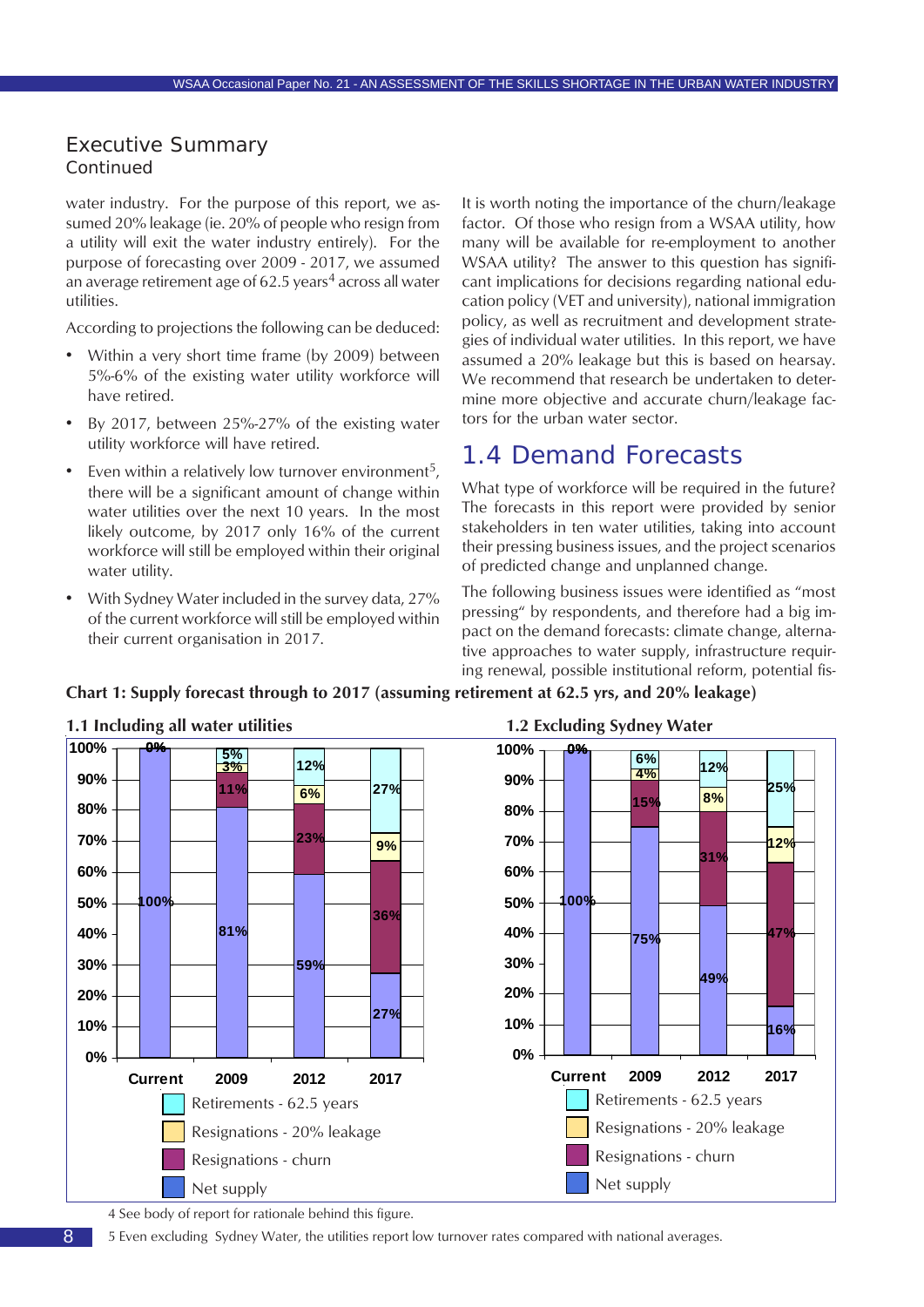<span id="page-7-0"></span>water industry. For the purpose of this report, we assumed 20% leakage (ie. 20% of people who resign from a utility will exit the water industry entirely). For the purpose of forecasting over 2009 - 2017, we assumed an average retirement age of  $62.5$  years<sup>4</sup> across all water utilities.

According to projections the following can be deduced:

- Within a very short time frame (by 2009) between 5%-6% of the existing water utility workforce will have retired.
- By 2017, between 25%-27% of the existing water utility workforce will have retired.
- Even within a relatively low turnover environment<sup>5</sup>, there will be a significant amount of change within water utilities over the next 10 years. In the most likely outcome, by 2017 only 16% of the current workforce will still be employed within their original water utility.
- With Sydney Water included in the survey data, 27% of the current workforce will still be employed within their current organisation in 2017.

It is worth noting the importance of the churn/leakage factor. Of those who resign from a WSAA utility, how many will be available for re-employment to another WSAA utility? The answer to this question has significant implications for decisions regarding national education policy (VET and university), national immigration policy, as well as recruitment and development strategies of individual water utilities. In this report, we have assumed a 20% leakage but this is based on hearsay. We recommend that research be undertaken to determine more objective and accurate churn/leakage factors for the urban water sector.

### 1.4 Demand Forecasts

What type of workforce will be required in the future? The forecasts in this report were provided by senior stakeholders in ten water utilities, taking into account their pressing business issues, and the project scenarios of predicted change and unplanned change.

The following business issues were identified as "most pressing" by respondents, and therefore had a big impact on the demand forecasts: climate change, alternative approaches to water supply, infrastructure requiring renewal, possible institutional reform, potential fis-



8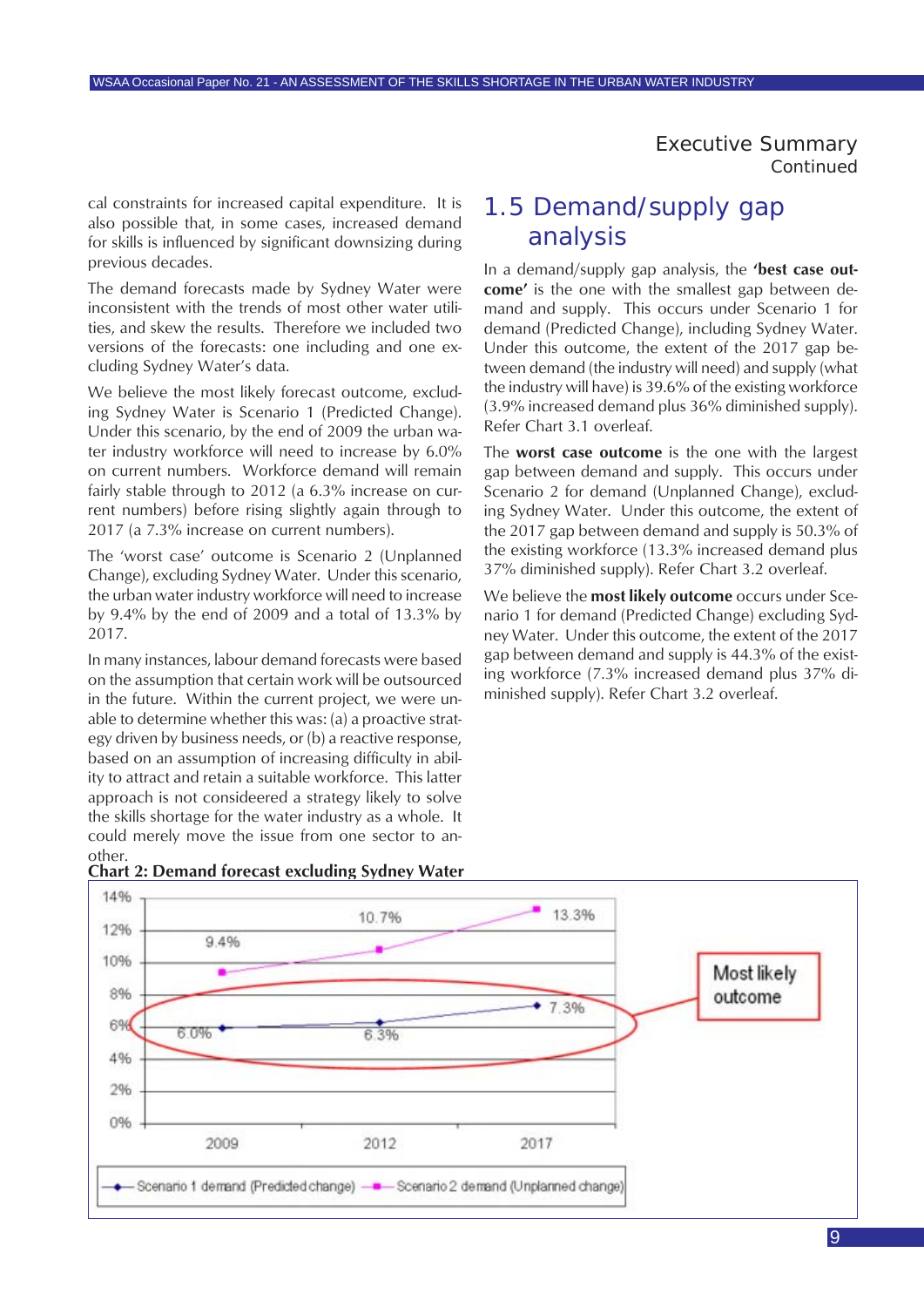<span id="page-8-0"></span>cal constraints for increased capital expenditure. It is also possible that, in some cases, increased demand for skills is influenced by significant downsizing during previous decades.

The demand forecasts made by Sydney Water were inconsistent with the trends of most other water utilities, and skew the results. Therefore we included two versions of the forecasts: one including and one excluding Sydney Water's data.

We believe the most likely forecast outcome, excluding Sydney Water is Scenario 1 (Predicted Change). Under this scenario, by the end of 2009 the urban water industry workforce will need to increase by 6.0% on current numbers. Workforce demand will remain fairly stable through to 2012 (a 6.3% increase on current numbers) before rising slightly again through to 2017 (a 7.3% increase on current numbers).

The 'worst case' outcome is Scenario 2 (Unplanned Change), excluding Sydney Water. Under this scenario, the urban water industry workforce will need to increase by 9.4% by the end of 2009 and a total of 13.3% by 2017.

In many instances, labour demand forecasts were based on the assumption that certain work will be outsourced in the future. Within the current project, we were unable to determine whether this was: (a) a proactive strategy driven by business needs, or (b) a reactive response, based on an assumption of increasing difficulty in ability to attract and retain a suitable workforce. This latter approach is not consideered a strategy likely to solve the skills shortage for the water industry as a whole. It could merely move the issue from one sector to another.

### analysis In a demand/supply gap analysis, the **'best case out-**

1.5 Demand/supply gap

**come'** is the one with the smallest gap between demand and supply. This occurs under Scenario 1 for demand (Predicted Change), including Sydney Water. Under this outcome, the extent of the 2017 gap between demand (the industry will need) and supply (what the industry will have) is 39.6% of the existing workforce (3.9% increased demand plus 36% diminished supply). Refer Chart 3.1 overleaf.

The **worst case outcome** is the one with the largest gap between demand and supply. This occurs under Scenario 2 for demand (Unplanned Change), excluding Sydney Water. Under this outcome, the extent of the 2017 gap between demand and supply is 50.3% of the existing workforce (13.3% increased demand plus 37% diminished supply). Refer Chart 3.2 overleaf.

We believe the **most likely outcome** occurs under Scenario 1 for demand (Predicted Change) excluding Sydney Water. Under this outcome, the extent of the 2017 gap between demand and supply is 44.3% of the existing workforce (7.3% increased demand plus 37% diminished supply). Refer Chart 3.2 overleaf.



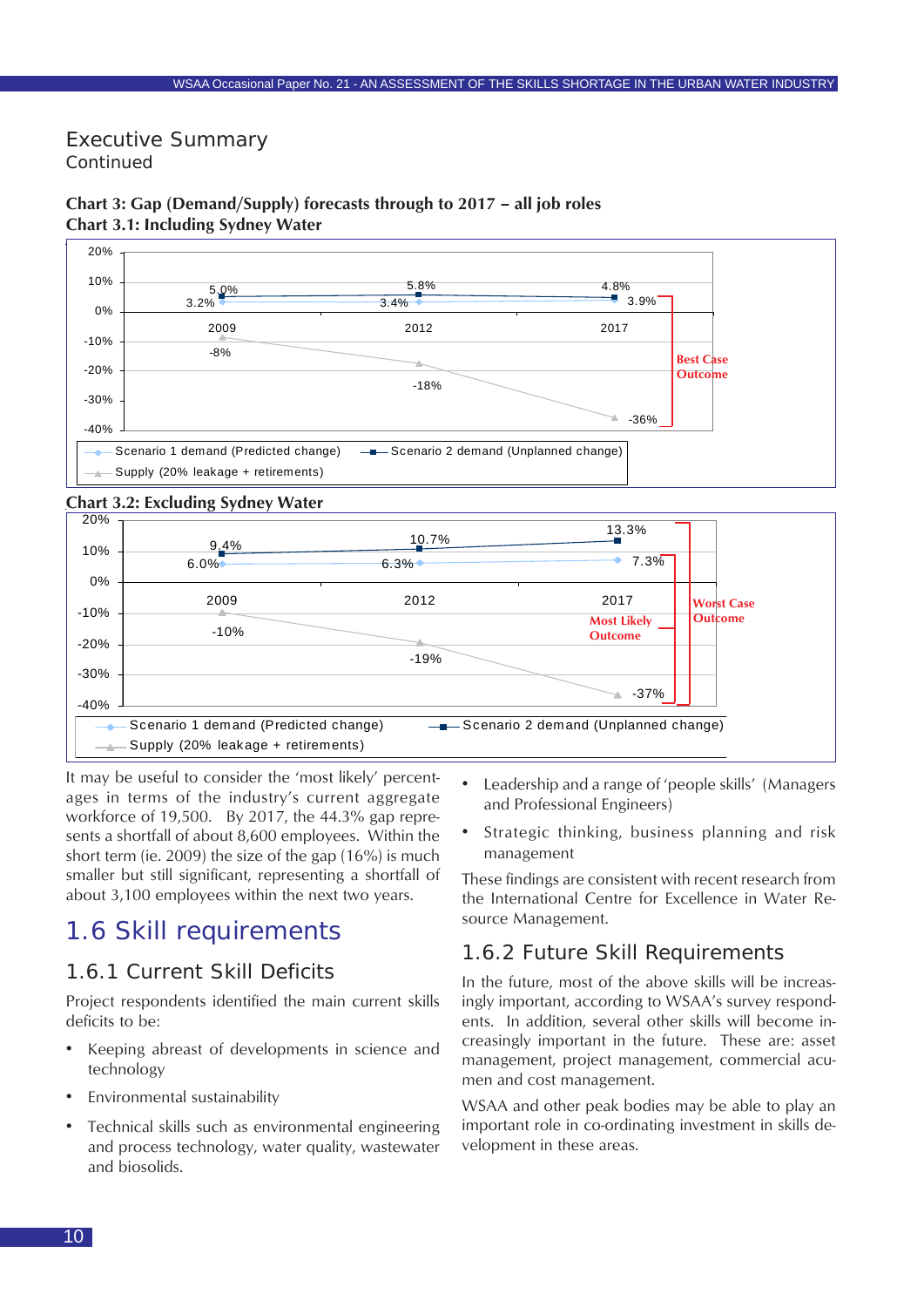#### $3.2\%$  3.4%  $3.4\%$  3.4% 3.9%  $5.0\%$   $4.8\%$ -36% -18% -8%  $-40%$ -30% -20% -10% 0% 10% 20% 2009 2012 2017 Scenario 1 demand (Predicted change) - - Scenario 2 demand (Unplanned change) Supply (20% leakage + retirements) **Best Case Outcome**

#### <span id="page-9-0"></span>**Chart 3: Gap (Demand/Supply) forecasts through to 2017 – all job roles Chart 3.1: Including Sydney Water**

#### **Chart 3.2: Excluding Sydney Water**



It may be useful to consider the 'most likely' percentages in terms of the industry's current aggregate workforce of 19,500. By 2017, the 44.3% gap represents a shortfall of about 8,600 employees. Within the short term (ie. 2009) the size of the gap (16%) is much smaller but still significant, representing a shortfall of about 3,100 employees within the next two years.

### 1.6 Skill requirements

### 1.6.1 Current Skill Deficits

Project respondents identified the main current skills deficits to be:

- Keeping abreast of developments in science and technology
- Environmental sustainability
- Technical skills such as environmental engineering and process technology, water quality, wastewater and biosolids.
- Leadership and a range of 'people skills' (Managers and Professional Engineers)
- Strategic thinking, business planning and risk management

These findings are consistent with recent research from the International Centre for Excellence in Water Resource Management.

### 1.6.2 Future Skill Requirements

In the future, most of the above skills will be increasingly important, according to WSAA's survey respondents. In addition, several other skills will become increasingly important in the future. These are: asset management, project management, commercial acumen and cost management.

WSAA and other peak bodies may be able to play an important role in co-ordinating investment in skills development in these areas.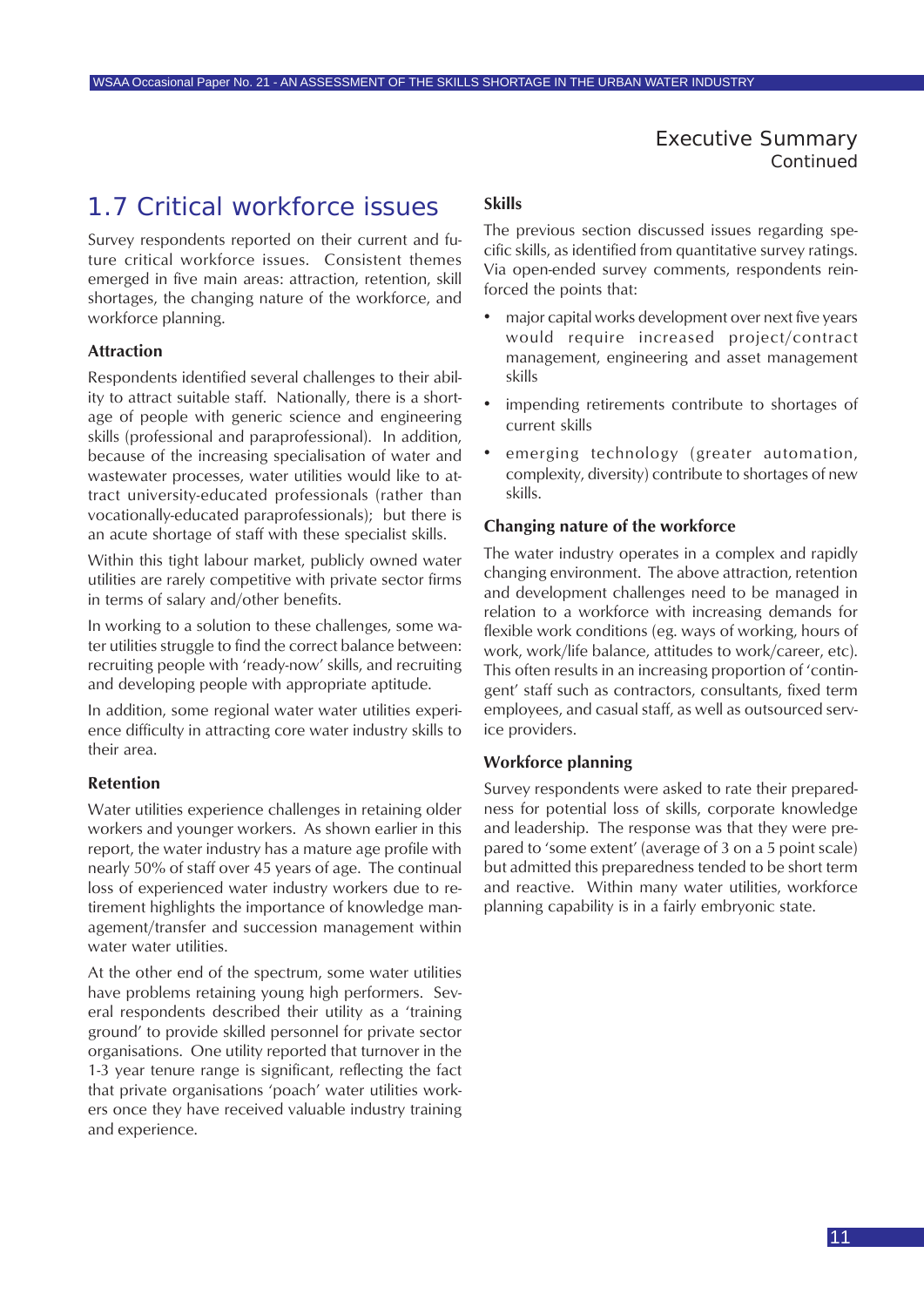### <span id="page-10-0"></span>1.7 Critical workforce issues

Survey respondents reported on their current and future critical workforce issues. Consistent themes emerged in five main areas: attraction, retention, skill shortages, the changing nature of the workforce, and workforce planning.

#### **Attraction**

Respondents identified several challenges to their ability to attract suitable staff. Nationally, there is a shortage of people with generic science and engineering skills (professional and paraprofessional). In addition, because of the increasing specialisation of water and wastewater processes, water utilities would like to attract university-educated professionals (rather than vocationally-educated paraprofessionals); but there is an acute shortage of staff with these specialist skills.

Within this tight labour market, publicly owned water utilities are rarely competitive with private sector firms in terms of salary and/other benefits.

In working to a solution to these challenges, some water utilities struggle to find the correct balance between: recruiting people with 'ready-now' skills, and recruiting and developing people with appropriate aptitude.

In addition, some regional water water utilities experience difficulty in attracting core water industry skills to their area.

#### **Retention**

Water utilities experience challenges in retaining older workers and younger workers. As shown earlier in this report, the water industry has a mature age profile with nearly 50% of staff over 45 years of age. The continual loss of experienced water industry workers due to retirement highlights the importance of knowledge management/transfer and succession management within water water utilities.

At the other end of the spectrum, some water utilities have problems retaining young high performers. Several respondents described their utility as a 'training ground' to provide skilled personnel for private sector organisations. One utility reported that turnover in the 1-3 year tenure range is significant, reflecting the fact that private organisations 'poach' water utilities workers once they have received valuable industry training and experience.

#### **Skills**

The previous section discussed issues regarding specific skills, as identified from quantitative survey ratings. Via open-ended survey comments, respondents reinforced the points that:

- major capital works development over next five years would require increased project/contract management, engineering and asset management skills
- impending retirements contribute to shortages of current skills
- emerging technology (greater automation, complexity, diversity) contribute to shortages of new skills.

#### **Changing nature of the workforce**

The water industry operates in a complex and rapidly changing environment. The above attraction, retention and development challenges need to be managed in relation to a workforce with increasing demands for flexible work conditions (eg. ways of working, hours of work, work/life balance, attitudes to work/career, etc). This often results in an increasing proportion of 'contingent' staff such as contractors, consultants, fixed term employees, and casual staff, as well as outsourced service providers.

#### **Workforce planning**

Survey respondents were asked to rate their preparedness for potential loss of skills, corporate knowledge and leadership. The response was that they were prepared to 'some extent' (average of 3 on a 5 point scale) but admitted this preparedness tended to be short term and reactive. Within many water utilities, workforce planning capability is in a fairly embryonic state.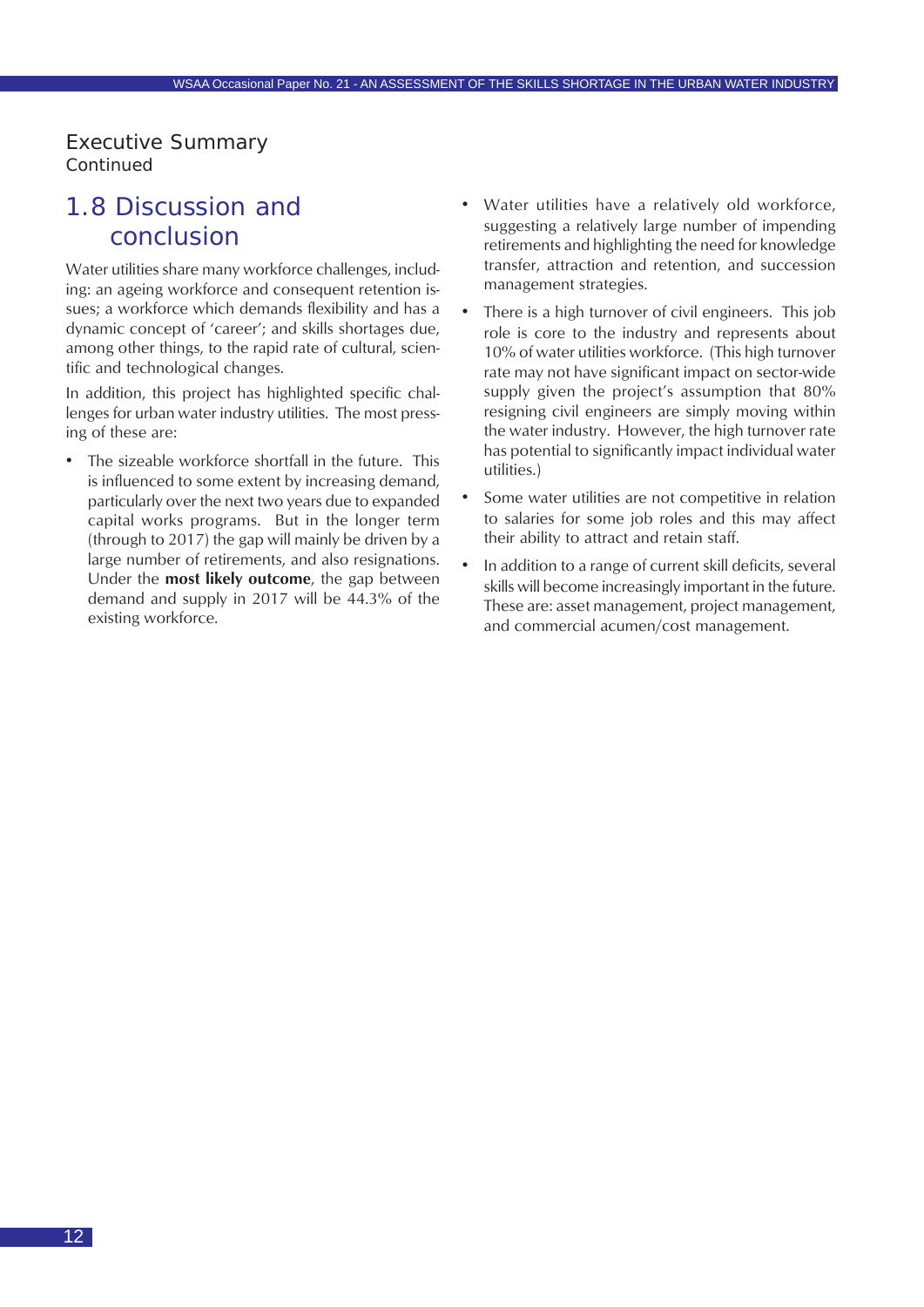### <span id="page-11-0"></span>1.8 Discussion and conclusion

Water utilities share many workforce challenges, including: an ageing workforce and consequent retention issues; a workforce which demands flexibility and has a dynamic concept of 'career'; and skills shortages due, among other things, to the rapid rate of cultural, scientific and technological changes.

In addition, this project has highlighted specific challenges for urban water industry utilities. The most pressing of these are:

The sizeable workforce shortfall in the future. This is influenced to some extent by increasing demand, particularly over the next two years due to expanded capital works programs. But in the longer term (through to 2017) the gap will mainly be driven by a large number of retirements, and also resignations. Under the **most likely outcome**, the gap between demand and supply in 2017 will be 44.3% of the existing workforce.

- Water utilities have a relatively old workforce, suggesting a relatively large number of impending retirements and highlighting the need for knowledge transfer, attraction and retention, and succession management strategies.
- There is a high turnover of civil engineers. This job role is core to the industry and represents about 10% of water utilities workforce. (This high turnover rate may not have significant impact on sector-wide supply given the project's assumption that 80% resigning civil engineers are simply moving within the water industry. However, the high turnover rate has potential to significantly impact individual water utilities.)
- Some water utilities are not competitive in relation to salaries for some job roles and this may affect their ability to attract and retain staff.
- In addition to a range of current skill deficits, several skills will become increasingly important in the future. These are: asset management, project management, and commercial acumen/cost management.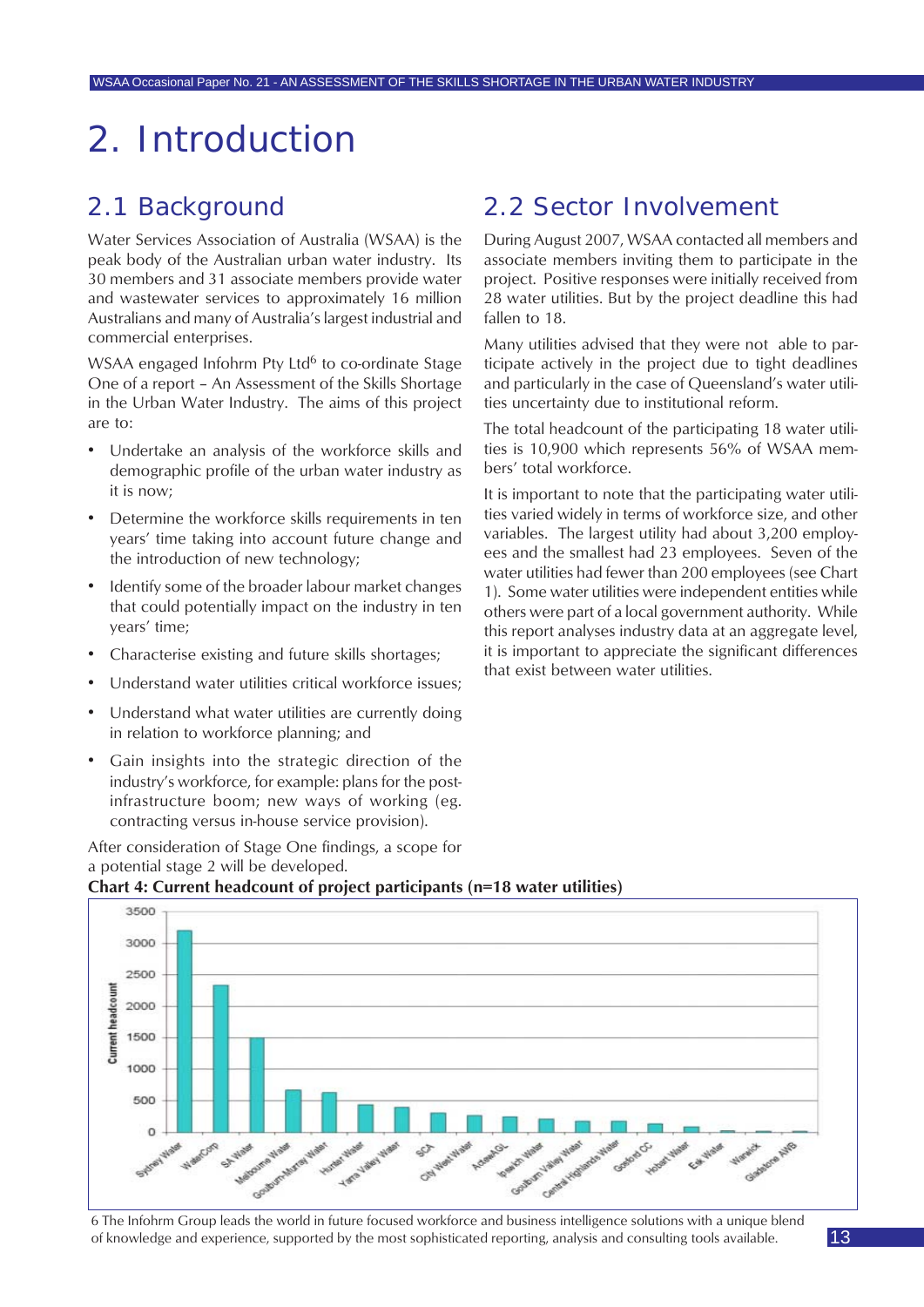## <span id="page-12-0"></span>2. Introduction

### 2.1 Background

Water Services Association of Australia (WSAA) is the peak body of the Australian urban water industry. Its 30 members and 31 associate members provide water and wastewater services to approximately 16 million Australians and many of Australia's largest industrial and commercial enterprises.

WSAA engaged Infohrm Pty Ltd<sup>6</sup> to co-ordinate Stage One of a report – An Assessment of the Skills Shortage in the Urban Water Industry. The aims of this project are to:

- Undertake an analysis of the workforce skills and demographic profile of the urban water industry as it is now;
- Determine the workforce skills requirements in ten years' time taking into account future change and the introduction of new technology;
- Identify some of the broader labour market changes that could potentially impact on the industry in ten years' time;
- Characterise existing and future skills shortages;
- Understand water utilities critical workforce issues;
- Understand what water utilities are currently doing in relation to workforce planning; and
- Gain insights into the strategic direction of the industry's workforce, for example: plans for the postinfrastructure boom; new ways of working (eg. contracting versus in-house service provision).

After consideration of Stage One findings, a scope for a potential stage 2 will be developed.

### 2.2 Sector Involvement

During August 2007, WSAA contacted all members and associate members inviting them to participate in the project. Positive responses were initially received from 28 water utilities. But by the project deadline this had fallen to 18.

Many utilities advised that they were not able to participate actively in the project due to tight deadlines and particularly in the case of Queensland's water utilities uncertainty due to institutional reform.

The total headcount of the participating 18 water utilities is 10,900 which represents 56% of WSAA members' total workforce.

It is important to note that the participating water utilities varied widely in terms of workforce size, and other variables. The largest utility had about 3,200 employees and the smallest had 23 employees. Seven of the water utilities had fewer than 200 employees (see Chart 1). Some water utilities were independent entities while others were part of a local government authority. While this report analyses industry data at an aggregate level, it is important to appreciate the significant differences that exist between water utilities.





6 The Infohrm Group leads the world in future focused workforce and business intelligence solutions with a unique blend of knowledge and experience, supported by the most sophisticated reporting, analysis and consulting tools available.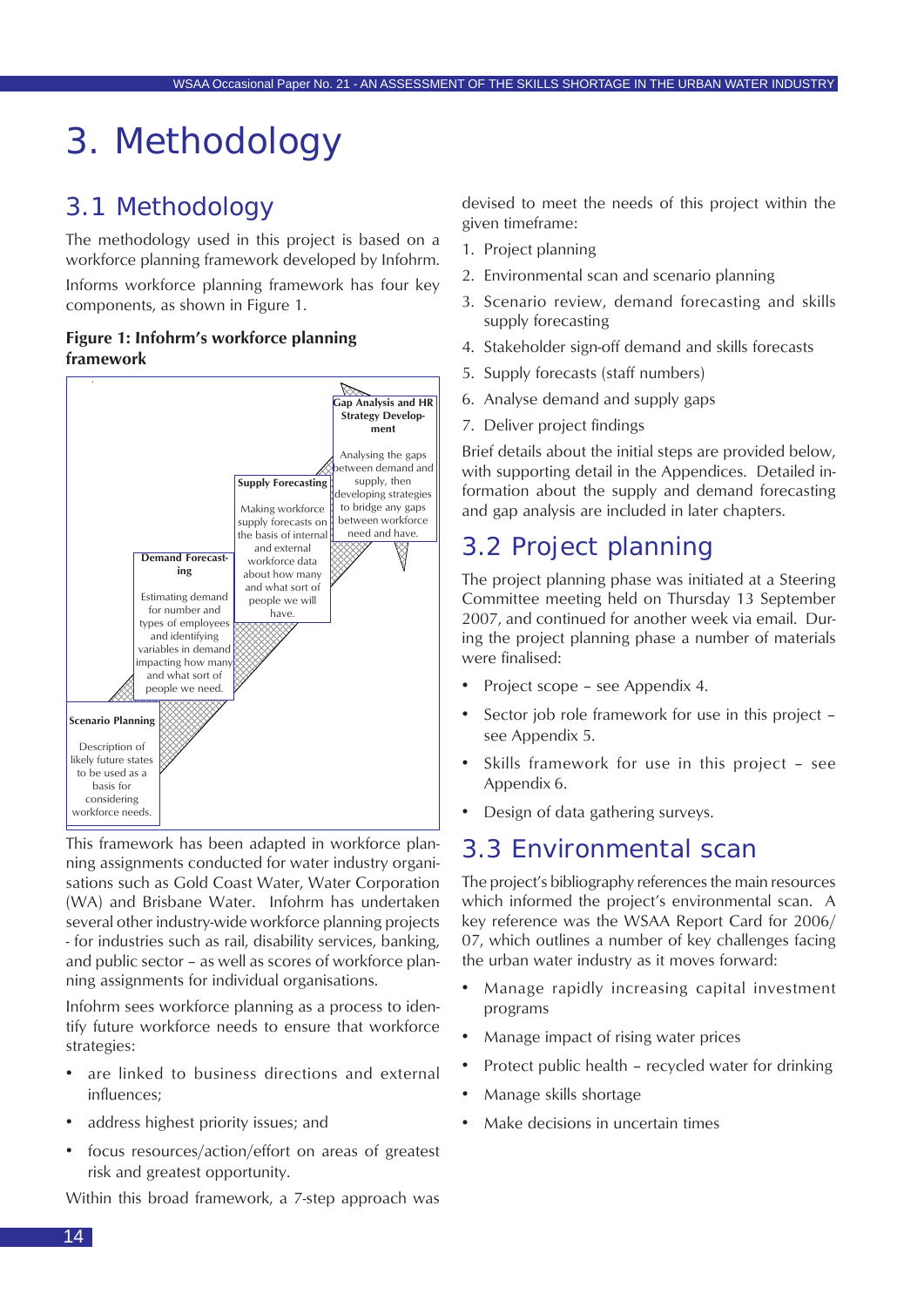## <span id="page-13-0"></span>3. Methodology

### 3.1 Methodology

The methodology used in this project is based on a workforce planning framework developed by Infohrm.

Informs workforce planning framework has four key components, as shown in Figure 1.

#### **Figure 1: Infohrm's workforce planning framework**



This framework has been adapted in workforce planning assignments conducted for water industry organisations such as Gold Coast Water, Water Corporation (WA) and Brisbane Water. Infohrm has undertaken several other industry-wide workforce planning projects - for industries such as rail, disability services, banking, and public sector – as well as scores of workforce planning assignments for individual organisations.

Infohrm sees workforce planning as a process to identify future workforce needs to ensure that workforce strategies:

- are linked to business directions and external influences;
- address highest priority issues; and
- focus resources/action/effort on areas of greatest risk and greatest opportunity.

Within this broad framework, a 7-step approach was

devised to meet the needs of this project within the given timeframe:

- 1. Project planning
- 2. Environmental scan and scenario planning
- 3. Scenario review, demand forecasting and skills supply forecasting
- 4. Stakeholder sign-off demand and skills forecasts
- 5. Supply forecasts (staff numbers)
- 6. Analyse demand and supply gaps
- 7. Deliver project findings

Brief details about the initial steps are provided below, with supporting detail in the Appendices. Detailed information about the supply and demand forecasting and gap analysis are included in later chapters.

### 3.2 Project planning

The project planning phase was initiated at a Steering Committee meeting held on Thursday 13 September 2007, and continued for another week via email. During the project planning phase a number of materials were finalised:

- Project scope see Appendix 4.
- Sector job role framework for use in this project see Appendix 5.
- Skills framework for use in this project see Appendix 6.
- Design of data gathering surveys.

### 3.3 Environmental scan

The project's bibliography references the main resources which informed the project's environmental scan. A key reference was the WSAA Report Card for 2006/ 07, which outlines a number of key challenges facing the urban water industry as it moves forward:

- Manage rapidly increasing capital investment programs
- Manage impact of rising water prices
- Protect public health recycled water for drinking
- Manage skills shortage
- Make decisions in uncertain times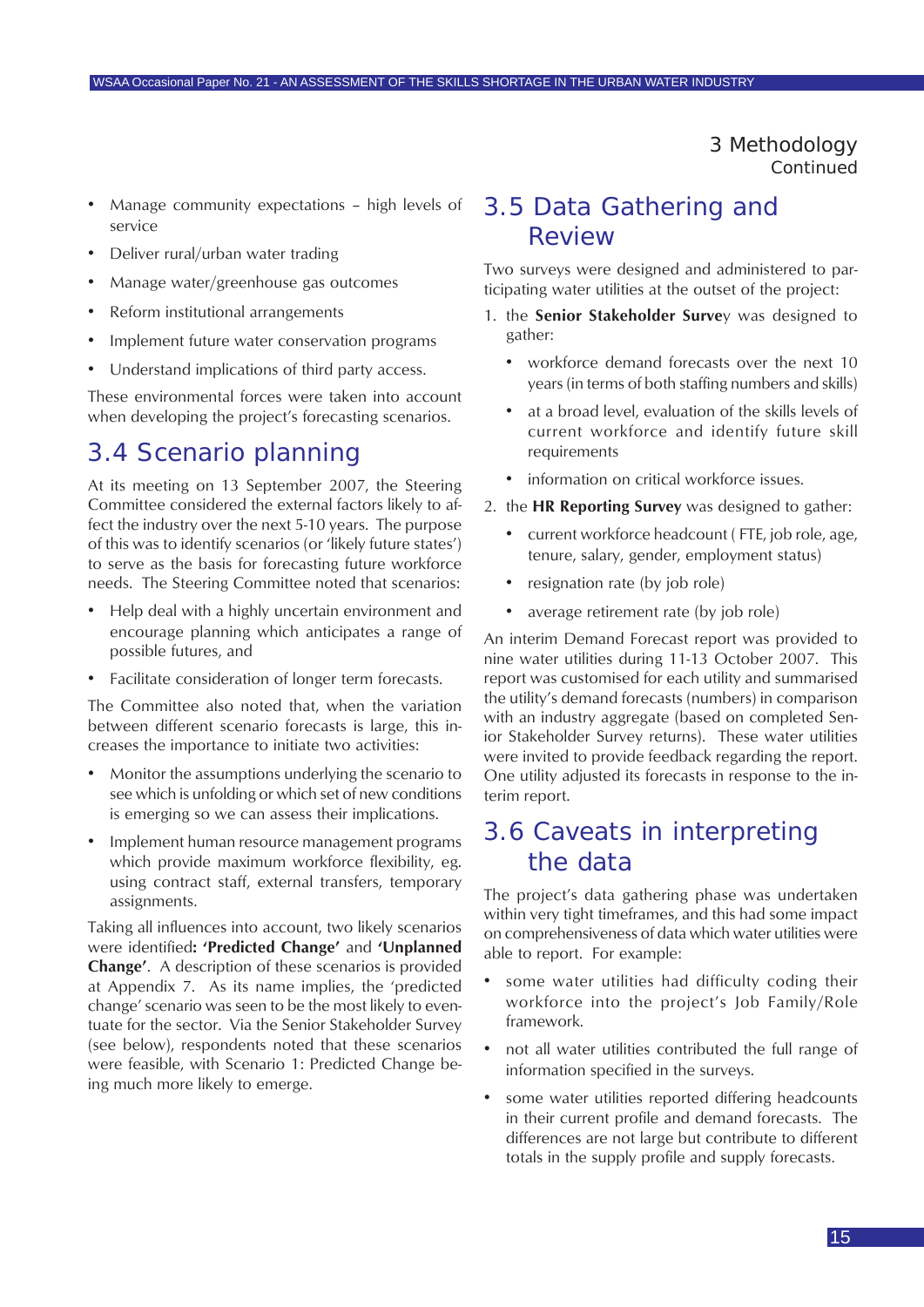3 Methodology *Continued*

- <span id="page-14-0"></span>• Manage community expectations – high levels of service
- Deliver rural/urban water trading
- Manage water/greenhouse gas outcomes
- Reform institutional arrangements
- Implement future water conservation programs
- Understand implications of third party access.

These environmental forces were taken into account when developing the project's forecasting scenarios.

### 3.4 Scenario planning

At its meeting on 13 September 2007, the Steering Committee considered the external factors likely to affect the industry over the next 5-10 years. The purpose of this was to identify scenarios (or 'likely future states') to serve as the basis for forecasting future workforce needs. The Steering Committee noted that scenarios:

- Help deal with a highly uncertain environment and encourage planning which anticipates a range of possible futures, and
- Facilitate consideration of longer term forecasts.

The Committee also noted that, when the variation between different scenario forecasts is large, this increases the importance to initiate two activities:

- Monitor the assumptions underlying the scenario to see which is unfolding or which set of new conditions is emerging so we can assess their implications.
- Implement human resource management programs which provide maximum workforce flexibility, eg. using contract staff, external transfers, temporary assignments.

Taking all influences into account, two likely scenarios were identified**: 'Predicted Change'** and **'Unplanned Change'**. A description of these scenarios is provided at Appendix 7. As its name implies, the 'predicted change' scenario was seen to be the most likely to eventuate for the sector. Via the Senior Stakeholder Survey (see below), respondents noted that these scenarios were feasible, with Scenario 1: Predicted Change being much more likely to emerge.

### 3.5 Data Gathering and Review

Two surveys were designed and administered to participating water utilities at the outset of the project:

- 1. the **Senior Stakeholder Surve**y was designed to gather:
	- workforce demand forecasts over the next 10 years (in terms of both staffing numbers and skills)
	- at a broad level, evaluation of the skills levels of current workforce and identify future skill requirements
	- information on critical workforce issues.
- 2. the **HR Reporting Survey** was designed to gather:
	- current workforce headcount ( FTE, job role, age, tenure, salary, gender, employment status)
	- resignation rate (by job role)
	- average retirement rate (by job role)

An interim Demand Forecast report was provided to nine water utilities during 11-13 October 2007. This report was customised for each utility and summarised the utility's demand forecasts (numbers) in comparison with an industry aggregate (based on completed Senior Stakeholder Survey returns). These water utilities were invited to provide feedback regarding the report. One utility adjusted its forecasts in response to the interim report.

### 3.6 Caveats in interpreting the data

The project's data gathering phase was undertaken within very tight timeframes, and this had some impact on comprehensiveness of data which water utilities were able to report. For example:

- some water utilities had difficulty coding their workforce into the project's Job Family/Role framework.
- not all water utilities contributed the full range of information specified in the surveys.
- some water utilities reported differing headcounts in their current profile and demand forecasts. The differences are not large but contribute to different totals in the supply profile and supply forecasts.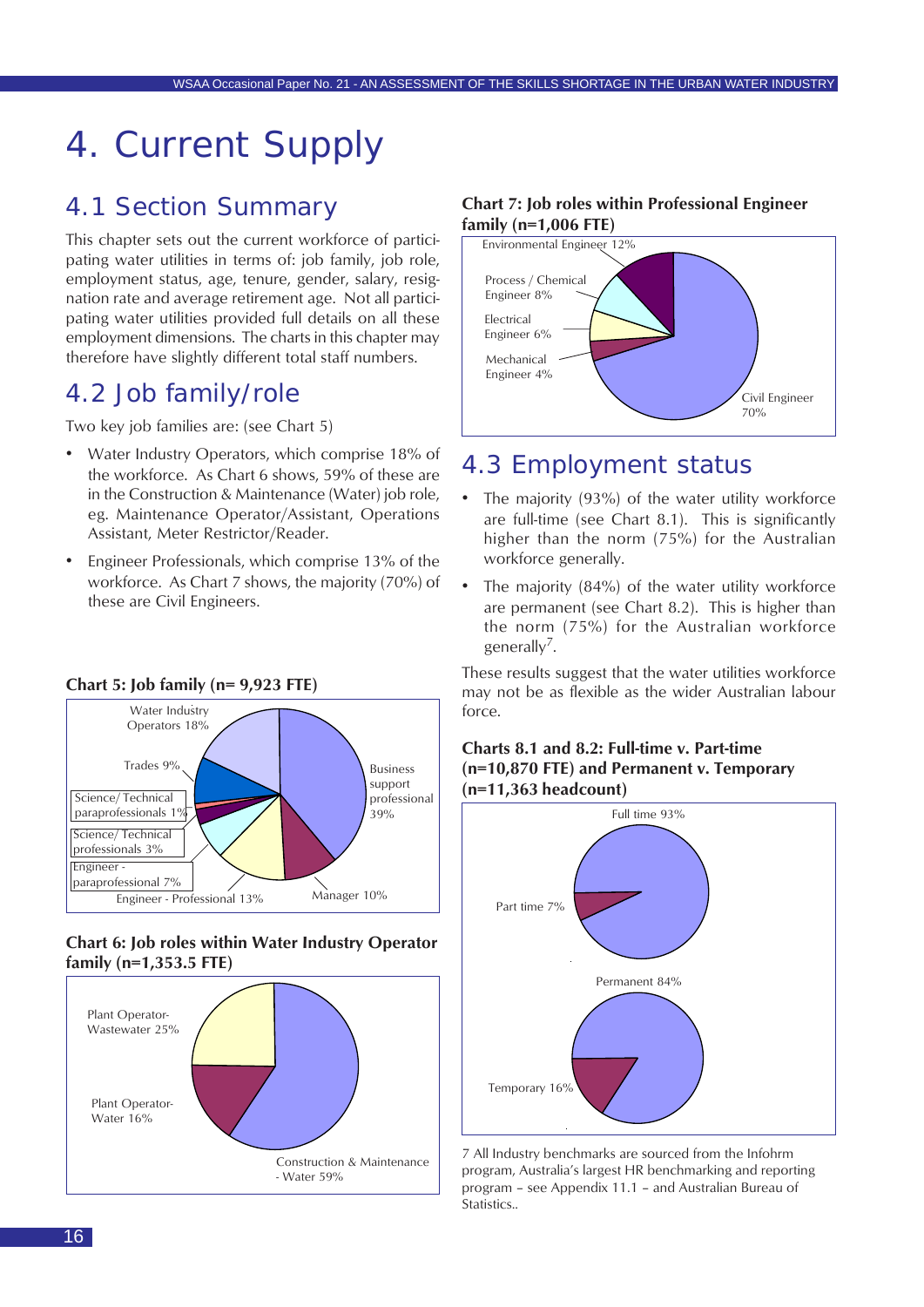## <span id="page-15-0"></span>4. Current Supply

### 4.1 Section Summary

This chapter sets out the current workforce of participating water utilities in terms of: job family, job role, employment status, age, tenure, gender, salary, resignation rate and average retirement age. Not all participating water utilities provided full details on all these employment dimensions. The charts in this chapter may therefore have slightly different total staff numbers.

### 4.2 Job family/role

Two key job families are: (see Chart 5)

- Water Industry Operators, which comprise 18% of the workforce. As Chart 6 shows, 59% of these are in the Construction & Maintenance (Water) job role, eg. Maintenance Operator/Assistant, Operations Assistant, Meter Restrictor/Reader.
- Engineer Professionals, which comprise 13% of the workforce. As Chart 7 shows, the majority (70%) of these are Civil Engineers.



#### **Chart 6: Job roles within Water Industry Operator family (n=1,353.5 FTE)**



#### **Chart 7: Job roles within Professional Engineer family (n=1,006 FTE)**



### 4.3 Employment status

- The majority (93%) of the water utility workforce are full-time (see Chart 8.1). This is significantly higher than the norm (75%) for the Australian workforce generally.
- The majority (84%) of the water utility workforce are permanent (see Chart 8.2). This is higher than the norm (75%) for the Australian workforce generally7.

These results suggest that the water utilities workforce may not be as flexible as the wider Australian labour force.





7 All Industry benchmarks are sourced from the Infohrm program, Australia's largest HR benchmarking and reporting program – see Appendix 11.1 – and Australian Bureau of Statistics..

16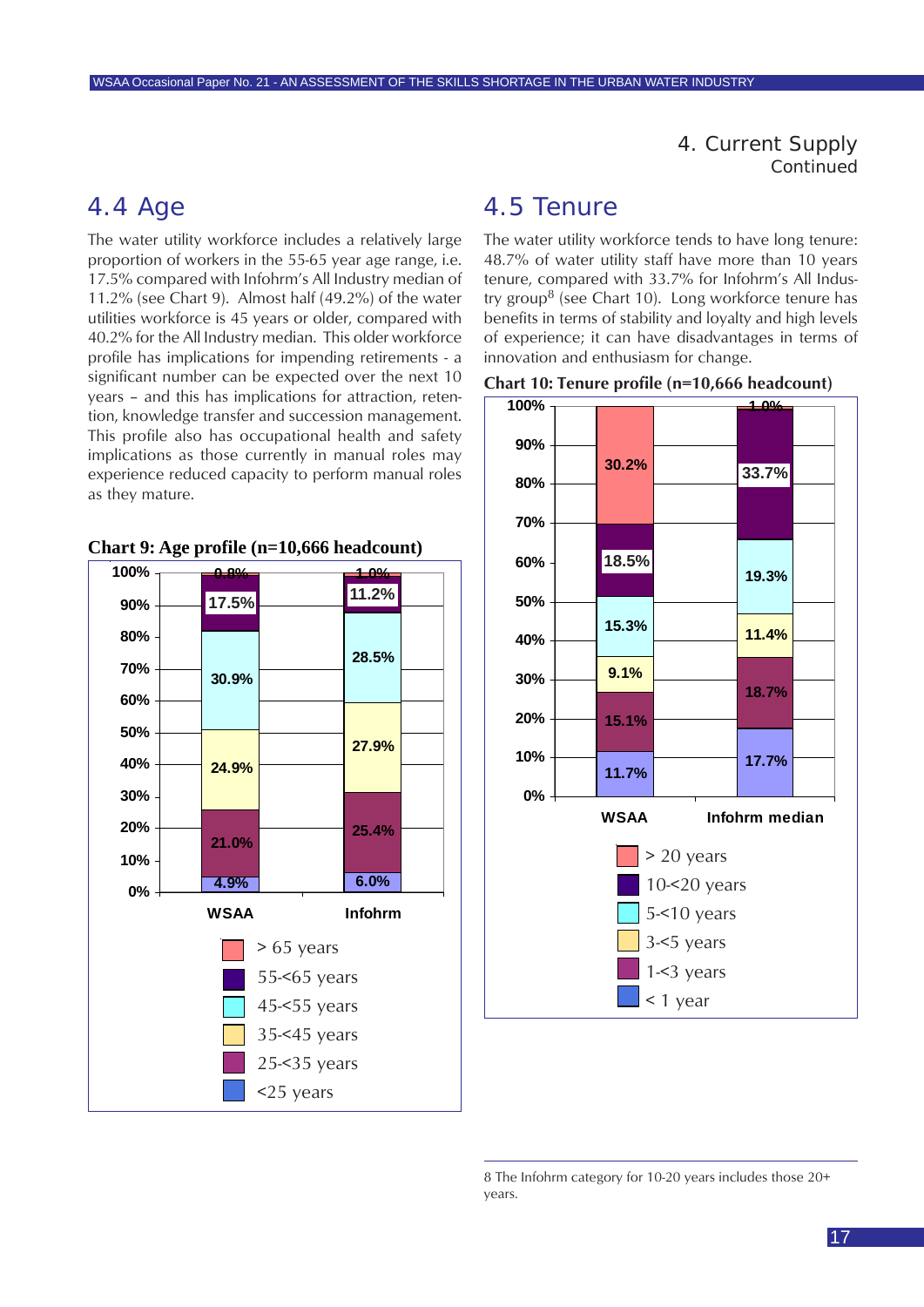4. Current Supply *Continued*

### <span id="page-16-0"></span>4.4 Age

The water utility workforce includes a relatively large proportion of workers in the 55-65 year age range, i.e. 17.5% compared with Infohrm's All Industry median of 11.2% (see Chart 9). Almost half (49.2%) of the water utilities workforce is 45 years or older, compared with 40.2% for the All Industry median. This older workforce profile has implications for impending retirements - a significant number can be expected over the next 10 years – and this has implications for attraction, retention, knowledge transfer and succession management. This profile also has occupational health and safety implications as those currently in manual roles may experience reduced capacity to perform manual roles as they mature.





### 4.5 Tenure

The water utility workforce tends to have long tenure: 48.7% of water utility staff have more than 10 years tenure, compared with 33.7% for Infohrm's All Industry group<sup>8</sup> (see Chart 10). Long workforce tenure has benefits in terms of stability and loyalty and high levels of experience; it can have disadvantages in terms of innovation and enthusiasm for change.





<sup>8</sup> The Infohrm category for 10-20 years includes those 20+ years.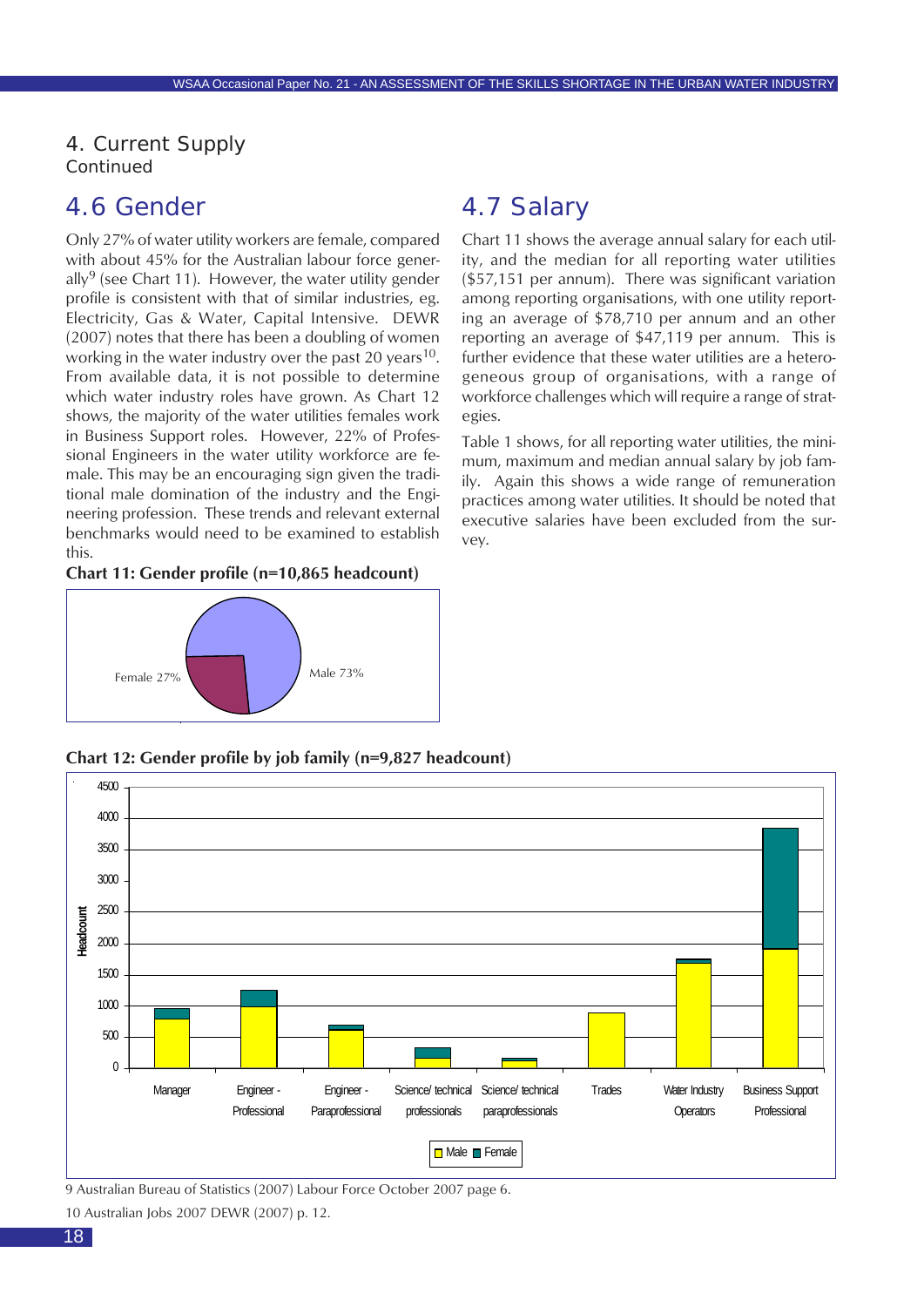<span id="page-17-0"></span>4. Current Supply *Continued*

### 4.6 Gender

Only 27% of water utility workers are female, compared with about 45% for the Australian labour force generally<sup>9</sup> (see Chart 11). However, the water utility gender profile is consistent with that of similar industries, eg. Electricity, Gas & Water, Capital Intensive. DEWR (2007) notes that there has been a doubling of women working in the water industry over the past 20 years<sup>10</sup>. From available data, it is not possible to determine which water industry roles have grown. As Chart 12 shows, the majority of the water utilities females work in Business Support roles. However, 22% of Professional Engineers in the water utility workforce are female. This may be an encouraging sign given the traditional male domination of the industry and the Engineering profession. These trends and relevant external benchmarks would need to be examined to establish this.

#### **Chart 11: Gender profile (n=10,865 headcount)**



### 4.7 Salary

Chart 11 shows the average annual salary for each utility, and the median for all reporting water utilities (\$57,151 per annum). There was significant variation among reporting organisations, with one utility reporting an average of \$78,710 per annum and an other reporting an average of \$47,119 per annum. This is further evidence that these water utilities are a heterogeneous group of organisations, with a range of workforce challenges which will require a range of strategies.

Table 1 shows, for all reporting water utilities, the minimum, maximum and median annual salary by job family. Again this shows a wide range of remuneration practices among water utilities. It should be noted that executive salaries have been excluded from the survey.

**Chart 12: Gender profile by job family (n=9,827 headcount)**



<sup>9</sup> Australian Bureau of Statistics (2007) Labour Force October 2007 page 6.

<sup>10</sup> Australian Jobs 2007 DEWR (2007) p. 12.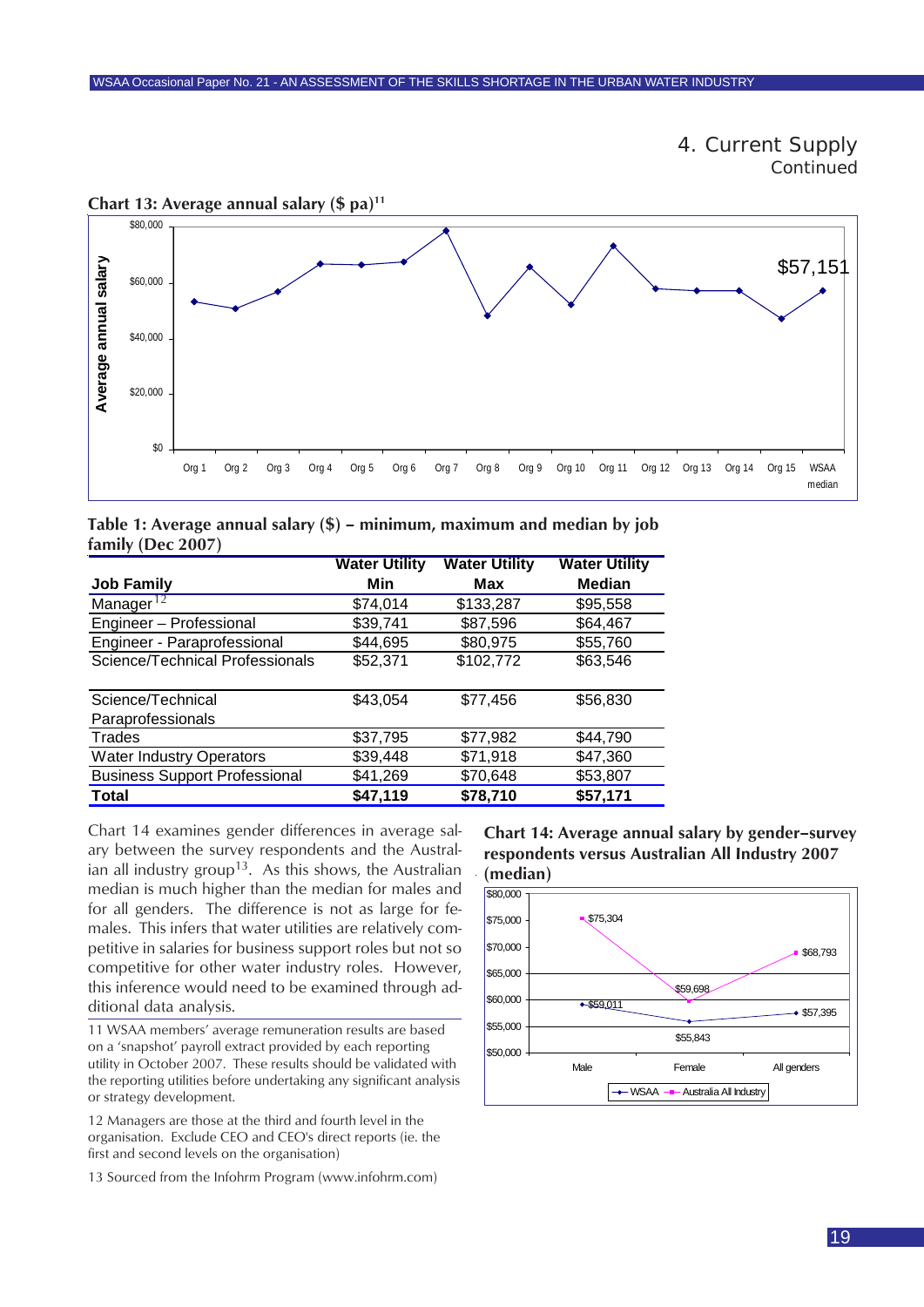



**Chart 13: Average annual salary (\$ pa)11**

| Table 1: Average annual salary $(\$)$ – minimum, maximum and median by job |  |  |  |  |
|----------------------------------------------------------------------------|--|--|--|--|
| family (Dec 2007)                                                          |  |  |  |  |

|                                      | <b>Water Utility</b> | <b>Water Utility</b> | <b>Water Utility</b> |
|--------------------------------------|----------------------|----------------------|----------------------|
| <b>Job Family</b>                    | Min                  | Max                  | <b>Median</b>        |
| Manager $12$                         | \$74,014             | \$133,287            | \$95,558             |
| Engineer - Professional              | \$39,741             | \$87,596             | \$64,467             |
| Engineer - Paraprofessional          | \$44,695             | \$80,975             | \$55,760             |
| Science/Technical Professionals      | \$52,371             | \$102,772            | \$63,546             |
|                                      |                      |                      |                      |
| Science/Technical                    | \$43,054             | \$77,456             | \$56,830             |
| Paraprofessionals                    |                      |                      |                      |
| Trades                               | \$37,795             | \$77,982             | \$44,790             |
| <b>Water Industry Operators</b>      | \$39,448             | \$71,918             | \$47,360             |
| <b>Business Support Professional</b> | \$41,269             | \$70,648             | \$53,807             |
| Total                                | \$47,119             | \$78,710             | \$57,171             |

Chart 14 examines gender differences in average salary between the survey respondents and the Australian all industry group<sup>13</sup>. As this shows, the Australian median is much higher than the median for males and for all genders. The difference is not as large for females. This infers that water utilities are relatively competitive in salaries for business support roles but not so competitive for other water industry roles. However, this inference would need to be examined through ad-

11 WSAA members' average remuneration results are based on a 'snapshot' payroll extract provided by each reporting utility in October 2007. These results should be validated with the reporting utilities before undertaking any significant analysis or strategy development.

12 Managers are those at the third and fourth level in the organisation. Exclude CEO and CEO's direct reports (ie. the first and second levels on the organisation)

13 Sourced from the Infohrm Program (www.infohrm.com)

**Chart 14: Average annual salary by gender–survey respondents versus Australian All Industry 2007**

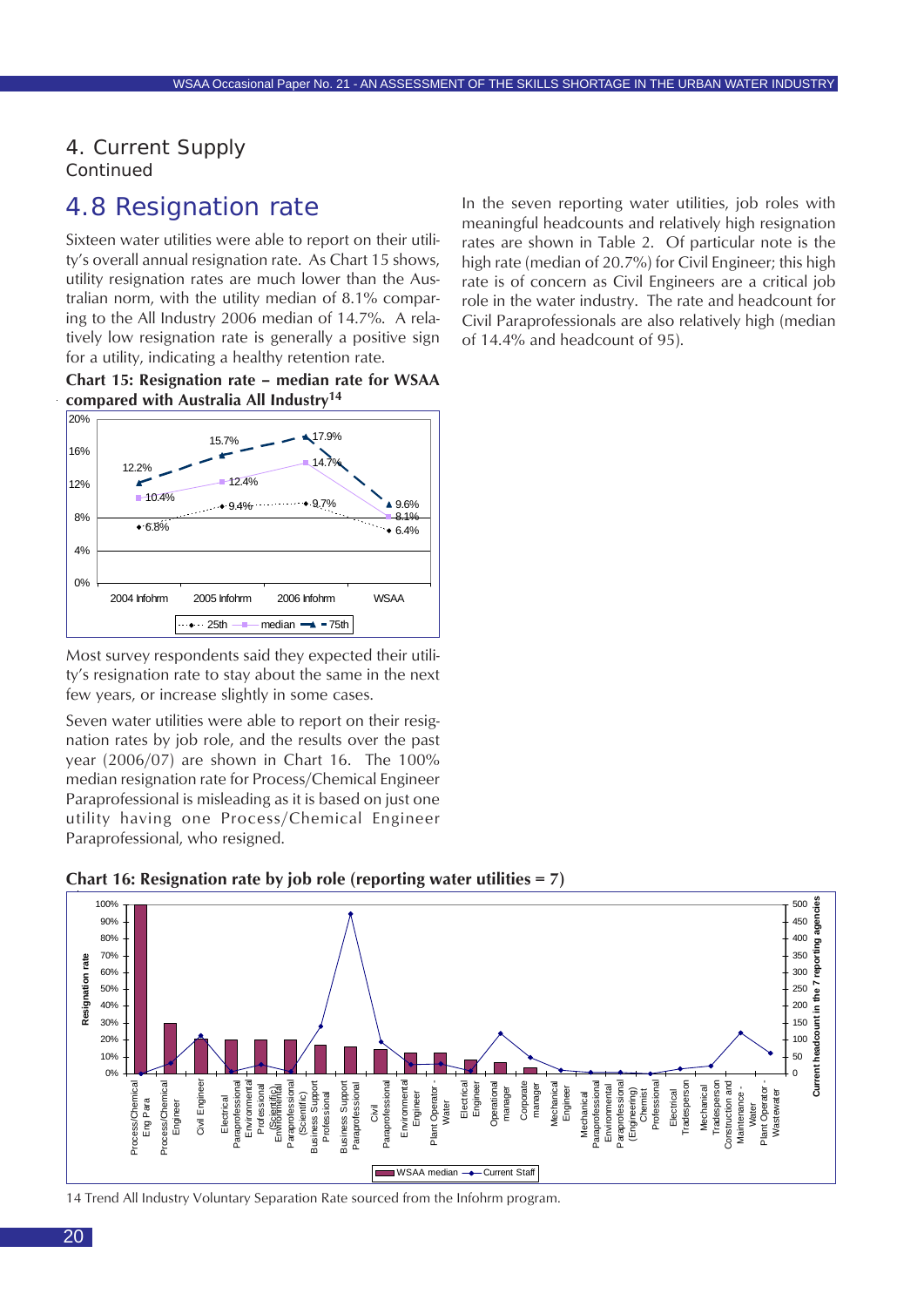<span id="page-19-0"></span>4. Current Supply *Continued*

### 4.8 Resignation rate

Sixteen water utilities were able to report on their utility's overall annual resignation rate. As Chart 15 shows, utility resignation rates are much lower than the Australian norm, with the utility median of 8.1% comparing to the All Industry 2006 median of 14.7%. A relatively low resignation rate is generally a positive sign for a utility, indicating a healthy retention rate.





Most survey respondents said they expected their utility's resignation rate to stay about the same in the next few years, or increase slightly in some cases.

Seven water utilities were able to report on their resignation rates by job role, and the results over the past year (2006/07) are shown in Chart 16. The 100% median resignation rate for Process/Chemical Engineer Paraprofessional is misleading as it is based on just one utility having one Process/Chemical Engineer Paraprofessional, who resigned.

In the seven reporting water utilities, job roles with meaningful headcounts and relatively high resignation rates are shown in Table 2. Of particular note is the high rate (median of 20.7%) for Civil Engineer; this high rate is of concern as Civil Engineers are a critical job role in the water industry. The rate and headcount for Civil Paraprofessionals are also relatively high (median

of 14.4% and headcount of 95).



**Chart 16: Resignation rate by job role (reporting water utilities = 7)**

14 Trend All Industry Voluntary Separation Rate sourced from the Infohrm program.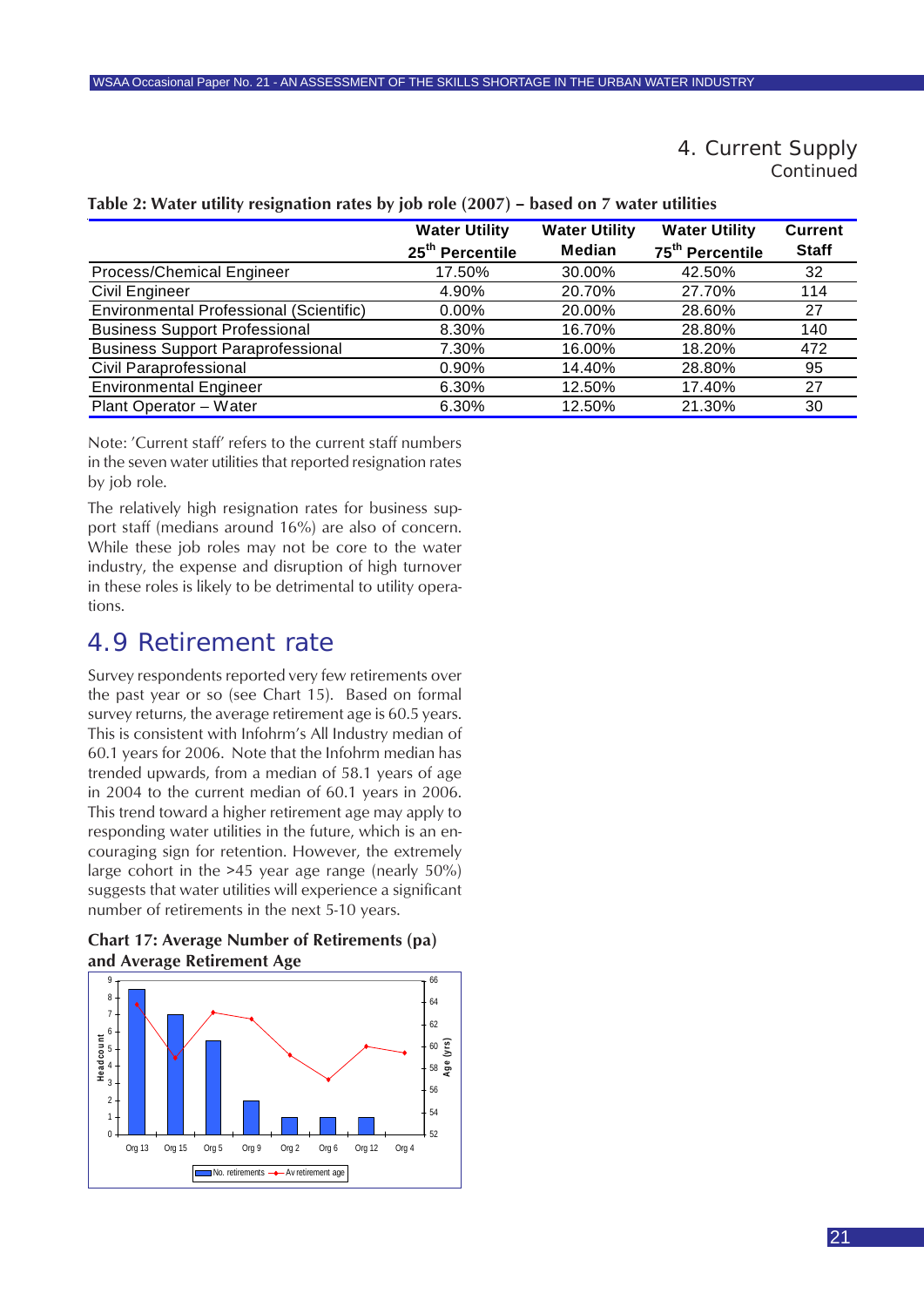#### 4. Current Supply *Continued*

|                                          | <b>Water Utility</b>        | <b>Water Utility</b> | <b>Water Utility</b>        | <b>Current</b> |
|------------------------------------------|-----------------------------|----------------------|-----------------------------|----------------|
|                                          | 25 <sup>th</sup> Percentile | <b>Median</b>        | 75 <sup>th</sup> Percentile | <b>Staff</b>   |
| Process/Chemical Engineer                | 17.50%                      | 30.00%               | 42.50%                      | 32             |
| <b>Civil Engineer</b>                    | 4.90%                       | 20.70%               | 27.70%                      | 114            |
| Environmental Professional (Scientific)  | $0.00\%$                    | 20.00%               | 28.60%                      | 27             |
| <b>Business Support Professional</b>     | 8.30%                       | 16.70%               | 28.80%                      | 140            |
| <b>Business Support Paraprofessional</b> | 7.30%                       | 16.00%               | 18.20%                      | 472            |
| <b>Civil Paraprofessional</b>            | $0.90\%$                    | 14.40%               | 28.80%                      | 95             |
| <b>Environmental Engineer</b>            | 6.30%                       | 12.50%               | 17.40%                      | 27             |
| Plant Operator - Water                   | 6.30%                       | 12.50%               | 21.30%                      | 30             |

#### <span id="page-20-0"></span>**Table 2: Water utility resignation rates by job role (2007) – based on 7 water utilities**

Note: 'Current staff' refers to the current staff numbers in the seven water utilities that reported resignation rates by job role.

The relatively high resignation rates for business support staff (medians around 16%) are also of concern. While these job roles may not be core to the water industry, the expense and disruption of high turnover in these roles is likely to be detrimental to utility operations.

### 4.9 Retirement rate

Survey respondents reported very few retirements over the past year or so (see Chart 15). Based on formal survey returns, the average retirement age is 60.5 years. This is consistent with Infohrm's All Industry median of 60.1 years for 2006. Note that the Infohrm median has trended upwards, from a median of 58.1 years of age in 2004 to the current median of 60.1 years in 2006. This trend toward a higher retirement age may apply to responding water utilities in the future, which is an encouraging sign for retention. However, the extremely large cohort in the >45 year age range (nearly 50%) suggests that water utilities will experience a significant number of retirements in the next 5-10 years.

**Chart 17: Average Number of Retirements (pa) and Average Retirement Age**

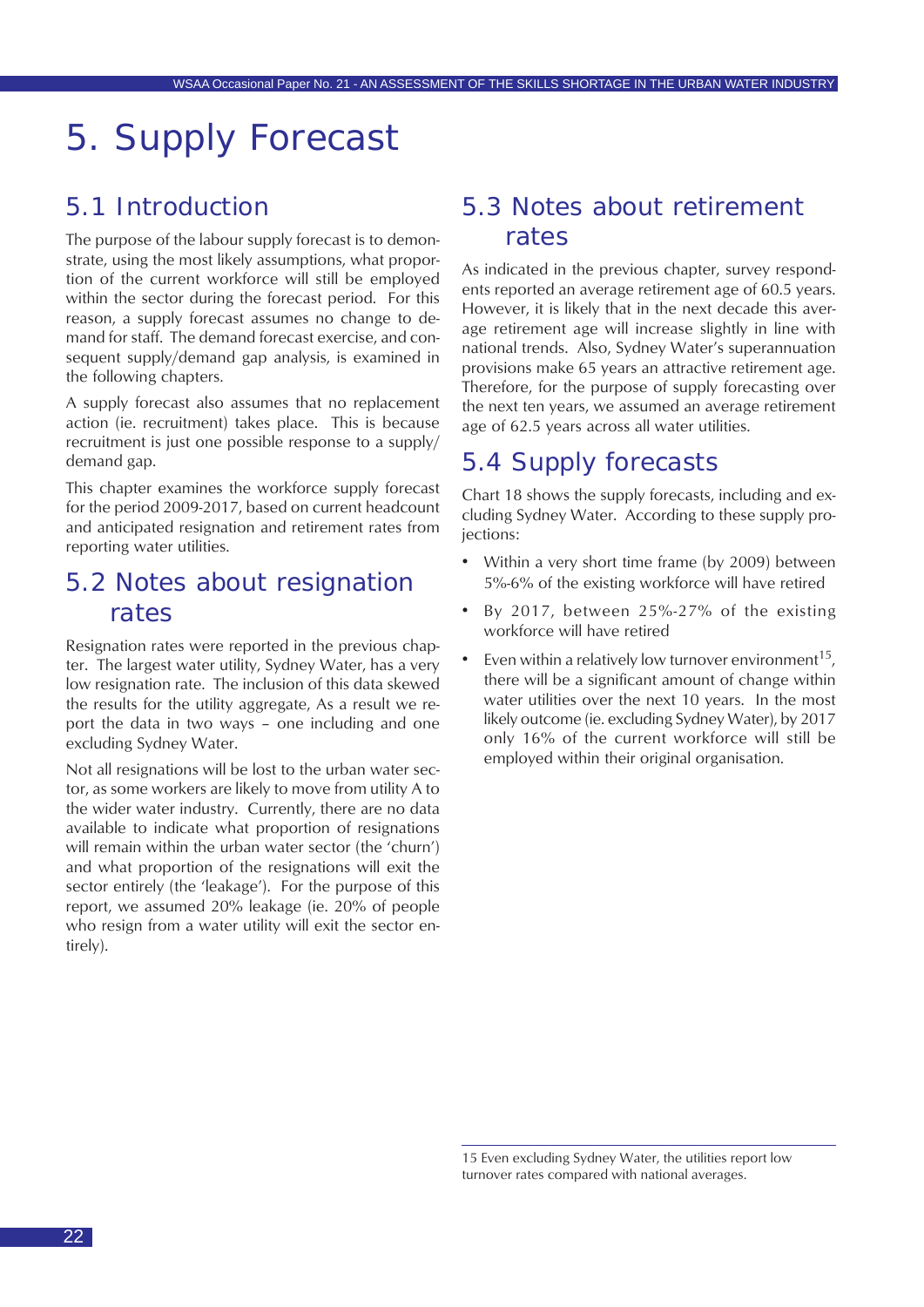## <span id="page-21-0"></span>5. Supply Forecast

### 5.1 Introduction

The purpose of the labour supply forecast is to demonstrate, using the most likely assumptions, what proportion of the current workforce will still be employed within the sector during the forecast period. For this reason, a supply forecast assumes no change to demand for staff. The demand forecast exercise, and consequent supply/demand gap analysis, is examined in the following chapters.

A supply forecast also assumes that no replacement action (ie. recruitment) takes place. This is because recruitment is just one possible response to a supply/ demand gap.

This chapter examines the workforce supply forecast for the period 2009-2017, based on current headcount and anticipated resignation and retirement rates from reporting water utilities.

### 5.2 Notes about resignation rates

Resignation rates were reported in the previous chapter. The largest water utility, Sydney Water, has a very low resignation rate. The inclusion of this data skewed the results for the utility aggregate, As a result we report the data in two ways – one including and one excluding Sydney Water.

Not all resignations will be lost to the urban water sector, as some workers are likely to move from utility A to the wider water industry. Currently, there are no data available to indicate what proportion of resignations will remain within the urban water sector (the 'churn') and what proportion of the resignations will exit the sector entirely (the 'leakage'). For the purpose of this report, we assumed 20% leakage (ie. 20% of people who resign from a water utility will exit the sector entirely).

### 5.3 Notes about retirement rates

As indicated in the previous chapter, survey respondents reported an average retirement age of 60.5 years. However, it is likely that in the next decade this average retirement age will increase slightly in line with national trends. Also, Sydney Water's superannuation provisions make 65 years an attractive retirement age. Therefore, for the purpose of supply forecasting over the next ten years, we assumed an average retirement age of 62.5 years across all water utilities.

### 5.4 Supply forecasts

Chart 18 shows the supply forecasts, including and excluding Sydney Water. According to these supply projections:

- Within a very short time frame (by 2009) between 5%-6% of the existing workforce will have retired
- By 2017, between 25%-27% of the existing workforce will have retired
- Even within a relatively low turnover environment<sup>15</sup>, there will be a significant amount of change within water utilities over the next 10 years. In the most likely outcome (ie. excluding Sydney Water), by 2017 only 16% of the current workforce will still be employed within their original organisation.

<sup>15</sup> Even excluding Sydney Water, the utilities report low turnover rates compared with national averages.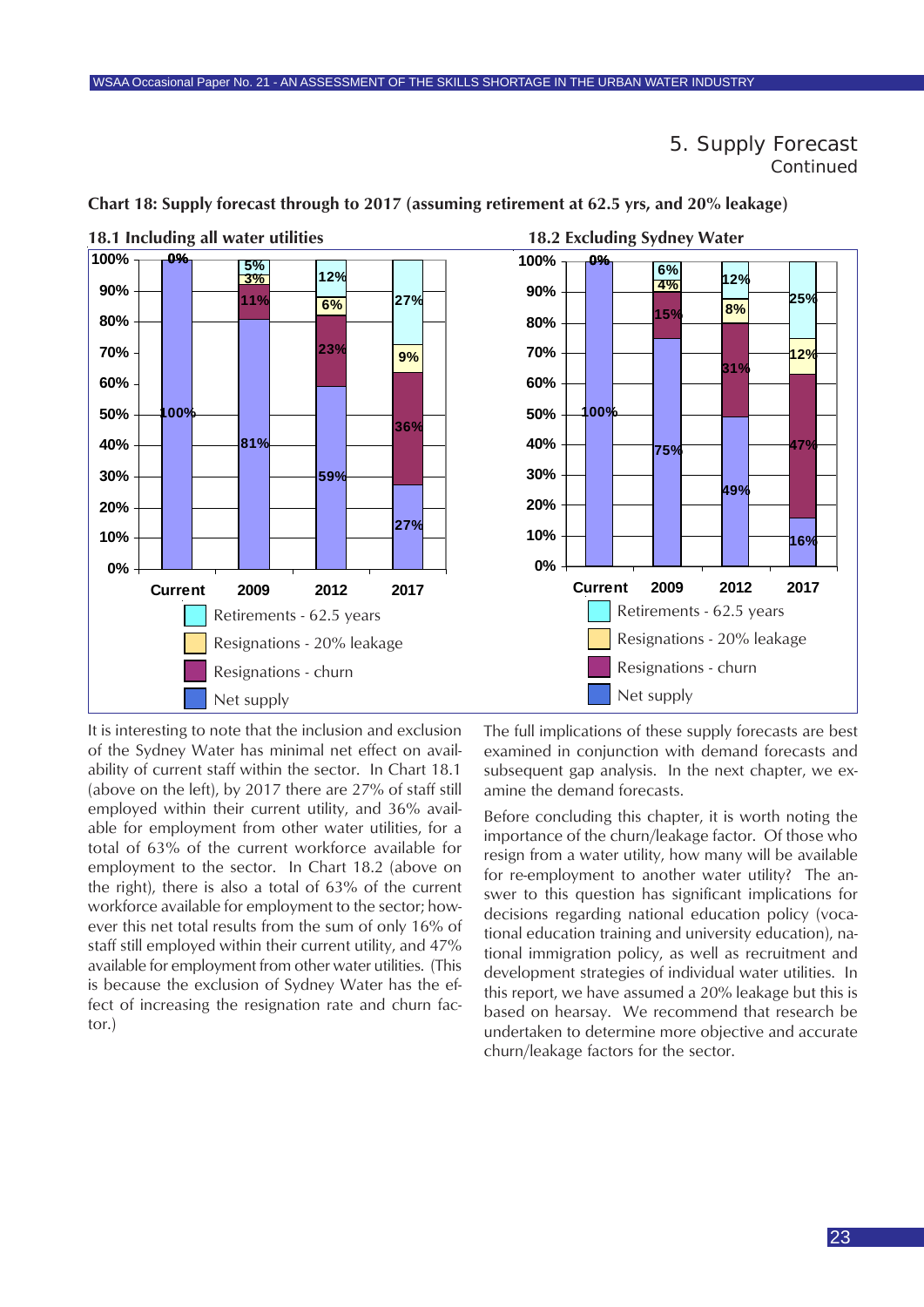5. Supply Forecast *Continued*



<span id="page-22-0"></span>**Chart 18: Supply forecast through to 2017 (assuming retirement at 62.5 yrs, and 20% leakage)**

It is interesting to note that the inclusion and exclusion of the Sydney Water has minimal net effect on availability of current staff within the sector. In Chart 18.1 (above on the left), by 2017 there are 27% of staff still employed within their current utility, and 36% available for employment from other water utilities, for a total of 63% of the current workforce available for employment to the sector. In Chart 18.2 (above on the right), there is also a total of 63% of the current workforce available for employment to the sector; however this net total results from the sum of only 16% of staff still employed within their current utility, and 47% available for employment from other water utilities. (This is because the exclusion of Sydney Water has the effect of increasing the resignation rate and churn factor.)

**18.1 Including all water utilities 18.2 Excluding Sydney Water**

The full implications of these supply forecasts are best examined in conjunction with demand forecasts and subsequent gap analysis. In the next chapter, we examine the demand forecasts.

Before concluding this chapter, it is worth noting the importance of the churn/leakage factor. Of those who resign from a water utility, how many will be available for re-employment to another water utility? The answer to this question has significant implications for decisions regarding national education policy (vocational education training and university education), national immigration policy, as well as recruitment and development strategies of individual water utilities. In this report, we have assumed a 20% leakage but this is based on hearsay. We recommend that research be undertaken to determine more objective and accurate churn/leakage factors for the sector.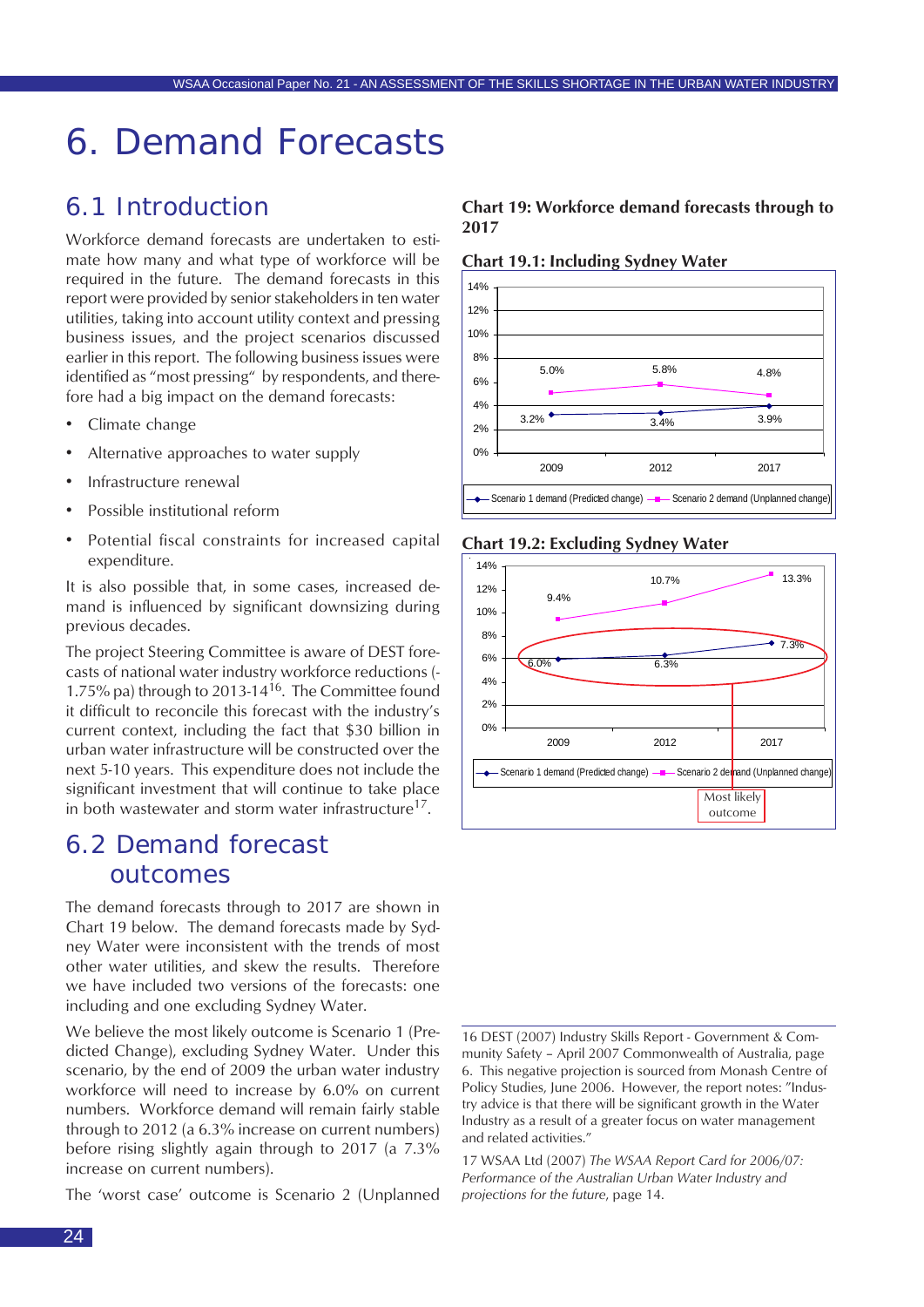## <span id="page-23-0"></span>6. Demand Forecasts

### 6.1 Introduction

Workforce demand forecasts are undertaken to estimate how many and what type of workforce will be required in the future. The demand forecasts in this report were provided by senior stakeholders in ten water utilities, taking into account utility context and pressing business issues, and the project scenarios discussed earlier in this report. The following business issues were identified as "most pressing" by respondents, and therefore had a big impact on the demand forecasts:

- Climate change
- Alternative approaches to water supply
- Infrastructure renewal
- Possible institutional reform
- Potential fiscal constraints for increased capital expenditure.

It is also possible that, in some cases, increased demand is influenced by significant downsizing during previous decades.

The project Steering Committee is aware of DEST forecasts of national water industry workforce reductions (- 1.75% pa) through to 2013-14<sup>16</sup>. The Committee found it difficult to reconcile this forecast with the industry's current context, including the fact that \$30 billion in urban water infrastructure will be constructed over the next 5-10 years. This expenditure does not include the significant investment that will continue to take place in both wastewater and storm water infrastructure<sup>17</sup>.

### 6.2 Demand forecast outcomes

The demand forecasts through to 2017 are shown in Chart 19 below. The demand forecasts made by Sydney Water were inconsistent with the trends of most other water utilities, and skew the results. Therefore we have included two versions of the forecasts: one including and one excluding Sydney Water.

We believe the most likely outcome is Scenario 1 (Predicted Change), excluding Sydney Water. Under this scenario, by the end of 2009 the urban water industry workforce will need to increase by 6.0% on current numbers. Workforce demand will remain fairly stable through to 2012 (a 6.3% increase on current numbers) before rising slightly again through to 2017 (a 7.3% increase on current numbers).

The 'worst case' outcome is Scenario 2 (Unplanned

#### **Chart 19: Workforce demand forecasts through to 2017**

**Chart 19.1: Including Sydney Water**



#### **Chart 19.2: Excluding Sydney Water**



16 DEST (2007) Industry Skills Report - Government & Community Safety – April 2007 Commonwealth of Australia, page 6. This negative projection is sourced from Monash Centre of Policy Studies, June 2006. However, the report notes: "Industry advice is that there will be significant growth in the Water Industry as a result of a greater focus on water management and related activities."

17 WSAA Ltd (2007) *The WSAA Report Card for 2006/07: Performance of the Australian Urban Water Industry and projections for the future*, page 14.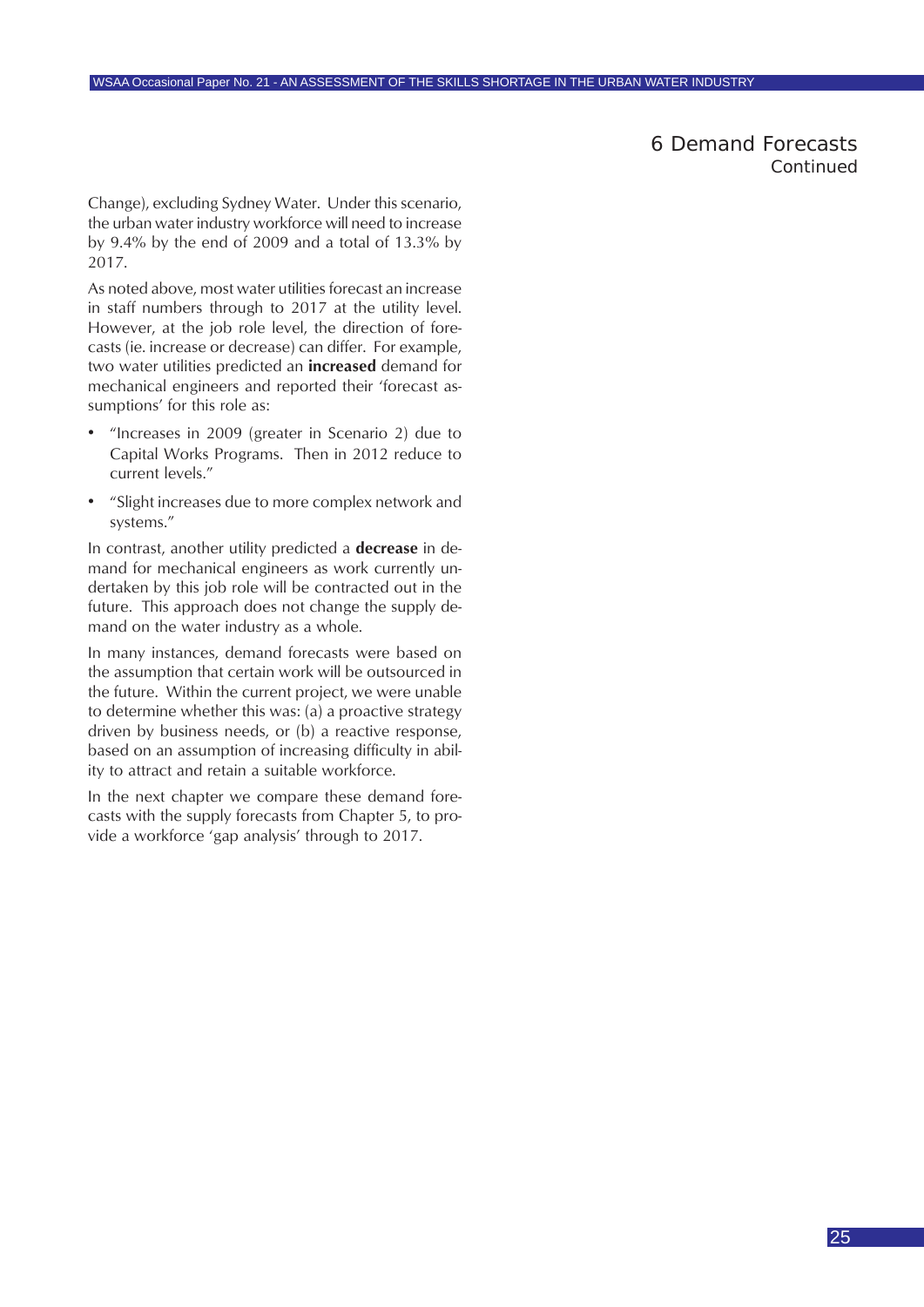6 Demand Forecasts *Continued*

<span id="page-24-0"></span>Change), excluding Sydney Water. Under this scenario, the urban water industry workforce will need to increase by 9.4% by the end of 2009 and a total of 13.3% by 2017.

As noted above, most water utilities forecast an increase in staff numbers through to 2017 at the utility level. However, at the job role level, the direction of forecasts (ie. increase or decrease) can differ. For example, two water utilities predicted an **increased** demand for mechanical engineers and reported their 'forecast assumptions' for this role as:

- "Increases in 2009 (greater in Scenario 2) due to Capital Works Programs. Then in 2012 reduce to current levels."
- "Slight increases due to more complex network and systems."

In contrast, another utility predicted a **decrease** in demand for mechanical engineers as work currently undertaken by this job role will be contracted out in the future. This approach does not change the supply demand on the water industry as a whole.

In many instances, demand forecasts were based on the assumption that certain work will be outsourced in the future. Within the current project, we were unable to determine whether this was: (a) a proactive strategy driven by business needs, or (b) a reactive response, based on an assumption of increasing difficulty in ability to attract and retain a suitable workforce.

In the next chapter we compare these demand forecasts with the supply forecasts from Chapter 5, to provide a workforce 'gap analysis' through to 2017.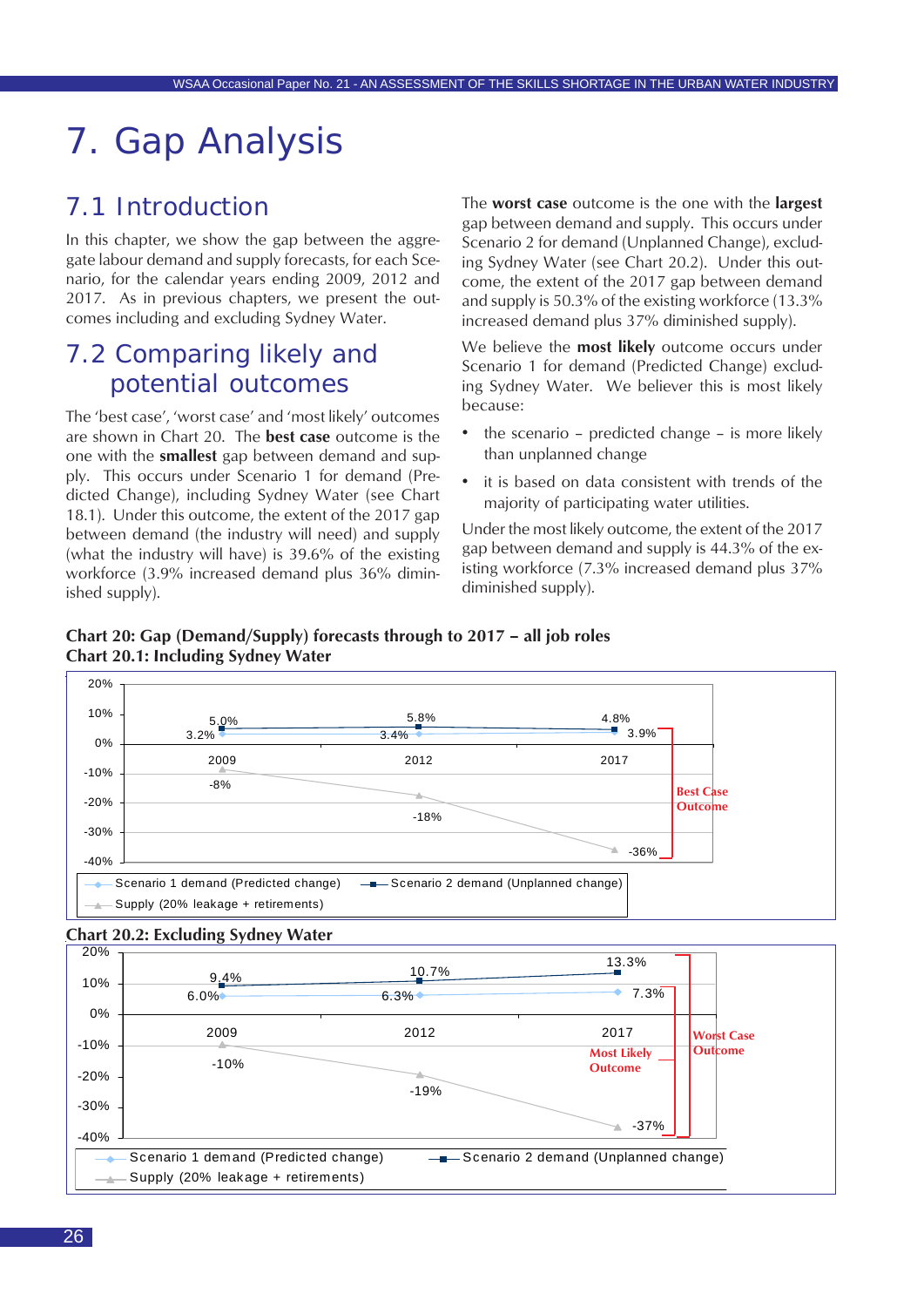## <span id="page-25-0"></span>7. Gap Analysis

### 7.1 Introduction

In this chapter, we show the gap between the aggregate labour demand and supply forecasts, for each Scenario, for the calendar years ending 2009, 2012 and 2017. As in previous chapters, we present the outcomes including and excluding Sydney Water.

### 7.2 Comparing likely and potential outcomes

The 'best case', 'worst case' and 'most likely' outcomes are shown in Chart 20. The **best case** outcome is the one with the **smallest** gap between demand and supply. This occurs under Scenario 1 for demand (Predicted Change), including Sydney Water (see Chart 18.1). Under this outcome, the extent of the 2017 gap between demand (the industry will need) and supply (what the industry will have) is 39.6% of the existing workforce (3.9% increased demand plus 36% diminished supply).

The **worst case** outcome is the one with the **largest** gap between demand and supply. This occurs under Scenario 2 for demand (Unplanned Change), excluding Sydney Water (see Chart 20.2). Under this outcome, the extent of the 2017 gap between demand and supply is 50.3% of the existing workforce (13.3% increased demand plus 37% diminished supply).

We believe the **most likely** outcome occurs under Scenario 1 for demand (Predicted Change) excluding Sydney Water. We believer this is most likely because:

- the scenario predicted change is more likely than unplanned change
- it is based on data consistent with trends of the majority of participating water utilities.

Under the most likely outcome, the extent of the 2017 gap between demand and supply is 44.3% of the existing workforce (7.3% increased demand plus 37% diminished supply).





#### **Chart 20.2: Excluding Sydney Water**

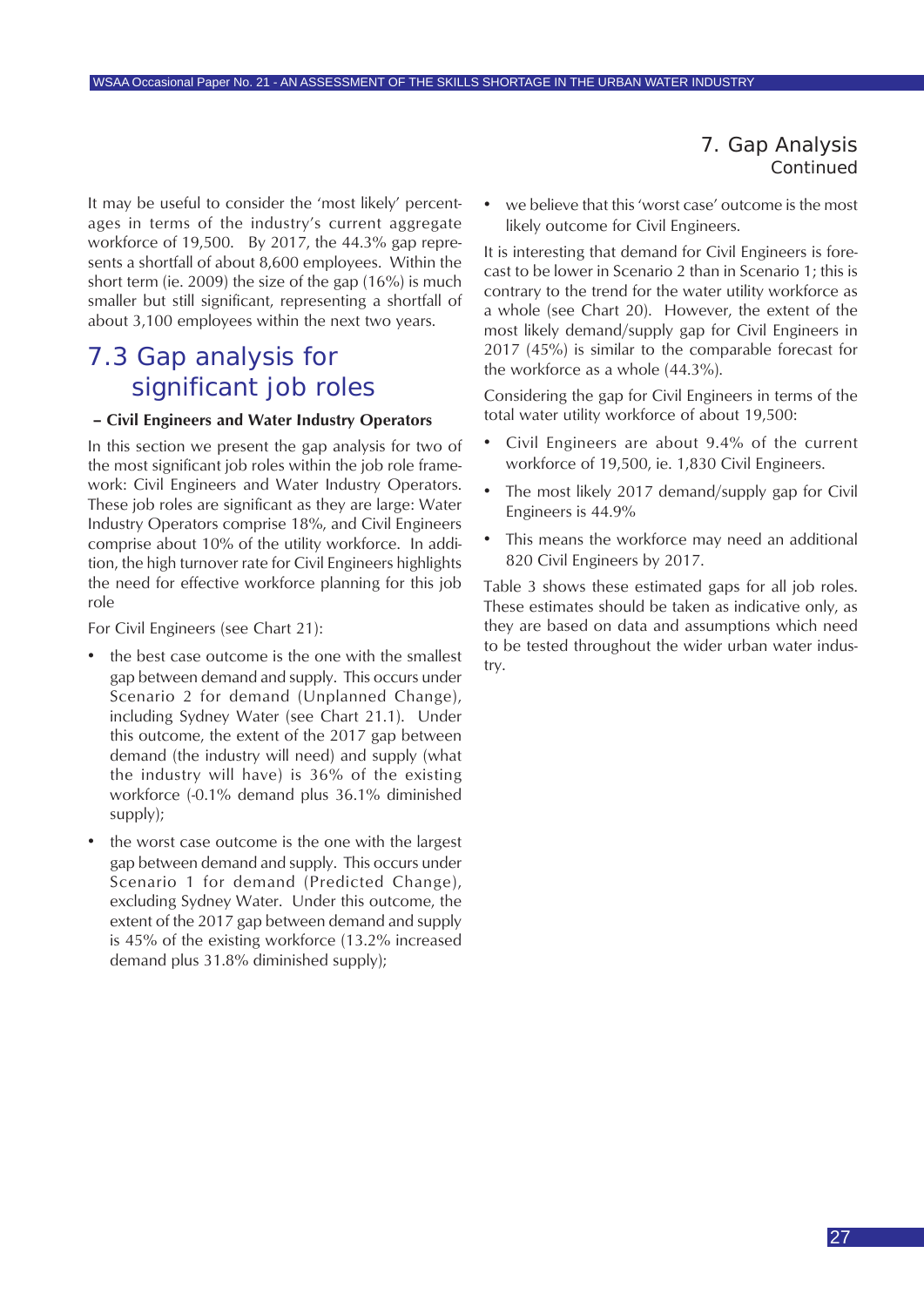It may be useful to consider the 'most likely' percentages in terms of the industry's current aggregate workforce of 19,500. By 2017, the 44.3% gap represents a shortfall of about 8,600 employees. Within the short term (ie. 2009) the size of the gap (16%) is much smaller but still significant, representing a shortfall of about 3,100 employees within the next two years.

### 7.3 Gap analysis for significant job roles

#### **– Civil Engineers and Water Industry Operators**

In this section we present the gap analysis for two of the most significant job roles within the job role framework: Civil Engineers and Water Industry Operators. These job roles are significant as they are large: Water Industry Operators comprise 18%, and Civil Engineers comprise about 10% of the utility workforce. In addition, the high turnover rate for Civil Engineers highlights the need for effective workforce planning for this job role

For Civil Engineers (see Chart 21):

- the best case outcome is the one with the smallest gap between demand and supply. This occurs under Scenario 2 for demand (Unplanned Change), including Sydney Water (see Chart 21.1). Under this outcome, the extent of the 2017 gap between demand (the industry will need) and supply (what the industry will have) is 36% of the existing workforce (-0.1% demand plus 36.1% diminished supply);
- the worst case outcome is the one with the largest gap between demand and supply. This occurs under Scenario 1 for demand (Predicted Change), excluding Sydney Water. Under this outcome, the extent of the 2017 gap between demand and supply is 45% of the existing workforce (13.2% increased demand plus 31.8% diminished supply);

we believe that this 'worst case' outcome is the most likely outcome for Civil Engineers.

It is interesting that demand for Civil Engineers is forecast to be lower in Scenario 2 than in Scenario 1; this is contrary to the trend for the water utility workforce as a whole (see Chart 20). However, the extent of the most likely demand/supply gap for Civil Engineers in 2017 (45%) is similar to the comparable forecast for the workforce as a whole (44.3%).

Considering the gap for Civil Engineers in terms of the total water utility workforce of about 19,500:

- Civil Engineers are about 9.4% of the current workforce of 19,500, ie. 1,830 Civil Engineers.
- The most likely 2017 demand/supply gap for Civil Engineers is 44.9%
- This means the workforce may need an additional 820 Civil Engineers by 2017.

Table 3 shows these estimated gaps for all job roles. These estimates should be taken as indicative only, as they are based on data and assumptions which need to be tested throughout the wider urban water industry.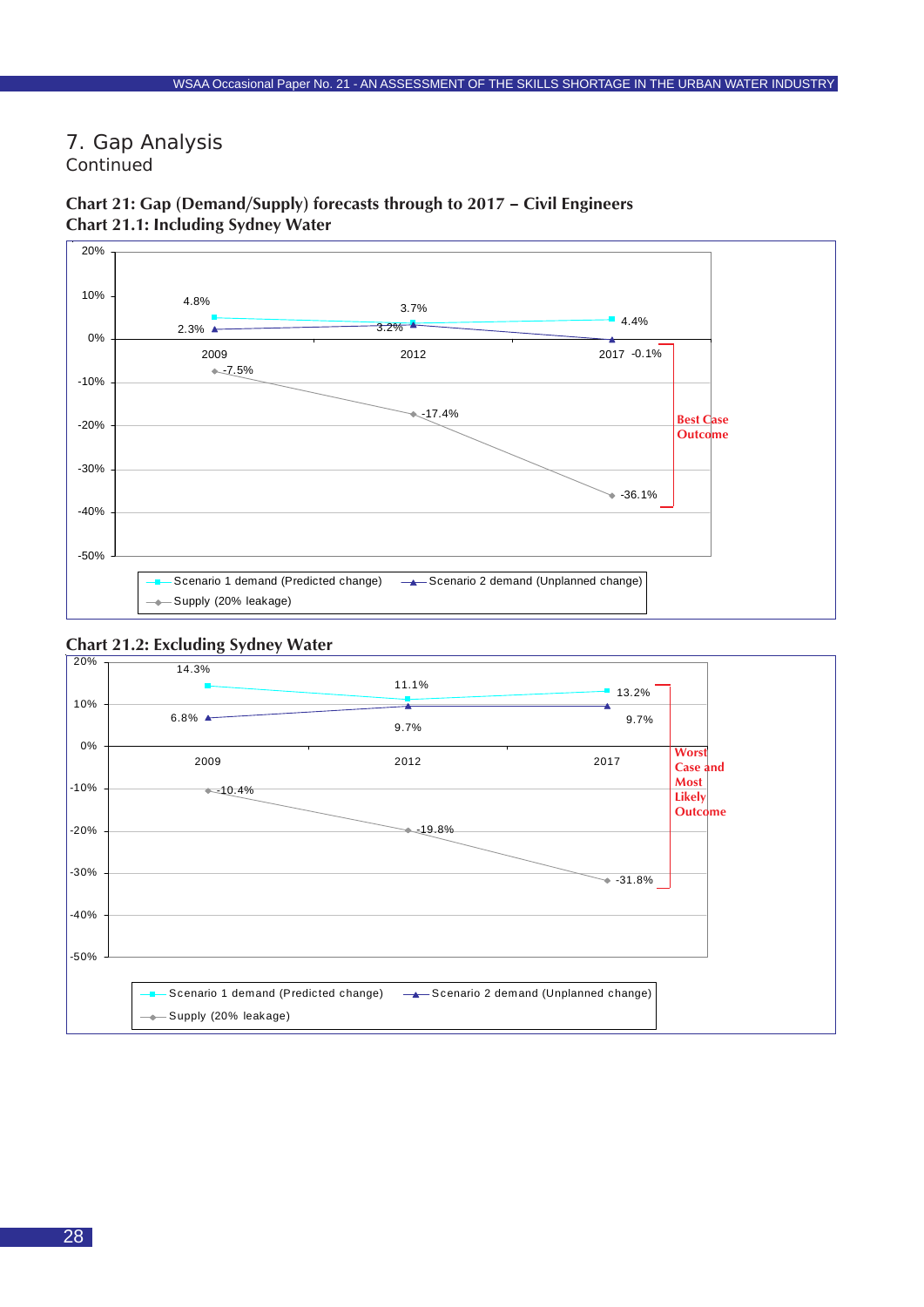



### **Chart 21: Gap (Demand/Supply) forecasts through to 2017 – Civil Engineers Chart 21.1: Including Sydney Water**



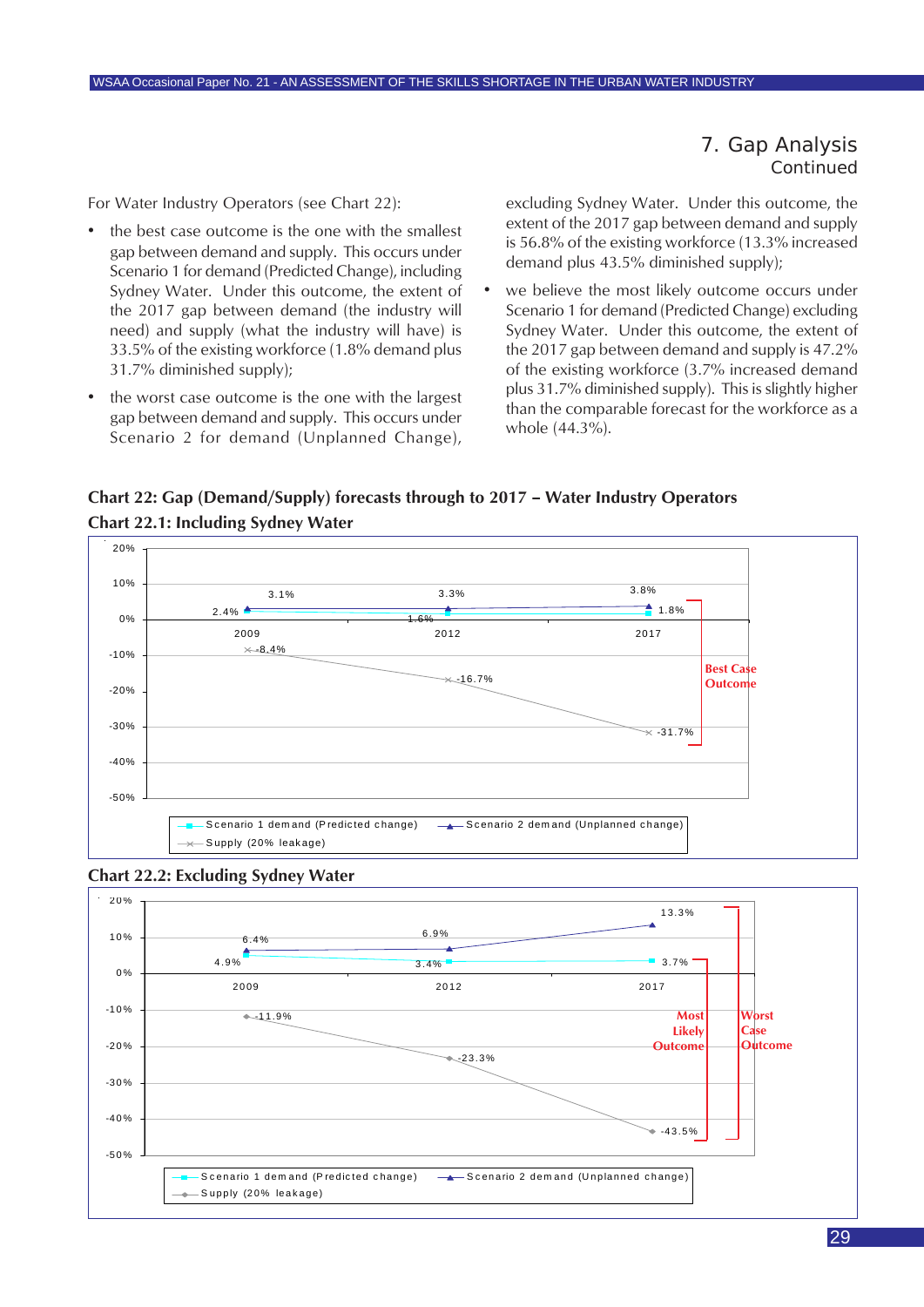For Water Industry Operators (see Chart 22):

- the best case outcome is the one with the smallest gap between demand and supply. This occurs under Scenario 1 for demand (Predicted Change), including Sydney Water. Under this outcome, the extent of the 2017 gap between demand (the industry will need) and supply (what the industry will have) is 33.5% of the existing workforce (1.8% demand plus 31.7% diminished supply);
- the worst case outcome is the one with the largest gap between demand and supply. This occurs under Scenario 2 for demand (Unplanned Change),

excluding Sydney Water. Under this outcome, the extent of the 2017 gap between demand and supply is 56.8% of the existing workforce (13.3% increased demand plus 43.5% diminished supply);

• we believe the most likely outcome occurs under Scenario 1 for demand (Predicted Change) excluding Sydney Water. Under this outcome, the extent of the 2017 gap between demand and supply is 47.2% of the existing workforce (3.7% increased demand plus 31.7% diminished supply). This is slightly higher than the comparable forecast for the workforce as a whole (44.3%).

**Chart 22: Gap (Demand/Supply) forecasts through to 2017 – Water Industry Operators Chart 22.1: Including Sydney Water**





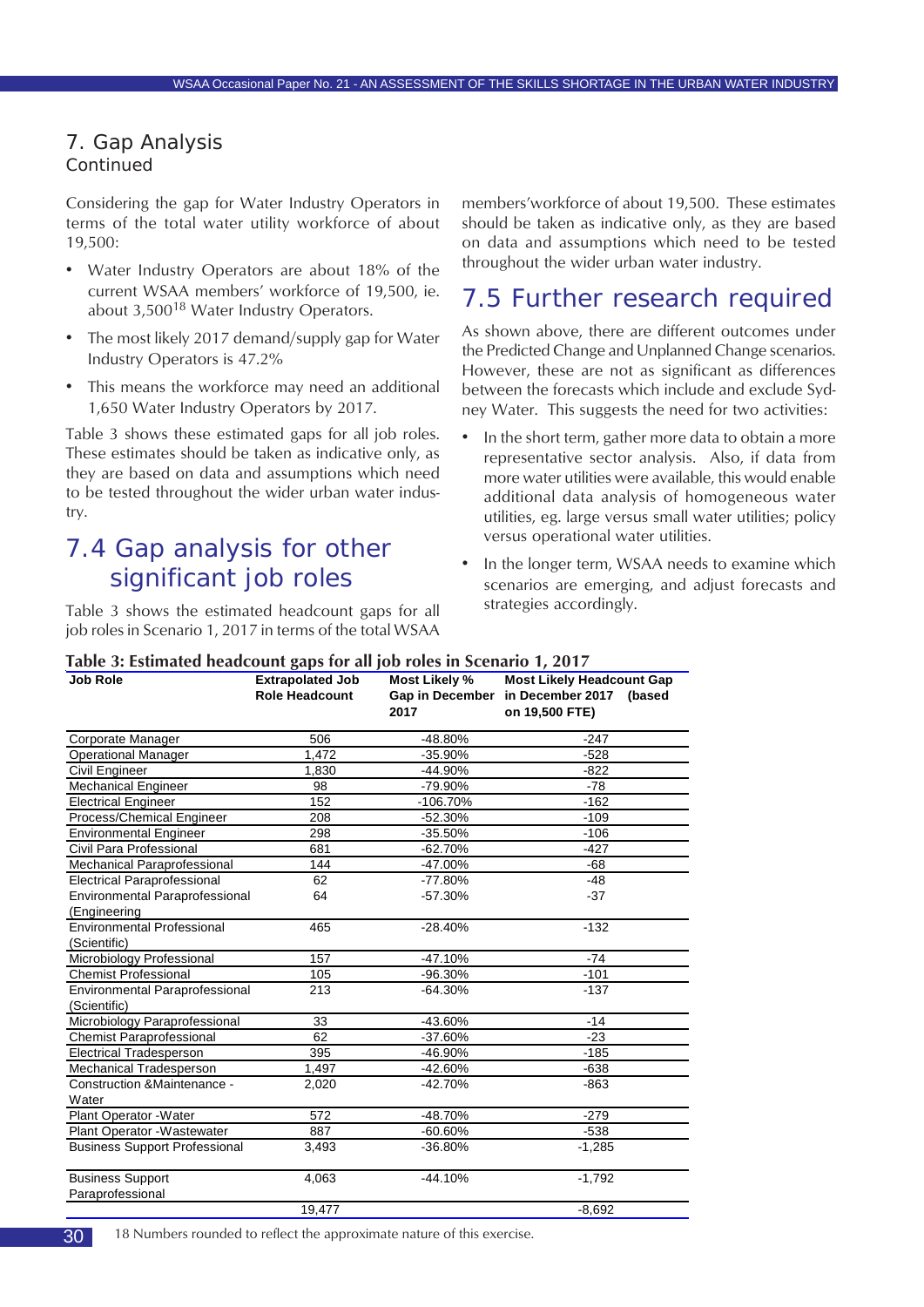<span id="page-29-0"></span>Considering the gap for Water Industry Operators in terms of the total water utility workforce of about 19,500:

- Water Industry Operators are about 18% of the current WSAA members' workforce of 19,500, ie. about  $3,500^{18}$  Water Industry Operators.
- The most likely 2017 demand/supply gap for Water Industry Operators is 47.2%
- This means the workforce may need an additional 1,650 Water Industry Operators by 2017.

Table 3 shows these estimated gaps for all job roles. These estimates should be taken as indicative only, as they are based on data and assumptions which need to be tested throughout the wider urban water industry.

### 7.4 Gap analysis for other significant job roles

Table 3 shows the estimated headcount gaps for all job roles in Scenario 1, 2017 in terms of the total WSAA members'workforce of about 19,500. These estimates should be taken as indicative only, as they are based on data and assumptions which need to be tested throughout the wider urban water industry.

### 7.5 Further research required

As shown above, there are different outcomes under the Predicted Change and Unplanned Change scenarios. However, these are not as significant as differences between the forecasts which include and exclude Sydney Water. This suggests the need for two activities:

- In the short term, gather more data to obtain a more representative sector analysis. Also, if data from more water utilities were available, this would enable additional data analysis of homogeneous water utilities, eg. large versus small water utilities; policy versus operational water utilities.
- In the longer term, WSAA needs to examine which scenarios are emerging, and adjust forecasts and strategies accordingly.

| <b>Job Role</b>                      | <b>Extrapolated Job</b> | Most Likely % | <b>Most Likely Headcount Gap</b>           |
|--------------------------------------|-------------------------|---------------|--------------------------------------------|
|                                      | <b>Role Headcount</b>   |               | Gap in December in December 2017<br>(based |
|                                      |                         | 2017          | on 19,500 FTE)                             |
| Corporate Manager                    | 506                     | -48.80%       | $-247$                                     |
| <b>Operational Manager</b>           | 1,472                   | $-35.90%$     | $-528$                                     |
| Civil Engineer                       | 1,830                   | -44.90%       | $-822$                                     |
| <b>Mechanical Engineer</b>           | 98                      | -79.90%       | $-78$                                      |
| <b>Electrical Engineer</b>           | 152                     | $-106.70%$    | $-162$                                     |
| Process/Chemical Engineer            | 208                     | $-52.30%$     | $-109$                                     |
| <b>Environmental Engineer</b>        | 298                     | $-35.50%$     | $-106$                                     |
| Civil Para Professional              | 681                     | $-62.70%$     | $-427$                                     |
| Mechanical Paraprofessional          | 144                     | $-47.00%$     | -68                                        |
| <b>Electrical Paraprofessional</b>   | 62                      | $-77.80%$     | $-48$                                      |
| Environmental Paraprofessional       | 64                      | $-57.30%$     | $-37$                                      |
| (Engineering                         |                         |               |                                            |
| <b>Environmental Professional</b>    | 465                     | $-28.40%$     | $-132$                                     |
| (Scientific)                         |                         |               |                                            |
| Microbiology Professional            | 157                     | $-47.10%$     | $-74$                                      |
| <b>Chemist Professional</b>          | 105                     | -96.30%       | $-101$                                     |
| Environmental Paraprofessional       | 213                     | $-64.30%$     | $-137$                                     |
| (Scientific)                         |                         |               |                                            |
| Microbiology Paraprofessional        | 33                      | -43.60%       | $-14$                                      |
| <b>Chemist Paraprofessional</b>      | 62                      | $-37.60%$     | $-23$                                      |
| <b>Electrical Tradesperson</b>       | 395                     | -46.90%       | $-185$                                     |
| Mechanical Tradesperson              | 1,497                   | -42.60%       | $-638$                                     |
| Construction & Maintenance -         | 2,020                   | $-42.70%$     | $-863$                                     |
| Water                                |                         |               |                                            |
| Plant Operator - Water               | 572                     | -48.70%       | $-279$                                     |
| Plant Operator - Wastewater          | 887                     | $-60.60%$     | $-538$                                     |
| <b>Business Support Professional</b> | 3,493                   | $-36.80%$     | $-1,285$                                   |
| <b>Business Support</b>              | 4,063                   | $-44.10%$     | $-1,792$                                   |
| Paraprofessional                     |                         |               |                                            |
|                                      | 19.477                  |               | $-8.692$                                   |

**Table 3: Estimated headcount gaps for all job roles in Scenario 1, 2017**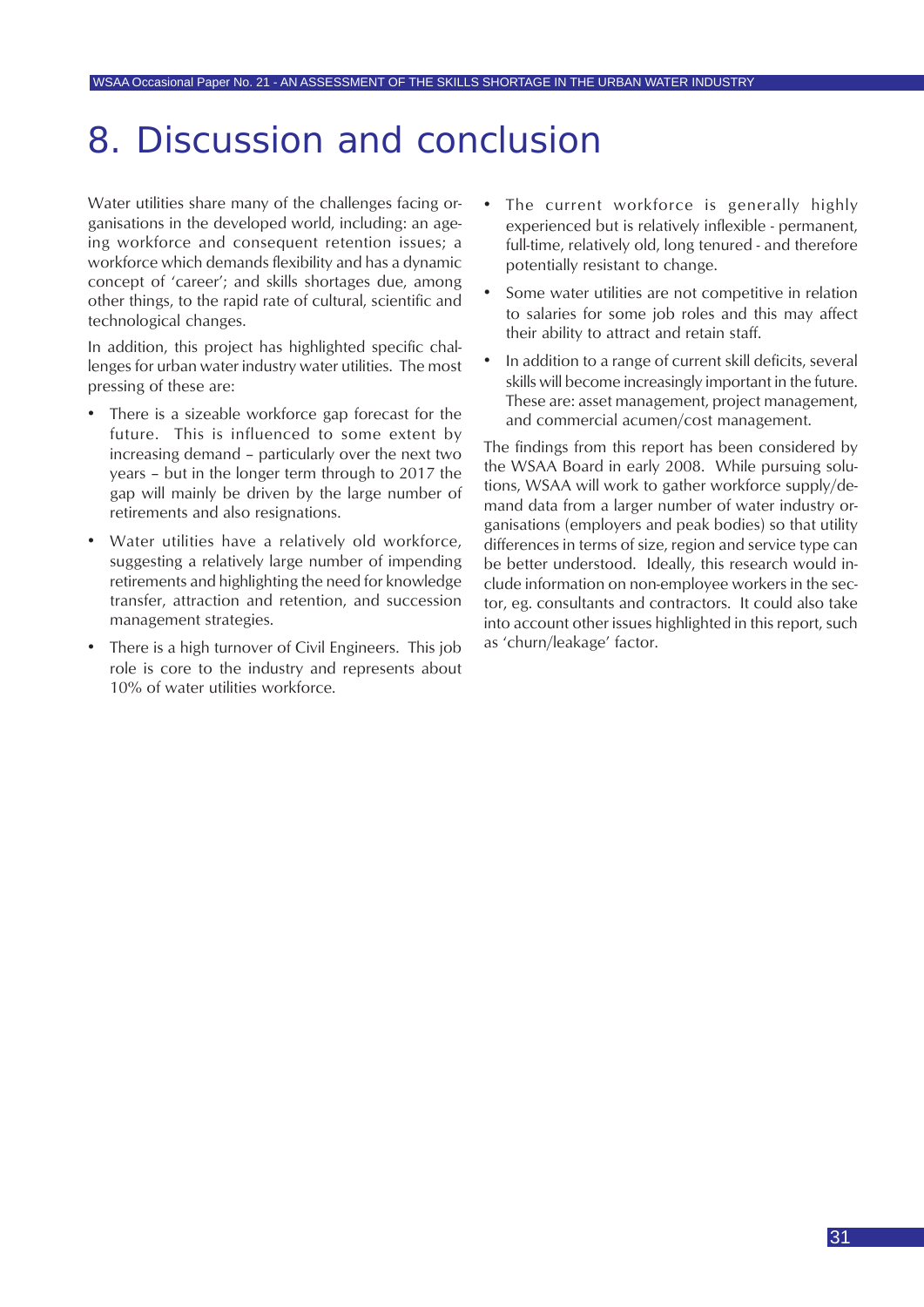## <span id="page-30-0"></span>8. Discussion and conclusion

Water utilities share many of the challenges facing organisations in the developed world, including: an ageing workforce and consequent retention issues; a workforce which demands flexibility and has a dynamic concept of 'career'; and skills shortages due, among other things, to the rapid rate of cultural, scientific and technological changes.

In addition, this project has highlighted specific challenges for urban water industry water utilities. The most pressing of these are:

- There is a sizeable workforce gap forecast for the future. This is influenced to some extent by increasing demand – particularly over the next two years – but in the longer term through to 2017 the gap will mainly be driven by the large number of retirements and also resignations.
- Water utilities have a relatively old workforce, suggesting a relatively large number of impending retirements and highlighting the need for knowledge transfer, attraction and retention, and succession management strategies.
- There is a high turnover of Civil Engineers. This job role is core to the industry and represents about 10% of water utilities workforce.
- The current workforce is generally highly experienced but is relatively inflexible - permanent, full-time, relatively old, long tenured - and therefore potentially resistant to change.
- Some water utilities are not competitive in relation to salaries for some job roles and this may affect their ability to attract and retain staff.
- In addition to a range of current skill deficits, several skills will become increasingly important in the future. These are: asset management, project management, and commercial acumen/cost management.

The findings from this report has been considered by the WSAA Board in early 2008. While pursuing solutions, WSAA will work to gather workforce supply/demand data from a larger number of water industry organisations (employers and peak bodies) so that utility differences in terms of size, region and service type can be better understood. Ideally, this research would include information on non-employee workers in the sector, eg. consultants and contractors. It could also take into account other issues highlighted in this report, such as 'churn/leakage' factor.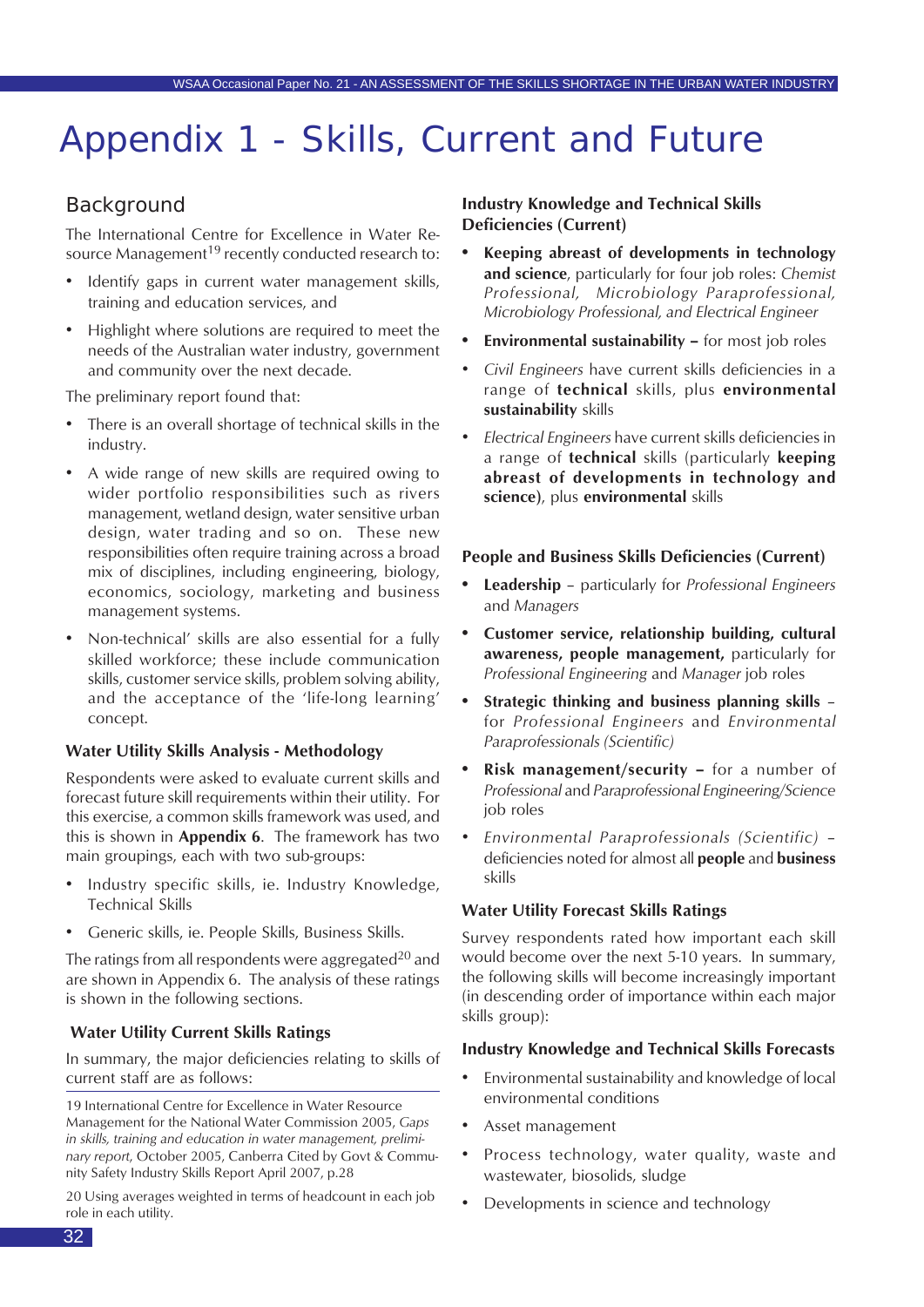## Appendix 1 - Skills, Current and Future

### Background

The International Centre for Excellence in Water Resource Management<sup>19</sup> recently conducted research to:

- Identify gaps in current water management skills, training and education services, and
- Highlight where solutions are required to meet the needs of the Australian water industry, government and community over the next decade.

The preliminary report found that:

- There is an overall shortage of technical skills in the industry.
- A wide range of new skills are required owing to wider portfolio responsibilities such as rivers management, wetland design, water sensitive urban design, water trading and so on. These new responsibilities often require training across a broad mix of disciplines, including engineering, biology, economics, sociology, marketing and business management systems.
- Non-technical' skills are also essential for a fully skilled workforce; these include communication skills, customer service skills, problem solving ability, and the acceptance of the 'life-long learning' concept.

#### **Water Utility Skills Analysis - Methodology**

Respondents were asked to evaluate current skills and forecast future skill requirements within their utility. For this exercise, a common skills framework was used, and this is shown in **Appendix 6**. The framework has two main groupings, each with two sub-groups:

- Industry specific skills, ie. Industry Knowledge, Technical Skills
- Generic skills, ie. People Skills, Business Skills.

The ratings from all respondents were aggregated<sup>20</sup> and are shown in Appendix 6. The analysis of these ratings is shown in the following sections.

#### **Water Utility Current Skills Ratings**

In summary, the major deficiencies relating to skills of current staff are as follows:

19 International Centre for Excellence in Water Resource Management for the National Water Commission 2005, *Gaps in skills, training and education in water management, preliminary report*, October 2005, Canberra Cited by Govt & Community Safety Industry Skills Report April 2007, p.28

20 Using averages weighted in terms of headcount in each job role in each utility.

#### **Industry Knowledge and Technical Skills Deficiencies (Current)**

- **• Keeping abreast of developments in technology and science**, particularly for four job roles: *Chemist Professional, Microbiology Paraprofessional, Microbiology Professional, and Electrical Engineer*
- **• Environmental sustainability** for most job roles
- *• Civil Engineers* have current skills deficiencies in a range of **technical** skills, plus **environmental sustainability** skills
- *• Electrical Engineers* have current skills deficiencies in a range of **technical** skills (particularly **keeping abreast of developments in technology and science)**, plus **environmental** skills

#### **People and Business Skills Deficiencies (Current)**

- **• Leadership** particularly for *Professional Engineers* and *Managers*
- **• Customer service, relationship building, cultural awareness, people management,** particularly for *Professional Engineering* and *Manager* job roles
- **• Strategic thinking and business planning skills** for *Professional Engineers* and *Environmental Paraprofessionals (Scientific)*
- **• Risk management/security** for a number of *Professional* and *Paraprofessional Engineering/Science* job roles
- *• Environmental Paraprofessionals (Scientific)* deficiencies noted for almost all **people** and **business** skills

#### **Water Utility Forecast Skills Ratings**

Survey respondents rated how important each skill would become over the next 5-10 years. In summary, the following skills will become increasingly important (in descending order of importance within each major skills group):

#### **Industry Knowledge and Technical Skills Forecasts**

- Environmental sustainability and knowledge of local environmental conditions
- Asset management
- Process technology, water quality, waste and wastewater, biosolids, sludge
- Developments in science and technology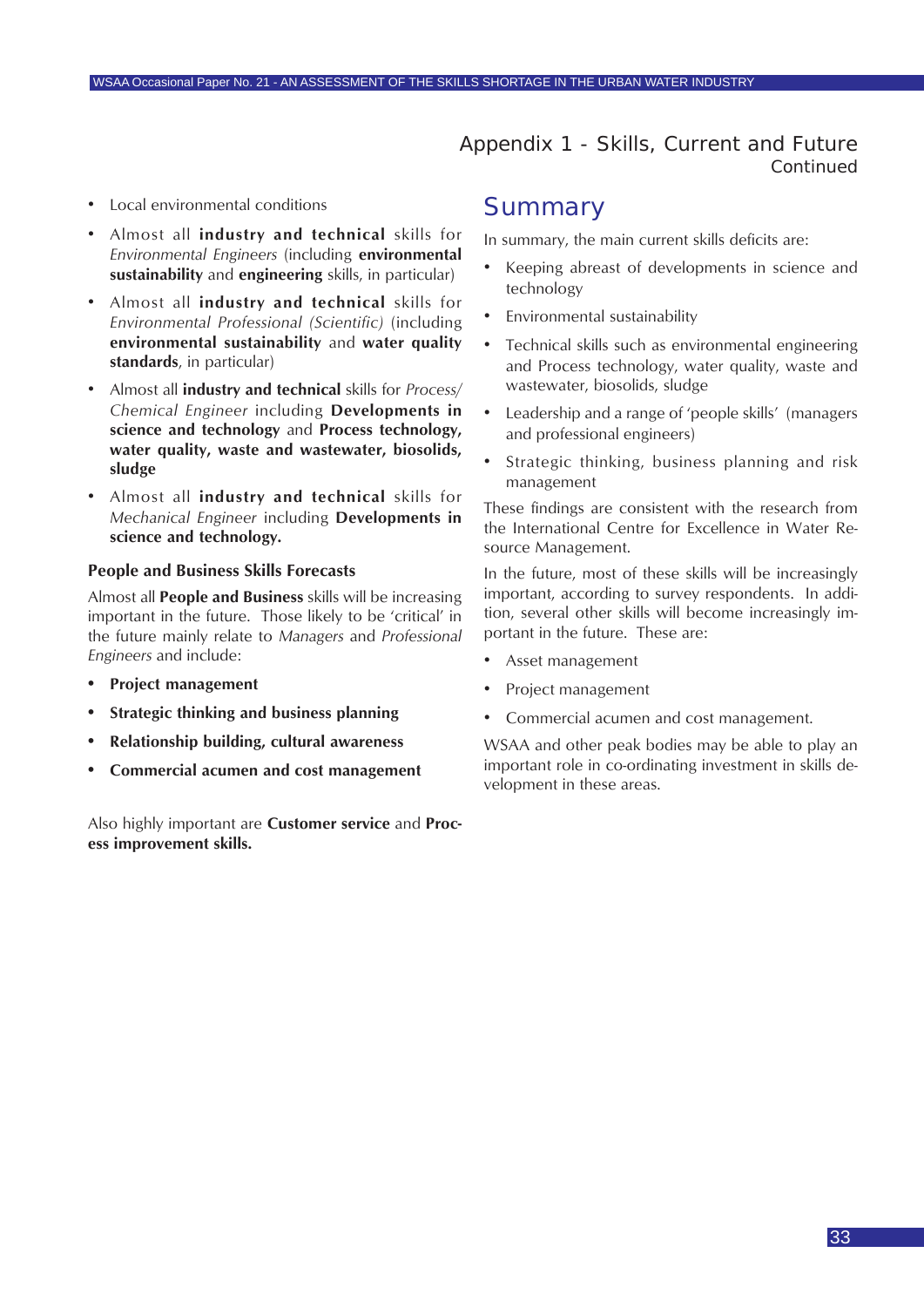### Appendix 1 - Skills, Current and Future *Continued*

- <span id="page-32-0"></span>• Local environmental conditions
- Almost all **industry and technical** skills for *Environmental Engineers* (including **environmental sustainability** and **engineering** skills, in particular)
- Almost all **industry and technical** skills for *Environmental Professional (Scientific)* (including **environmental sustainability** and **water quality standards**, in particular)
- Almost all **industry and technical** skills for *Process/ Chemical Engineer* including **Developments in science and technology** and **Process technology, water quality, waste and wastewater, biosolids, sludge**
- Almost all **industry and technical** skills for *Mechanical Engineer* including **Developments in science and technology.**

#### **People and Business Skills Forecasts**

Almost all **People and Business** skills will be increasing important in the future. Those likely to be 'critical' in the future mainly relate to *Managers* and *Professional Engineers* and include:

- **• Project management**
- **• Strategic thinking and business planning**
- **• Relationship building, cultural awareness**
- **• Commercial acumen and cost management**

Also highly important are **Customer service** and **Process improvement skills.**

### **Summary**

In summary, the main current skills deficits are:

- Keeping abreast of developments in science and technology
- Environmental sustainability
- Technical skills such as environmental engineering and Process technology, water quality, waste and wastewater, biosolids, sludge
- Leadership and a range of 'people skills' (managers and professional engineers)
- Strategic thinking, business planning and risk management

These findings are consistent with the research from the International Centre for Excellence in Water Resource Management.

In the future, most of these skills will be increasingly important, according to survey respondents. In addition, several other skills will become increasingly important in the future. These are:

- Asset management
- Project management
- Commercial acumen and cost management.

WSAA and other peak bodies may be able to play an important role in co-ordinating investment in skills development in these areas.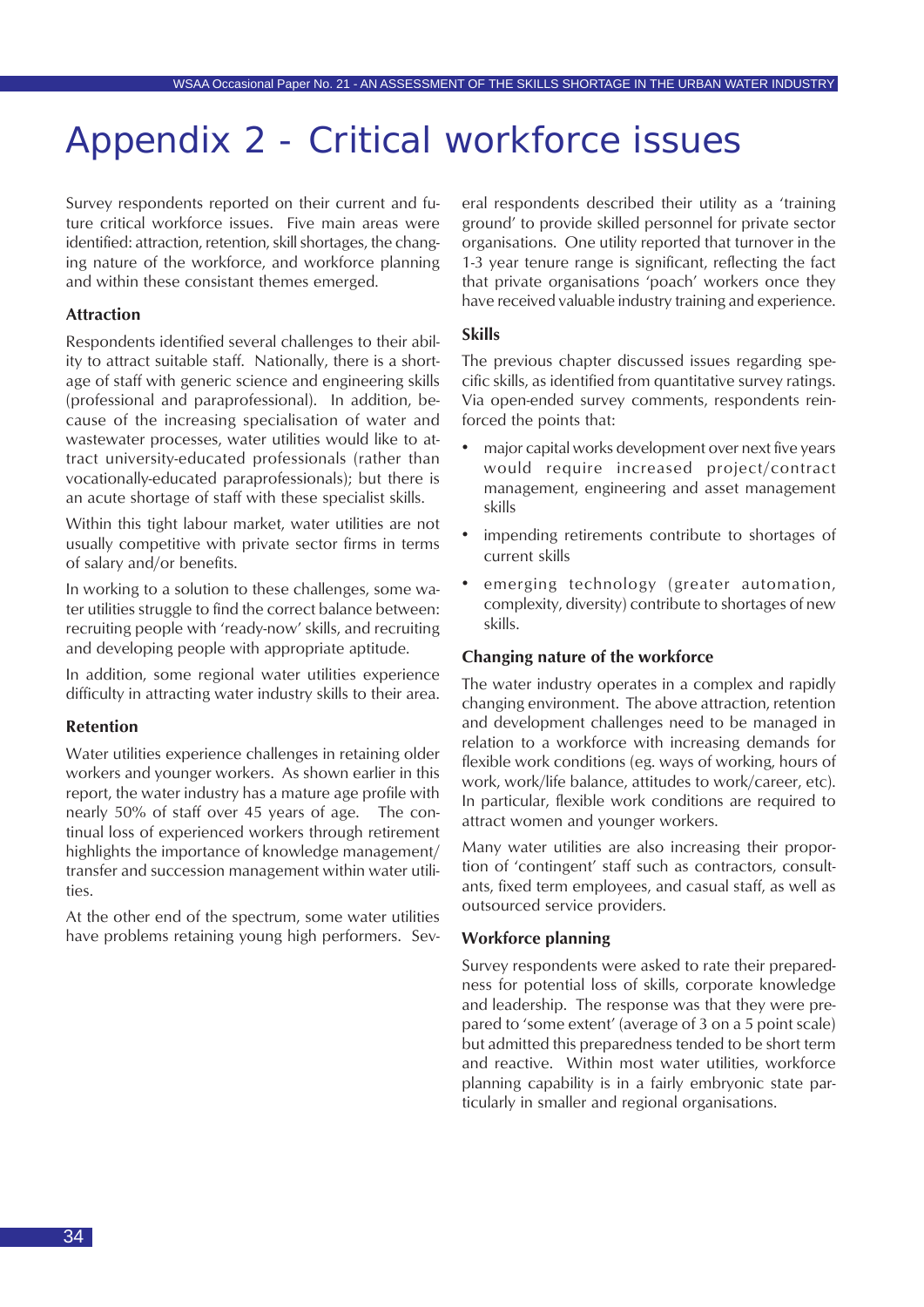## <span id="page-33-0"></span>Appendix 2 - Critical workforce issues

Survey respondents reported on their current and future critical workforce issues. Five main areas were identified: attraction, retention, skill shortages, the changing nature of the workforce, and workforce planning and within these consistant themes emerged.

#### **Attraction**

Respondents identified several challenges to their ability to attract suitable staff. Nationally, there is a shortage of staff with generic science and engineering skills (professional and paraprofessional). In addition, because of the increasing specialisation of water and wastewater processes, water utilities would like to attract university-educated professionals (rather than vocationally-educated paraprofessionals); but there is an acute shortage of staff with these specialist skills.

Within this tight labour market, water utilities are not usually competitive with private sector firms in terms of salary and/or benefits.

In working to a solution to these challenges, some water utilities struggle to find the correct balance between: recruiting people with 'ready-now' skills, and recruiting and developing people with appropriate aptitude.

In addition, some regional water utilities experience difficulty in attracting water industry skills to their area.

#### **Retention**

Water utilities experience challenges in retaining older workers and younger workers. As shown earlier in this report, the water industry has a mature age profile with nearly 50% of staff over 45 years of age. The continual loss of experienced workers through retirement highlights the importance of knowledge management/ transfer and succession management within water utilities.

At the other end of the spectrum, some water utilities have problems retaining young high performers. Several respondents described their utility as a 'training ground' to provide skilled personnel for private sector organisations. One utility reported that turnover in the 1-3 year tenure range is significant, reflecting the fact that private organisations 'poach' workers once they have received valuable industry training and experience.

#### **Skills**

The previous chapter discussed issues regarding specific skills, as identified from quantitative survey ratings. Via open-ended survey comments, respondents reinforced the points that:

- major capital works development over next five years would require increased project/contract management, engineering and asset management skills
- impending retirements contribute to shortages of current skills
- emerging technology (greater automation, complexity, diversity) contribute to shortages of new skills.

#### **Changing nature of the workforce**

The water industry operates in a complex and rapidly changing environment. The above attraction, retention and development challenges need to be managed in relation to a workforce with increasing demands for flexible work conditions (eg. ways of working, hours of work, work/life balance, attitudes to work/career, etc). In particular, flexible work conditions are required to attract women and younger workers.

Many water utilities are also increasing their proportion of 'contingent' staff such as contractors, consultants, fixed term employees, and casual staff, as well as outsourced service providers.

#### **Workforce planning**

Survey respondents were asked to rate their preparedness for potential loss of skills, corporate knowledge and leadership. The response was that they were prepared to 'some extent' (average of 3 on a 5 point scale) but admitted this preparedness tended to be short term and reactive. Within most water utilities, workforce planning capability is in a fairly embryonic state particularly in smaller and regional organisations.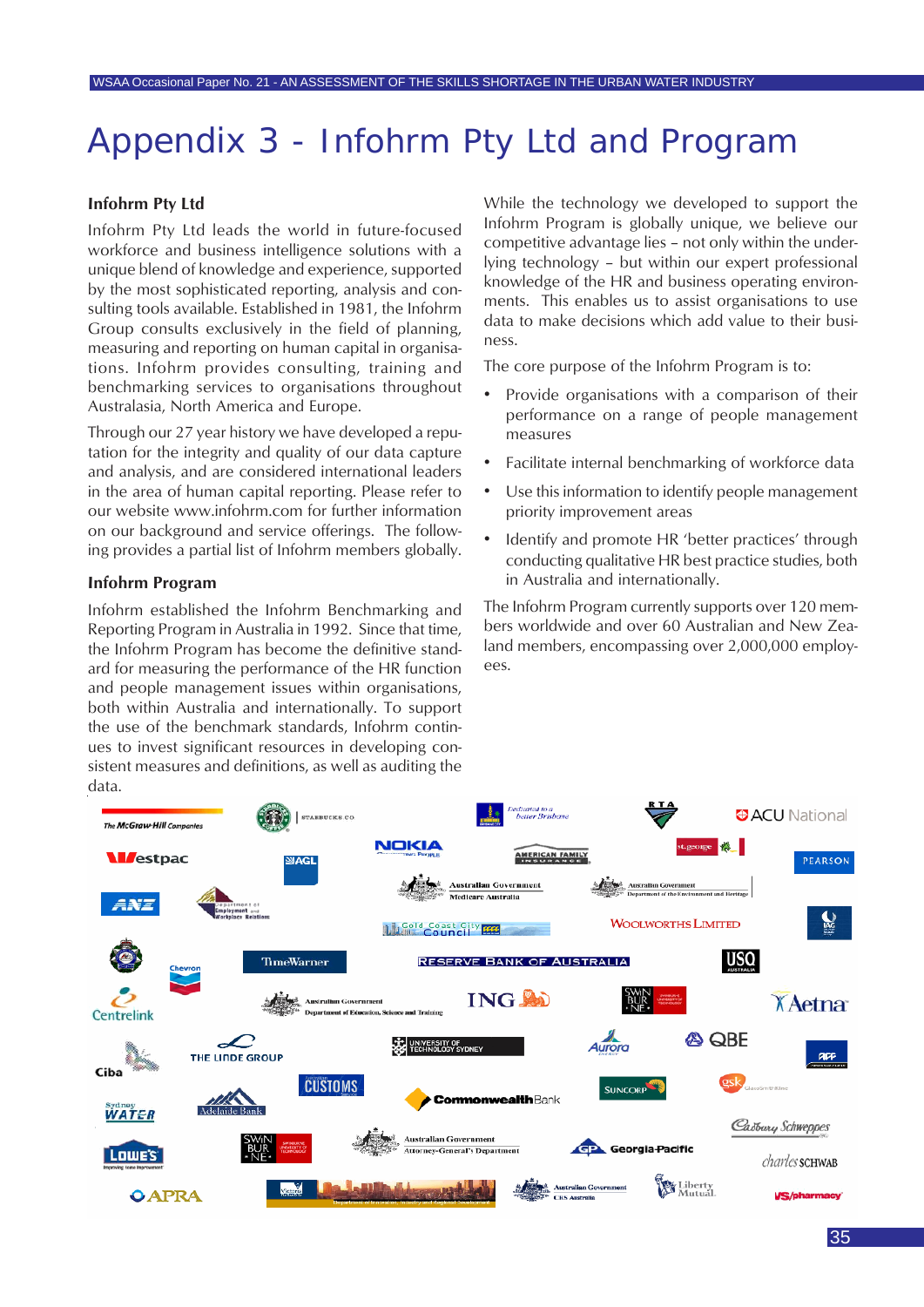## <span id="page-34-0"></span>Appendix 3 - Infohrm Pty Ltd and Program

#### **Infohrm Pty Ltd**

Infohrm Pty Ltd leads the world in future-focused workforce and business intelligence solutions with a unique blend of knowledge and experience, supported by the most sophisticated reporting, analysis and consulting tools available. Established in 1981, the Infohrm Group consults exclusively in the field of planning, measuring and reporting on human capital in organisations. Infohrm provides consulting, training and benchmarking services to organisations throughout Australasia, North America and Europe.

Through our 27 year history we have developed a reputation for the integrity and quality of our data capture and analysis, and are considered international leaders in the area of human capital reporting. Please refer to our website www.infohrm.com for further information on our background and service offerings. The following provides a partial list of Infohrm members globally.

#### **Infohrm Program**

Infohrm established the Infohrm Benchmarking and Reporting Program in Australia in 1992. Since that time, the Infohrm Program has become the definitive standard for measuring the performance of the HR function and people management issues within organisations, both within Australia and internationally. To support the use of the benchmark standards, Infohrm continues to invest significant resources in developing consistent measures and definitions, as well as auditing the data.

While the technology we developed to support the Infohrm Program is globally unique, we believe our competitive advantage lies – not only within the underlying technology – but within our expert professional knowledge of the HR and business operating environments. This enables us to assist organisations to use data to make decisions which add value to their business.

The core purpose of the Infohrm Program is to:

- Provide organisations with a comparison of their performance on a range of people management measures
- Facilitate internal benchmarking of workforce data
- Use this information to identify people management priority improvement areas
- Identify and promote HR 'better practices' through conducting qualitative HR best practice studies, both in Australia and internationally.

The Infohrm Program currently supports over 120 members worldwide and over 60 Australian and New Zealand members, encompassing over 2,000,000 employees.

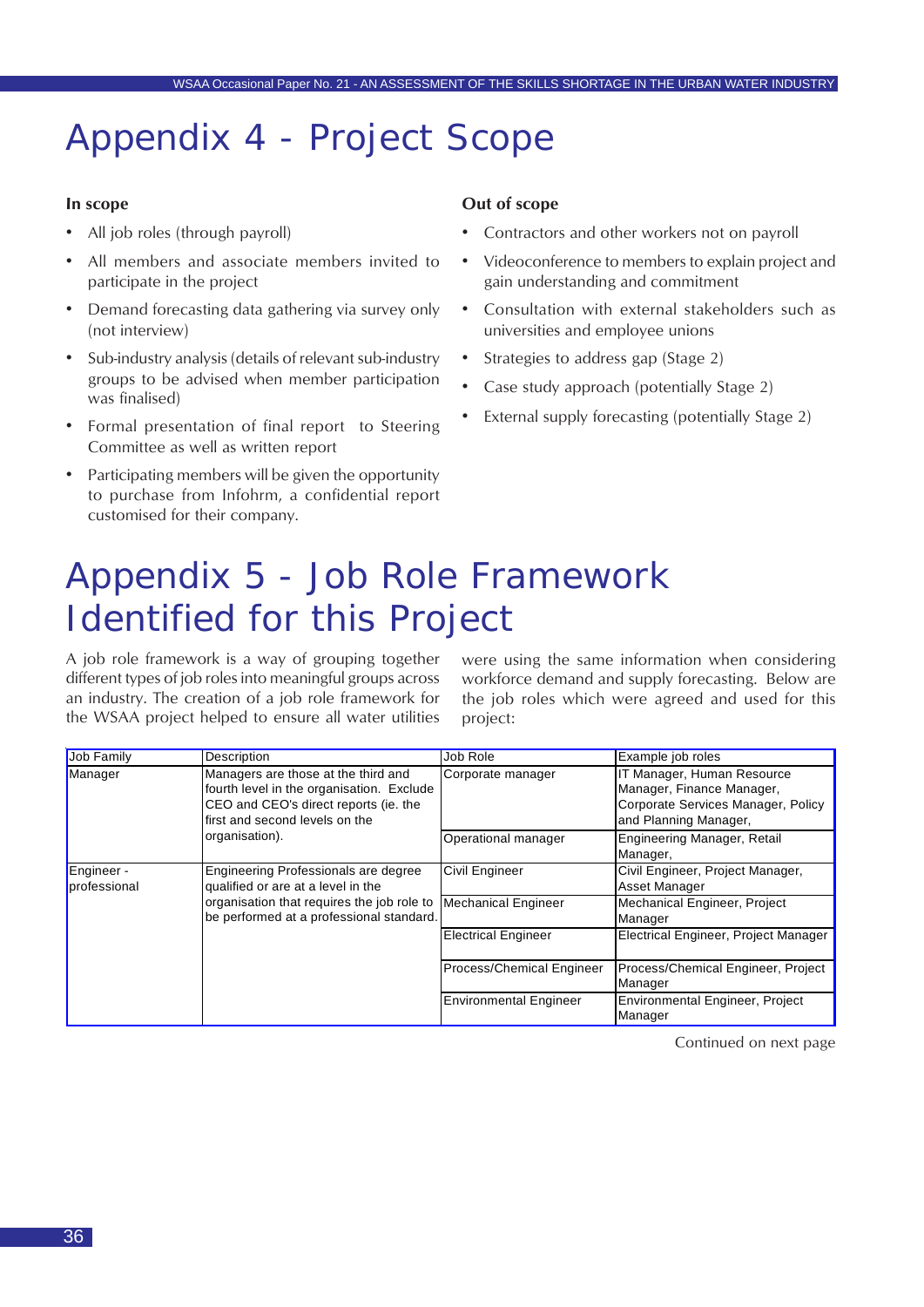## <span id="page-35-0"></span>Appendix 4 - Project Scope

#### **In scope**

- All job roles (through payroll)
- All members and associate members invited to participate in the project
- Demand forecasting data gathering via survey only (not interview)
- Sub-industry analysis (details of relevant sub-industry groups to be advised when member participation was finalised)
- Formal presentation of final report to Steering Committee as well as written report
- Participating members will be given the opportunity to purchase from Infohrm, a confidential report customised for their company.

#### **Out of scope**

- Contractors and other workers not on payroll
- Videoconference to members to explain project and gain understanding and commitment
- Consultation with external stakeholders such as universities and employee unions
- Strategies to address gap (Stage 2)
- Case study approach (potentially Stage 2)
- External supply forecasting (potentially Stage 2)

## Appendix 5 - Job Role Framework Identified for this Project

A job role framework is a way of grouping together different types of job roles into meaningful groups across an industry. The creation of a job role framework for the WSAA project helped to ensure all water utilities

were using the same information when considering workforce demand and supply forecasting. Below are the job roles which were agreed and used for this project:

| Job Family                 | Description                                                                                                                                                 | Job Role                      | Example job roles                                                                                                      |
|----------------------------|-------------------------------------------------------------------------------------------------------------------------------------------------------------|-------------------------------|------------------------------------------------------------------------------------------------------------------------|
| Manager                    | Managers are those at the third and<br>fourth level in the organisation. Exclude<br>CEO and CEO's direct reports (ie. the<br>first and second levels on the | Corporate manager             | IT Manager, Human Resource<br>Manager, Finance Manager,<br>Corporate Services Manager, Policy<br>and Planning Manager, |
|                            | organisation).                                                                                                                                              | Operational manager           | <b>Engineering Manager, Retail</b><br>Manager,                                                                         |
| Engineer -<br>professional | Engineering Professionals are degree<br>qualified or are at a level in the                                                                                  | Civil Engineer                | Civil Engineer, Project Manager,<br>Asset Manager                                                                      |
|                            | organisation that requires the job role to<br>be performed at a professional standard.                                                                      | <b>Mechanical Engineer</b>    | Mechanical Engineer, Project<br>Manager                                                                                |
|                            |                                                                                                                                                             | <b>Electrical Engineer</b>    | Electrical Engineer, Project Manager                                                                                   |
|                            |                                                                                                                                                             | Process/Chemical Engineer     | Process/Chemical Engineer, Project<br>Manager                                                                          |
|                            |                                                                                                                                                             | <b>Environmental Engineer</b> | Environmental Engineer, Project<br>Manager                                                                             |

Continued on next page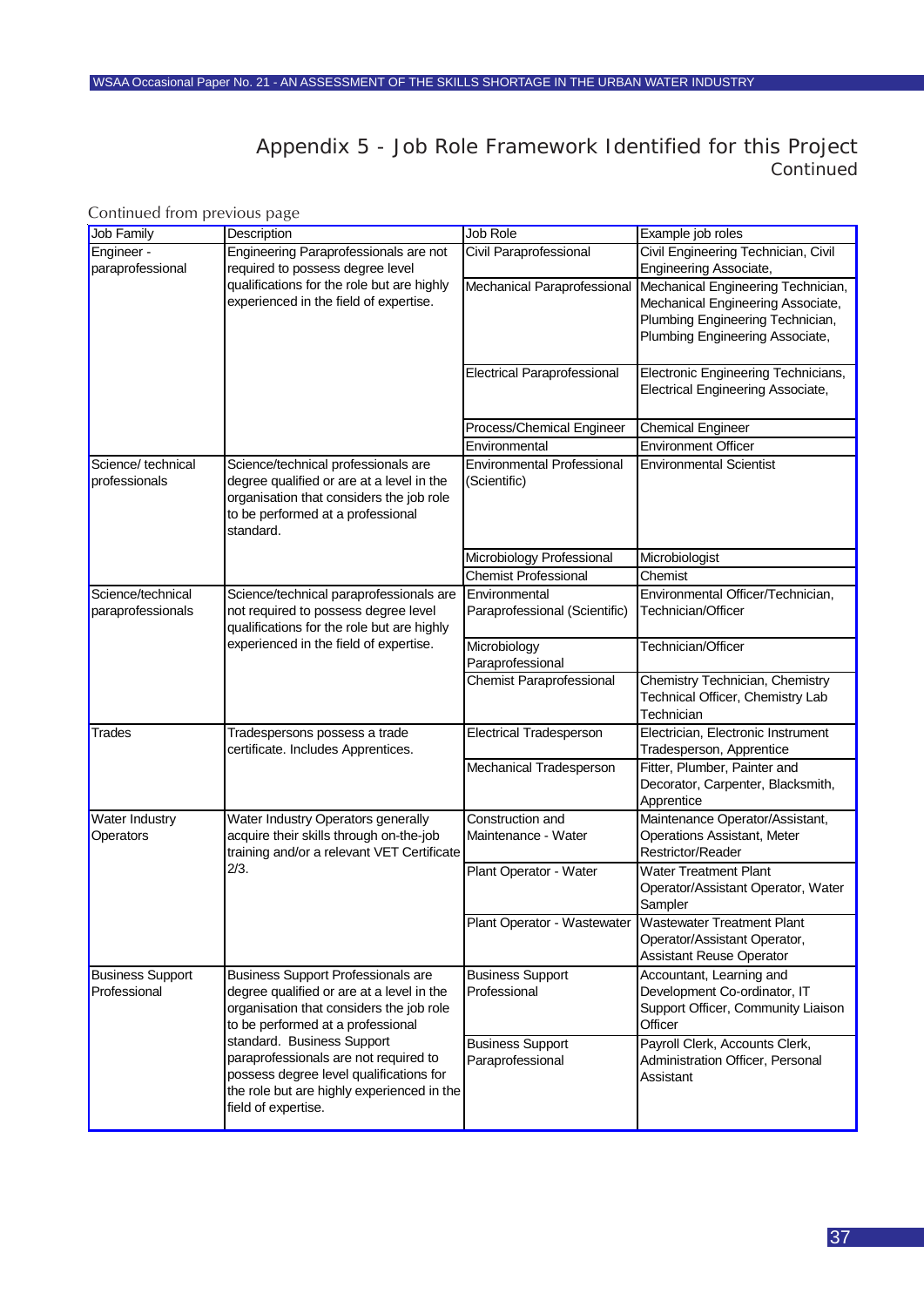### Appendix 5 - Job Role Framework Identified for this Project *Continued*

| Continued from previous page |  |  |
|------------------------------|--|--|
|                              |  |  |

| Job Family                              | Description                                                                                                                                                                         | Job Role                                          | Example job roles                                                                                                                              |
|-----------------------------------------|-------------------------------------------------------------------------------------------------------------------------------------------------------------------------------------|---------------------------------------------------|------------------------------------------------------------------------------------------------------------------------------------------------|
| Engineer -<br>paraprofessional          | Engineering Paraprofessionals are not<br>required to possess degree level                                                                                                           | Civil Paraprofessional                            | Civil Engineering Technician, Civil<br>Engineering Associate,                                                                                  |
|                                         | qualifications for the role but are highly<br>experienced in the field of expertise.                                                                                                | Mechanical Paraprofessional                       | Mechanical Engineering Technician,<br>Mechanical Engineering Associate,<br>Plumbing Engineering Technician,<br>Plumbing Engineering Associate, |
|                                         |                                                                                                                                                                                     | <b>Electrical Paraprofessional</b>                | Electronic Engineering Technicians,<br>Electrical Engineering Associate,                                                                       |
|                                         |                                                                                                                                                                                     | Process/Chemical Engineer                         | <b>Chemical Engineer</b>                                                                                                                       |
|                                         |                                                                                                                                                                                     | Environmental                                     | <b>Environment Officer</b>                                                                                                                     |
| Science/technical<br>professionals      | Science/technical professionals are<br>degree qualified or are at a level in the<br>organisation that considers the job role<br>to be performed at a professional<br>standard.      | <b>Environmental Professional</b><br>(Scientific) | <b>Environmental Scientist</b>                                                                                                                 |
|                                         |                                                                                                                                                                                     | Microbiology Professional                         | Microbiologist                                                                                                                                 |
|                                         |                                                                                                                                                                                     | <b>Chemist Professional</b>                       | Chemist                                                                                                                                        |
| Science/technical<br>paraprofessionals  | Science/technical paraprofessionals are<br>not required to possess degree level<br>qualifications for the role but are highly                                                       | Environmental<br>Paraprofessional (Scientific)    | Environmental Officer/Technician,<br>Technician/Officer                                                                                        |
|                                         | experienced in the field of expertise.                                                                                                                                              | Microbiology<br>Paraprofessional                  | Technician/Officer                                                                                                                             |
|                                         |                                                                                                                                                                                     | <b>Chemist Paraprofessional</b>                   | Chemistry Technician, Chemistry<br>Technical Officer, Chemistry Lab<br>Technician                                                              |
| <b>Trades</b>                           | Tradespersons possess a trade<br>certificate. Includes Apprentices.                                                                                                                 | <b>Electrical Tradesperson</b>                    | Electrician, Electronic Instrument<br>Tradesperson, Apprentice                                                                                 |
|                                         |                                                                                                                                                                                     | Mechanical Tradesperson                           | Fitter, Plumber, Painter and<br>Decorator, Carpenter, Blacksmith,<br>Apprentice                                                                |
| <b>Water Industry</b><br>Operators      | Water Industry Operators generally<br>acquire their skills through on-the-job<br>training and/or a relevant VET Certificate                                                         | Construction and<br>Maintenance - Water           | Maintenance Operator/Assistant,<br>Operations Assistant, Meter<br>Restrictor/Reader                                                            |
|                                         | 2/3.                                                                                                                                                                                | Plant Operator - Water                            | <b>Water Treatment Plant</b><br>Operator/Assistant Operator, Water<br>Sampler                                                                  |
|                                         |                                                                                                                                                                                     |                                                   | Plant Operator - Wastewater Wastewater Treatment Plant<br>Operator/Assistant Operator,<br><b>Assistant Reuse Operator</b>                      |
| <b>Business Support</b><br>Professional | <b>Business Support Professionals are</b><br>degree qualified or are at a level in the<br>organisation that considers the job role<br>to be performed at a professional             | <b>Business Support</b><br>Professional           | Accountant, Learning and<br>Development Co-ordinator, IT<br>Support Officer, Community Liaison<br>Officer                                      |
|                                         | standard. Business Support<br>paraprofessionals are not required to<br>possess degree level qualifications for<br>the role but are highly experienced in the<br>field of expertise. | <b>Business Support</b><br>Paraprofessional       | Payroll Clerk, Accounts Clerk,<br>Administration Officer, Personal<br>Assistant                                                                |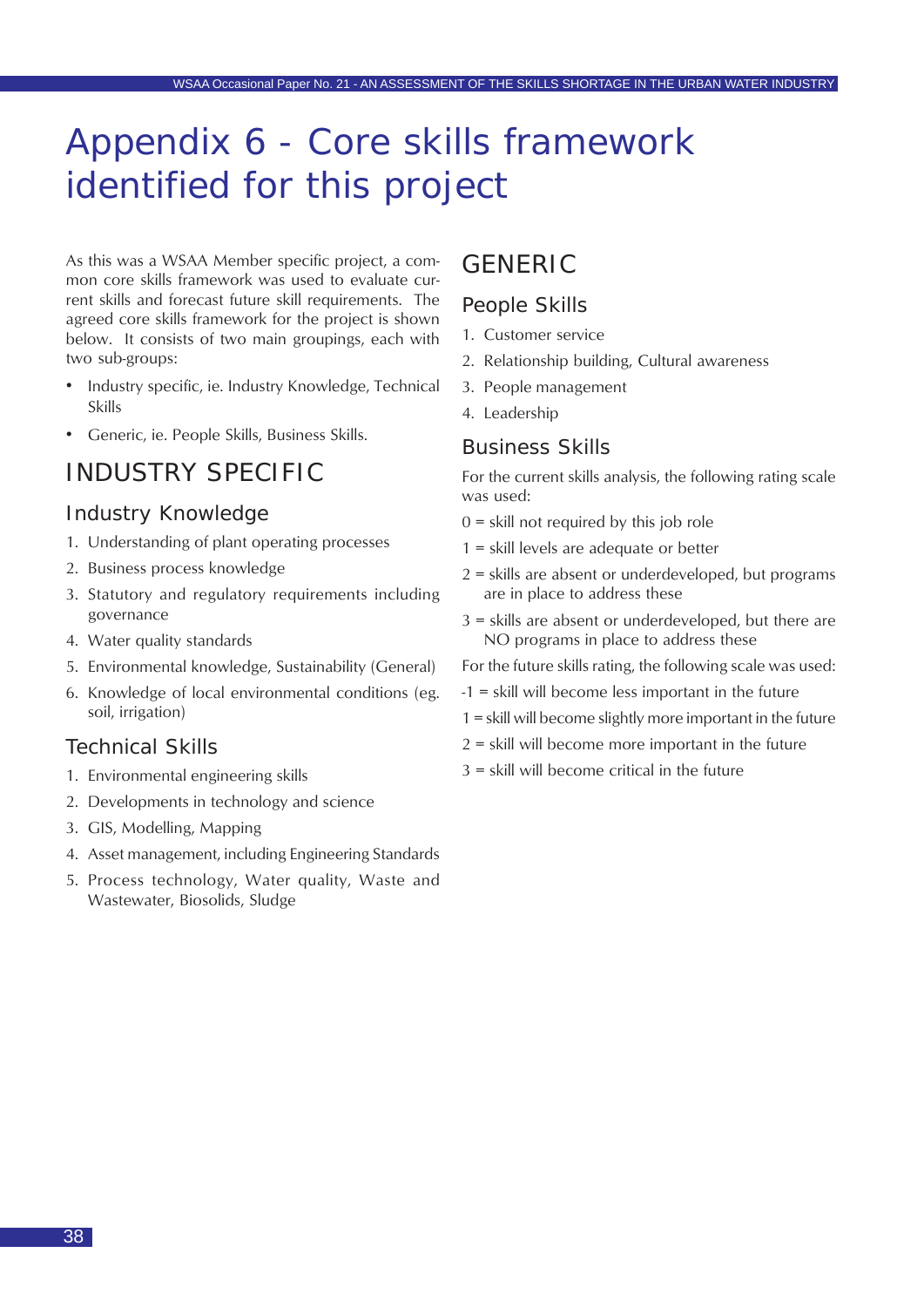## <span id="page-37-0"></span>Appendix 6 - Core skills framework identified for this project

As this was a WSAA Member specific project, a common core skills framework was used to evaluate current skills and forecast future skill requirements. The agreed core skills framework for the project is shown below. It consists of two main groupings, each with two sub-groups:

- Industry specific, ie. Industry Knowledge, Technical Skills
- Generic, ie. People Skills, Business Skills.

### INDUSTRY SPECIFIC

### Industry Knowledge

- 1. Understanding of plant operating processes
- 2. Business process knowledge
- 3. Statutory and regulatory requirements including governance
- 4. Water quality standards
- 5. Environmental knowledge, Sustainability (General)
- 6. Knowledge of local environmental conditions (eg. soil, irrigation)

#### Technical Skills

- 1. Environmental engineering skills
- 2. Developments in technology and science
- 3. GIS, Modelling, Mapping
- 4. Asset management, including Engineering Standards
- 5. Process technology, Water quality, Waste and Wastewater, Biosolids, Sludge

### GENERIC

### People Skills

- 1. Customer service
- 2. Relationship building, Cultural awareness
- 3. People management
- 4. Leadership

#### Business Skills

For the current skills analysis, the following rating scale was used:

- $0 =$  skill not required by this job role
- 1 = skill levels are adequate or better
- 2 = skills are absent or underdeveloped, but programs are in place to address these
- 3 = skills are absent or underdeveloped, but there are NO programs in place to address these

For the future skills rating, the following scale was used:

- -1 = skill will become less important in the future
- 1 = skill will become slightly more important in the future
- $2$  = skill will become more important in the future
- 3 = skill will become critical in the future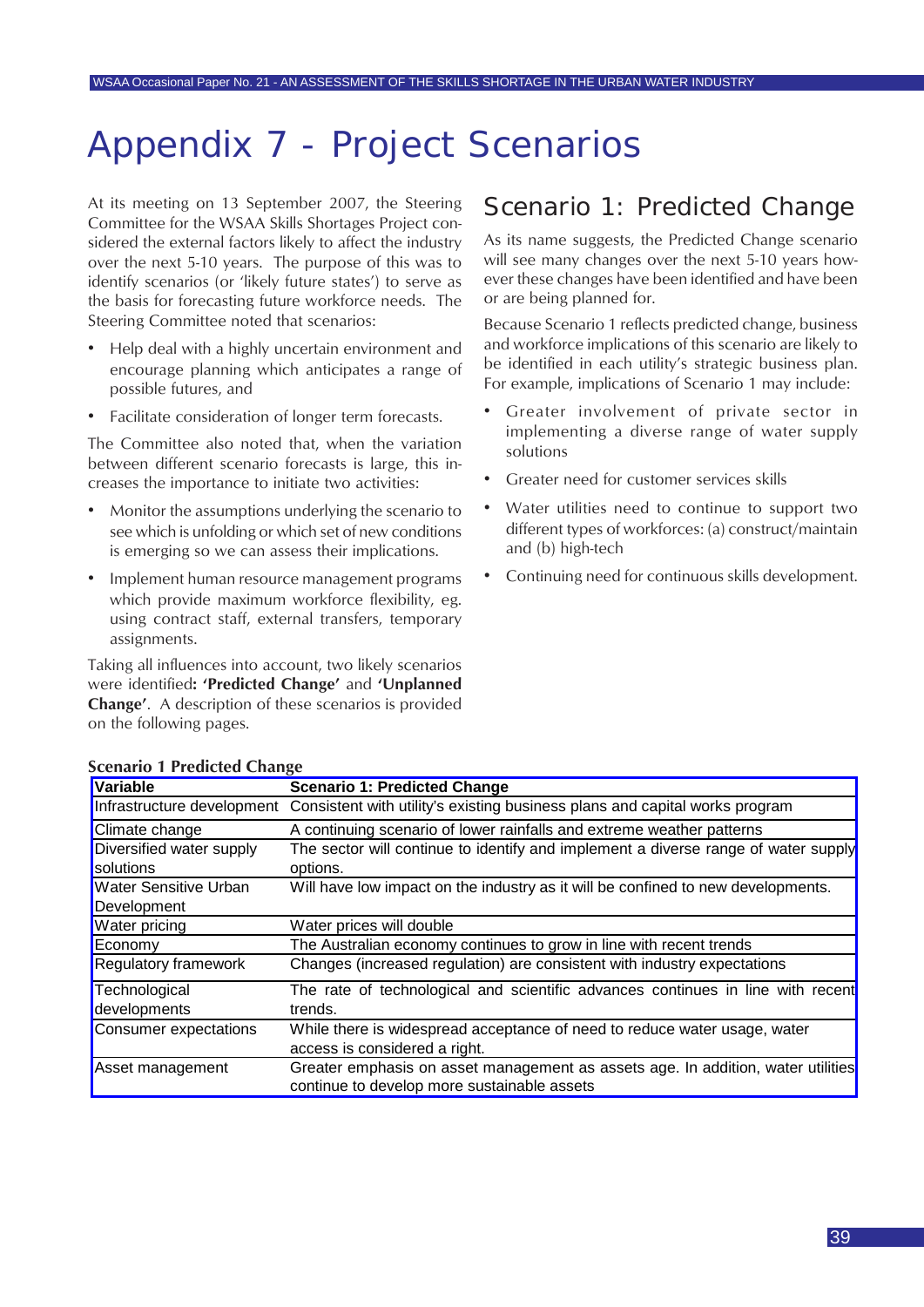## <span id="page-38-0"></span>Appendix 7 - Project Scenarios

At its meeting on 13 September 2007, the Steering Committee for the WSAA Skills Shortages Project considered the external factors likely to affect the industry over the next 5-10 years. The purpose of this was to identify scenarios (or 'likely future states') to serve as the basis for forecasting future workforce needs. The Steering Committee noted that scenarios:

- Help deal with a highly uncertain environment and encourage planning which anticipates a range of possible futures, and
- Facilitate consideration of longer term forecasts.

The Committee also noted that, when the variation between different scenario forecasts is large, this increases the importance to initiate two activities:

- Monitor the assumptions underlying the scenario to see which is unfolding or which set of new conditions is emerging so we can assess their implications.
- Implement human resource management programs which provide maximum workforce flexibility, eg. using contract staff, external transfers, temporary assignments.

Taking all influences into account, two likely scenarios were identified**: 'Predicted Change'** and **'Unplanned Change'**. A description of these scenarios is provided on the following pages.

### Scenario 1: Predicted Change

As its name suggests, the Predicted Change scenario will see many changes over the next 5-10 years however these changes have been identified and have been or are being planned for.

Because Scenario 1 reflects predicted change, business and workforce implications of this scenario are likely to be identified in each utility's strategic business plan. For example, implications of Scenario 1 may include:

- Greater involvement of private sector in implementing a diverse range of water supply solutions
- Greater need for customer services skills
- Water utilities need to continue to support two different types of workforces: (a) construct/maintain and (b) high-tech
- Continuing need for continuous skills development.

| Variable                     | <b>Scenario 1: Predicted Change</b>                                                                    |
|------------------------------|--------------------------------------------------------------------------------------------------------|
|                              | Infrastructure development Consistent with utility's existing business plans and capital works program |
| Climate change               | A continuing scenario of lower rainfalls and extreme weather patterns                                  |
| Diversified water supply     | The sector will continue to identify and implement a diverse range of water supply                     |
| solutions                    | options.                                                                                               |
| <b>Water Sensitive Urban</b> | Will have low impact on the industry as it will be confined to new developments.                       |
| Development                  |                                                                                                        |
| Water pricing                | Water prices will double                                                                               |
| Economy                      | The Australian economy continues to grow in line with recent trends                                    |
| <b>Regulatory framework</b>  | Changes (increased regulation) are consistent with industry expectations                               |
| Technological                | The rate of technological and scientific advances continues in line with recent                        |
| developments                 | trends.                                                                                                |
| <b>Consumer expectations</b> | While there is widespread acceptance of need to reduce water usage, water                              |
|                              | access is considered a right.                                                                          |
| Asset management             | Greater emphasis on asset management as assets age. In addition, water utilities                       |
|                              | continue to develop more sustainable assets                                                            |

#### **Scenario 1 Predicted Change**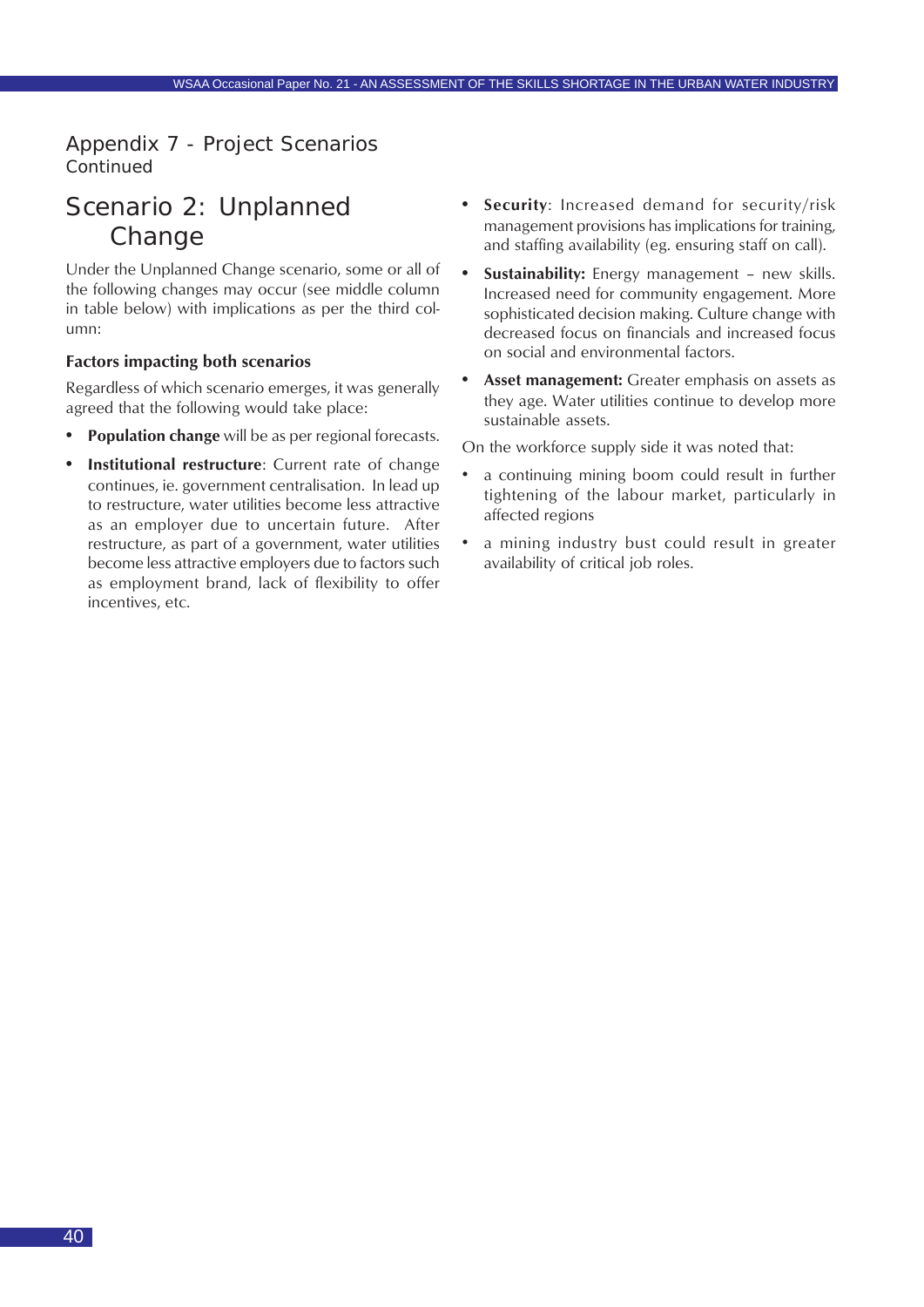### <span id="page-39-0"></span>Appendix 7 - Project Scenarios *Continued*

### Scenario 2: Unplanned Change

Under the Unplanned Change scenario, some or all of the following changes may occur (see middle column in table below) with implications as per the third column:

#### **Factors impacting both scenarios**

Regardless of which scenario emerges, it was generally agreed that the following would take place:

- **• Population change** will be as per regional forecasts.
- **Institutional restructure**: Current rate of change continues, ie. government centralisation. In lead up to restructure, water utilities become less attractive as an employer due to uncertain future. After restructure, as part of a government, water utilities become less attractive employers due to factors such as employment brand, lack of flexibility to offer incentives, etc.
- **• Security**: Increased demand for security/risk management provisions has implications for training, and staffing availability (eg. ensuring staff on call).
- **• Sustainability:** Energy management new skills. Increased need for community engagement. More sophisticated decision making. Culture change with decreased focus on financials and increased focus on social and environmental factors.
- **• Asset management:** Greater emphasis on assets as they age. Water utilities continue to develop more sustainable assets.

On the workforce supply side it was noted that:

- a continuing mining boom could result in further tightening of the labour market, particularly in affected regions
- a mining industry bust could result in greater availability of critical job roles.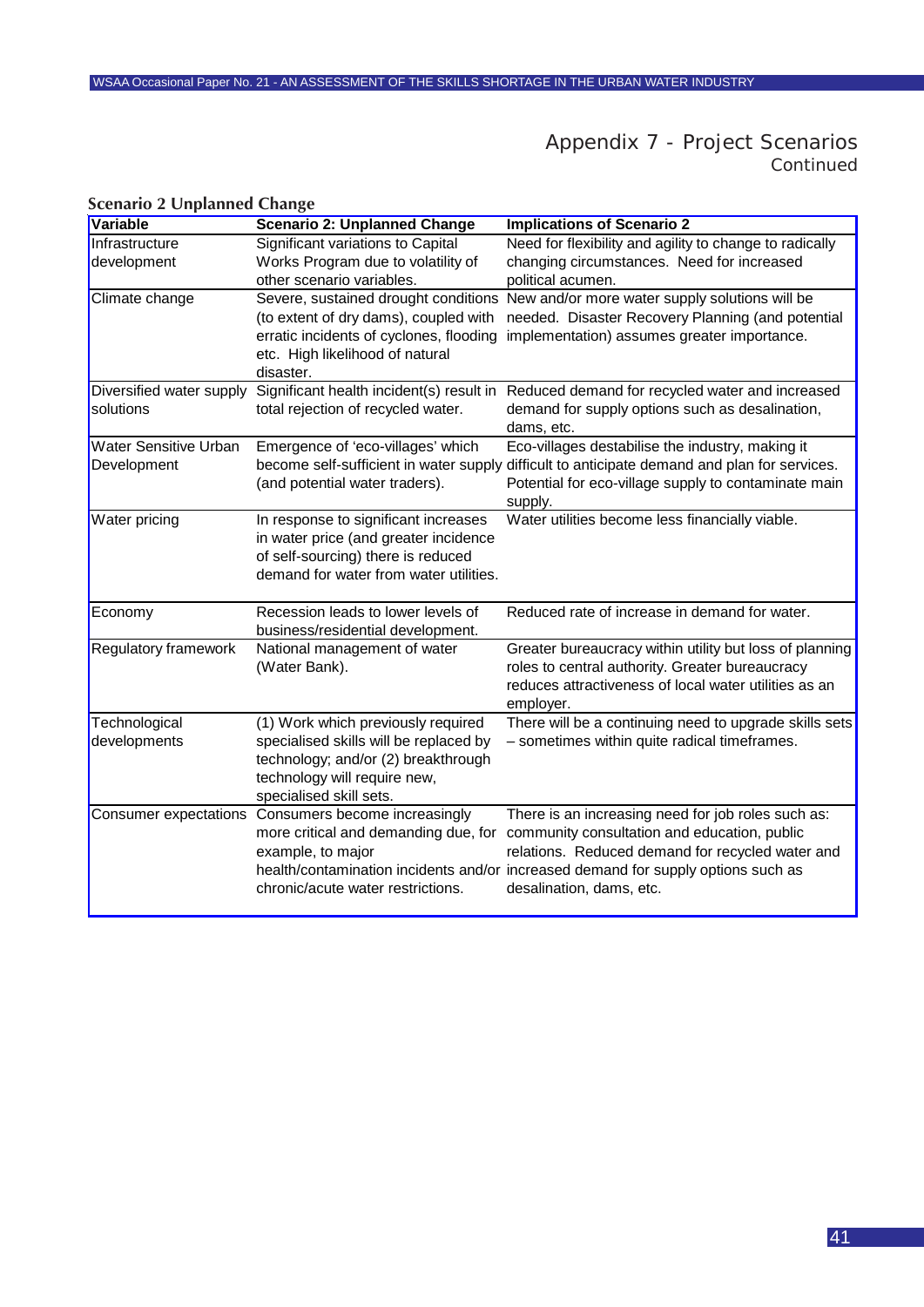### Appendix 7 - Project Scenarios *Continued*

| Variable                                    | <b>Scenario 2: Unplanned Change</b>                                                                                                                                            | <b>Implications of Scenario 2</b>                                                                                                                                                                                                                                       |
|---------------------------------------------|--------------------------------------------------------------------------------------------------------------------------------------------------------------------------------|-------------------------------------------------------------------------------------------------------------------------------------------------------------------------------------------------------------------------------------------------------------------------|
| Infrastructure                              | Significant variations to Capital                                                                                                                                              | Need for flexibility and agility to change to radically                                                                                                                                                                                                                 |
| development                                 | Works Program due to volatility of<br>other scenario variables.                                                                                                                | changing circumstances. Need for increased<br>political acumen.                                                                                                                                                                                                         |
| Climate change                              | Severe, sustained drought conditions<br>(to extent of dry dams), coupled with<br>erratic incidents of cyclones, flooding<br>etc. High likelihood of natural<br>disaster.       | New and/or more water supply solutions will be<br>needed. Disaster Recovery Planning (and potential<br>implementation) assumes greater importance.                                                                                                                      |
| Diversified water supply<br>solutions       | Significant health incident(s) result in<br>total rejection of recycled water.                                                                                                 | Reduced demand for recycled water and increased<br>demand for supply options such as desalination,<br>dams, etc.                                                                                                                                                        |
| <b>Water Sensitive Urban</b><br>Development | Emergence of 'eco-villages' which<br>become self-sufficient in water supply<br>(and potential water traders).                                                                  | Eco-villages destabilise the industry, making it<br>difficult to anticipate demand and plan for services.<br>Potential for eco-village supply to contaminate main<br>supply.                                                                                            |
| Water pricing                               | In response to significant increases<br>in water price (and greater incidence<br>of self-sourcing) there is reduced<br>demand for water from water utilities.                  | Water utilities become less financially viable.                                                                                                                                                                                                                         |
| Economy                                     | Recession leads to lower levels of<br>business/residential development.                                                                                                        | Reduced rate of increase in demand for water.                                                                                                                                                                                                                           |
| <b>Regulatory framework</b>                 | National management of water<br>(Water Bank).                                                                                                                                  | Greater bureaucracy within utility but loss of planning<br>roles to central authority. Greater bureaucracy<br>reduces attractiveness of local water utilities as an<br>employer.                                                                                        |
| Technological<br>developments               | (1) Work which previously required<br>specialised skills will be replaced by<br>technology; and/or (2) breakthrough<br>technology will require new,<br>specialised skill sets. | There will be a continuing need to upgrade skills sets<br>- sometimes within quite radical timeframes.                                                                                                                                                                  |
| Consumer expectations                       | Consumers become increasingly<br>more critical and demanding due, for<br>example, to major<br>chronic/acute water restrictions.                                                | There is an increasing need for job roles such as:<br>community consultation and education, public<br>relations. Reduced demand for recycled water and<br>health/contamination incidents and/or increased demand for supply options such as<br>desalination, dams, etc. |

#### **Scenario 2 Unplanned Change**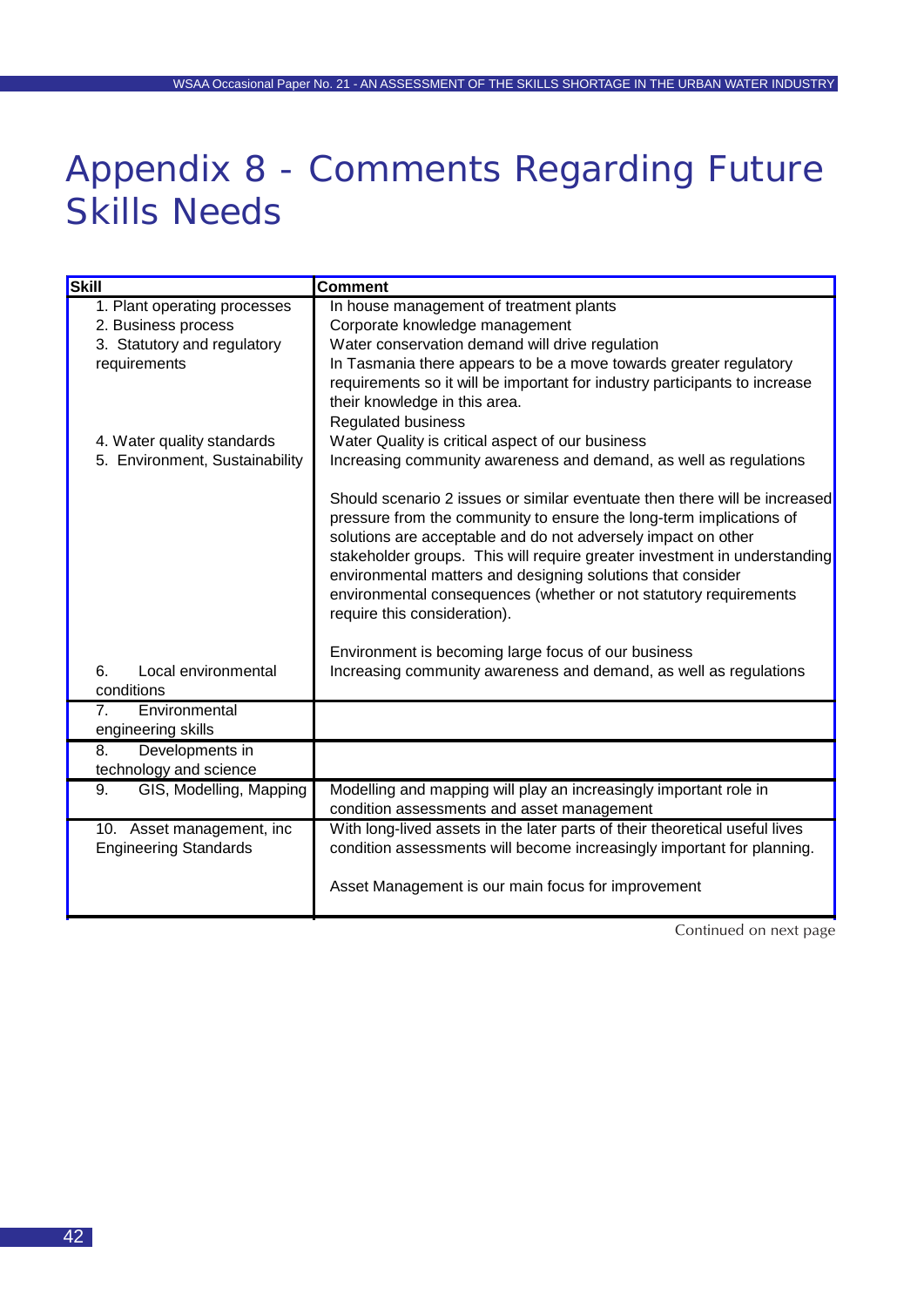## Appendix 8 - Comments Regarding Future Skills Needs

| <b>Skill</b>                                    | <b>Comment</b>                                                                                                                                                                                                                                                                                                                                                                                                                                                      |
|-------------------------------------------------|---------------------------------------------------------------------------------------------------------------------------------------------------------------------------------------------------------------------------------------------------------------------------------------------------------------------------------------------------------------------------------------------------------------------------------------------------------------------|
| 1. Plant operating processes                    | In house management of treatment plants                                                                                                                                                                                                                                                                                                                                                                                                                             |
| 2. Business process                             | Corporate knowledge management                                                                                                                                                                                                                                                                                                                                                                                                                                      |
| 3. Statutory and regulatory                     | Water conservation demand will drive regulation                                                                                                                                                                                                                                                                                                                                                                                                                     |
| requirements                                    | In Tasmania there appears to be a move towards greater regulatory                                                                                                                                                                                                                                                                                                                                                                                                   |
|                                                 | requirements so it will be important for industry participants to increase                                                                                                                                                                                                                                                                                                                                                                                          |
|                                                 | their knowledge in this area.                                                                                                                                                                                                                                                                                                                                                                                                                                       |
|                                                 | <b>Regulated business</b>                                                                                                                                                                                                                                                                                                                                                                                                                                           |
| 4. Water quality standards                      | Water Quality is critical aspect of our business                                                                                                                                                                                                                                                                                                                                                                                                                    |
| 5. Environment, Sustainability                  | Increasing community awareness and demand, as well as regulations                                                                                                                                                                                                                                                                                                                                                                                                   |
|                                                 | Should scenario 2 issues or similar eventuate then there will be increased<br>pressure from the community to ensure the long-term implications of<br>solutions are acceptable and do not adversely impact on other<br>stakeholder groups. This will require greater investment in understanding<br>environmental matters and designing solutions that consider<br>environmental consequences (whether or not statutory requirements<br>require this consideration). |
|                                                 | Environment is becoming large focus of our business                                                                                                                                                                                                                                                                                                                                                                                                                 |
| Local environmental<br>6.                       | Increasing community awareness and demand, as well as regulations                                                                                                                                                                                                                                                                                                                                                                                                   |
| conditions                                      |                                                                                                                                                                                                                                                                                                                                                                                                                                                                     |
| 7 <sub>1</sub><br>Environmental                 |                                                                                                                                                                                                                                                                                                                                                                                                                                                                     |
| engineering skills                              |                                                                                                                                                                                                                                                                                                                                                                                                                                                                     |
| Developments in<br>8.<br>technology and science |                                                                                                                                                                                                                                                                                                                                                                                                                                                                     |
| GIS, Modelling, Mapping<br>9.                   | Modelling and mapping will play an increasingly important role in                                                                                                                                                                                                                                                                                                                                                                                                   |
|                                                 | condition assessments and asset management                                                                                                                                                                                                                                                                                                                                                                                                                          |
| 10. Asset management, inc                       | With long-lived assets in the later parts of their theoretical useful lives                                                                                                                                                                                                                                                                                                                                                                                         |
| <b>Engineering Standards</b>                    | condition assessments will become increasingly important for planning.                                                                                                                                                                                                                                                                                                                                                                                              |
|                                                 | Asset Management is our main focus for improvement                                                                                                                                                                                                                                                                                                                                                                                                                  |

Continued on next page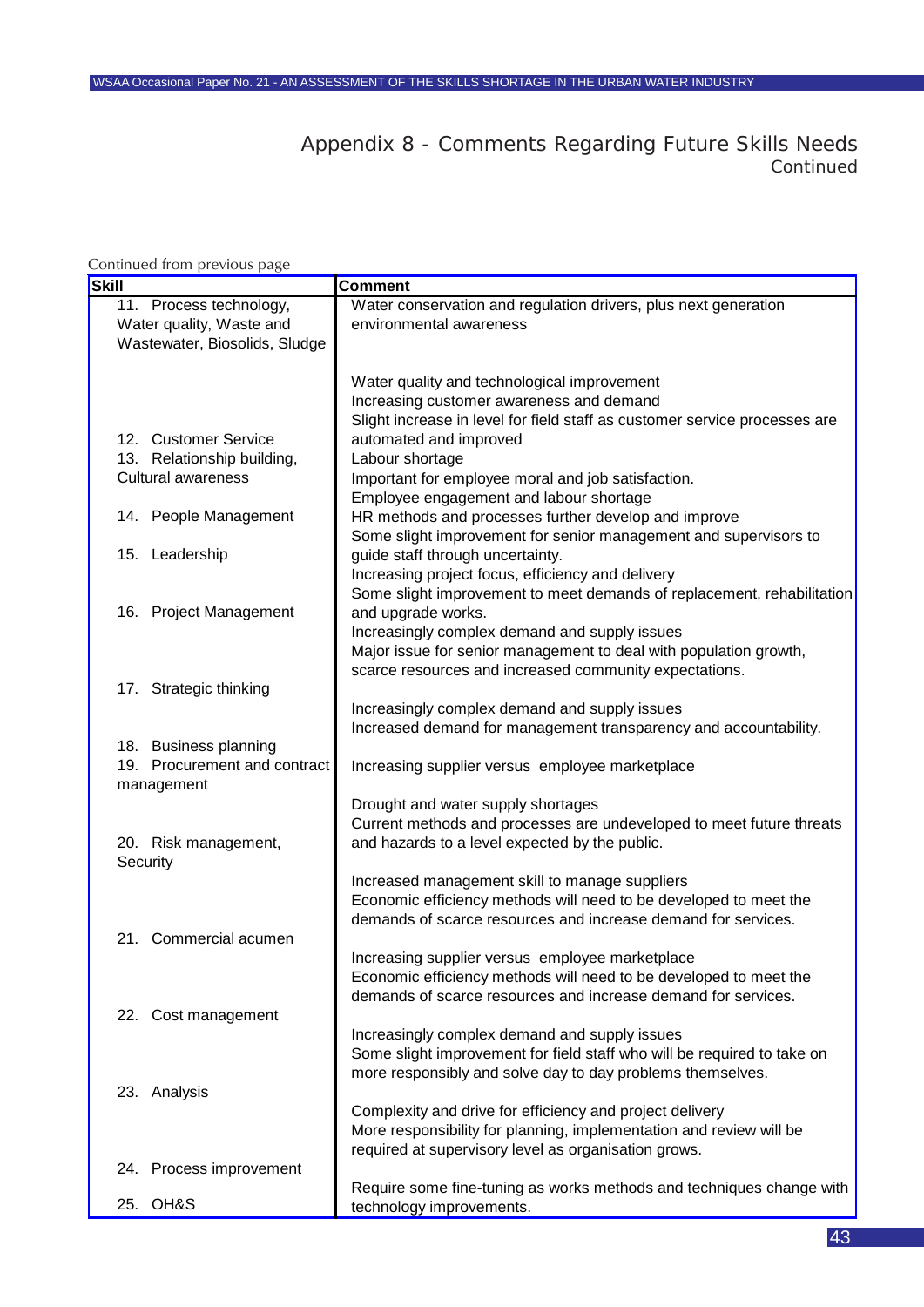### Appendix 8 - Comments Regarding Future Skills Needs *Continued*

#### **Skill** Comment Water conservation and regulation drivers, plus next generation environmental awareness Water quality and technological improvement Increasing customer awareness and demand Slight increase in level for field staff as customer service processes are automated and improved Labour shortage Important for employee moral and job satisfaction. Employee engagement and labour shortage HR methods and processes further develop and improve 15. Leadership Some slight improvement for senior management and supervisors to guide staff through uncertainty. Increasing project focus, efficiency and delivery Some slight improvement to meet demands of replacement, rehabilitation and upgrade works. Increasingly complex demand and supply issues Major issue for senior management to deal with population growth, scarce resources and increased community expectations. Increasingly complex demand and supply issues Increased demand for management transparency and accountability. 19. Procurement and contract management Increasing supplier versus employee marketplace Drought and water supply shortages Current methods and processes are undeveloped to meet future threats and hazards to a level expected by the public. Increased management skill to manage suppliers Economic efficiency methods will need to be developed to meet the demands of scarce resources and increase demand for services. Increasing supplier versus employee marketplace Economic efficiency methods will need to be developed to meet the demands of scarce resources and increase demand for services. Increasingly complex demand and supply issues Some slight improvement for field staff who will be required to take on more responsibly and solve day to day problems themselves. Complexity and drive for efficiency and project delivery More responsibility for planning, implementation and review will be required at supervisory level as organisation grows. Require some fine-tuning as works methods and techniques change with 22. Cost management 23. Analysis 24. Process improvement 17. Strategic thinking 18. Business planning 20. Risk management, **Security** 21. Commercial acumen 12. Customer Service 13. Relationship building, Cultural awareness 14. People Management 16. Project Management 11. Process technology, Water quality, Waste and Wastewater, Biosolids, Sludge Continued from previous page

technology improvements.

25. OH&S